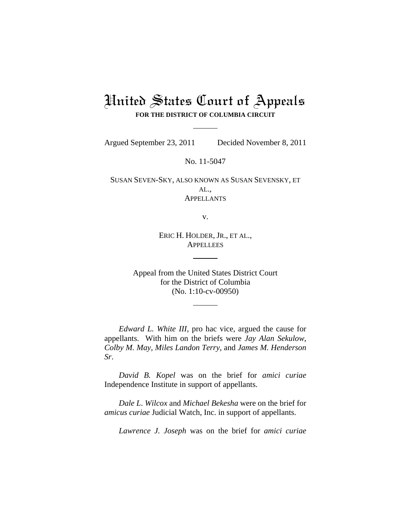## United States Court of Appeals **FOR THE DISTRICT OF COLUMBIA CIRCUIT**

Argued September 23, 2011 Decided November 8, 2011

No. 11-5047

SUSAN SEVEN-SKY, ALSO KNOWN AS SUSAN SEVENSKY, ET AL., APPELLANTS

v.

ERIC H. HOLDER, JR., ET AL., **APPELLEES** 

Appeal from the United States District Court for the District of Columbia (No. 1:10-cv-00950)

*Edward L. White III*, pro hac vice, argued the cause for appellants. With him on the briefs were *Jay Alan Sekulow*, *Colby M. May*, *Miles Landon Terry*, and *James M. Henderson Sr*.

*David B. Kopel* was on the brief for *amici curiae* Independence Institute in support of appellants.

*Dale L*. *Wilcox* and *Michael Bekesha* were on the brief for *amicus curiae* Judicial Watch, Inc. in support of appellants.

*Lawrence J. Joseph* was on the brief for *amici curiae*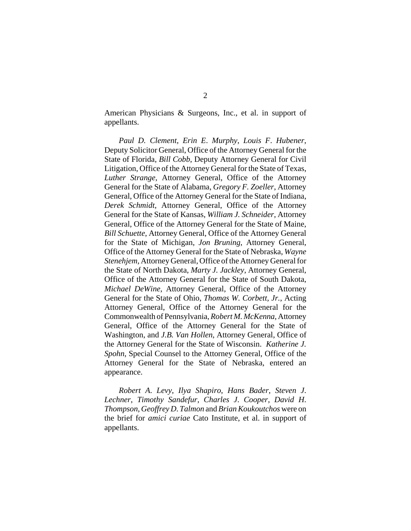American Physicians & Surgeons, Inc., et al. in support of appellants.

*Paul D. Clement*, *Erin E*. *Murphy*, *Louis F*. *Hubener*, Deputy Solicitor General, Office of the Attorney General for the State of Florida, *Bill Cobb*, Deputy Attorney General for Civil Litigation, Office of the Attorney General for the State of Texas, *Luther Strange*, Attorney General, Office of the Attorney General for the State of Alabama, *Gregory F. Zoeller*, Attorney General, Office of the Attorney General for the State of Indiana, *Derek Schmidt*, Attorney General, Office of the Attorney General for the State of Kansas, *William J. Schneider*, Attorney General, Office of the Attorney General for the State of Maine, *Bill Schuette*, Attorney General, Office of the Attorney General for the State of Michigan, *Jon Bruning*, Attorney General, Office of the Attorney General for the State of Nebraska, *Wayne Stenehjem*, Attorney General, Office of the Attorney General for the State of North Dakota, *Marty J. Jackley*, Attorney General, Office of the Attorney General for the State of South Dakota, *Michael DeWine*, Attorney General, Office of the Attorney General for the State of Ohio, *Thomas W. Corbett, Jr.*, Acting Attorney General, Office of the Attorney General for the Commonwealth of Pennsylvania, *Robert M. McKenna*, Attorney General, Office of the Attorney General for the State of Washington, and *J.B. Van Hollen*, Attorney General, Office of the Attorney General for the State of Wisconsin. *Katherine J. Spohn*, Special Counsel to the Attorney General, Office of the Attorney General for the State of Nebraska, entered an appearance.

*Robert A*. *Levy*, *Ilya Shapiro*, *Hans Bader*, *Steven J*. *Lechner*, *Timothy Sandefur*, *Charles J*. *Cooper*, *David H*. *Thompson*, *Geoffrey D*. *Talmon* and *Brian Koukoutchos* were on the brief for *amici curiae* Cato Institute, et al. in support of appellants.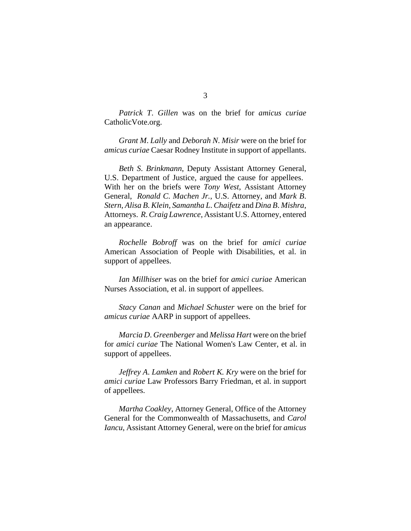*Patrick T*. *Gillen* was on the brief for *amicus curiae* CatholicVote.org.

*Grant M*. *Lally* and *Deborah N*. *Misir* were on the brief for *amicus curiae* Caesar Rodney Institute in support of appellants.

*Beth S*. *Brinkmann*, Deputy Assistant Attorney General, U.S. Department of Justice, argued the cause for appellees. With her on the briefs were *Tony West*, Assistant Attorney General, *Ronald C*. *Machen Jr.*, U.S. Attorney, and *Mark B*. *Stern*, *Alisa B*. *Klein*, *Samantha L*. *Chaifetz* and *Dina B*. *Mishra*, Attorneys. *R*. *Craig Lawrence*, Assistant U.S. Attorney, entered an appearance.

*Rochelle Bobroff* was on the brief for *amici curiae* American Association of People with Disabilities, et al. in support of appellees.

*Ian Millhiser* was on the brief for *amici curiae* American Nurses Association, et al. in support of appellees.

*Stacy Canan* and *Michael Schuster* were on the brief for *amicus curiae* AARP in support of appellees.

*Marcia D*. *Greenberger* and *Melissa Hart* were on the brief for *amici curiae* The National Women's Law Center, et al. in support of appellees.

*Jeffrey A*. *Lamken* and *Robert K. Kry* were on the brief for *amici curiae* Law Professors Barry Friedman, et al. in support of appellees.

*Martha Coakley*, Attorney General, Office of the Attorney General for the Commonwealth of Massachusetts, and *Carol Iancu*, Assistant Attorney General, were on the brief for *amicus*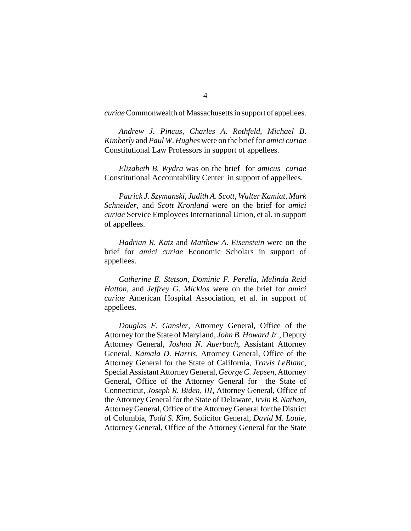*curiae* Commonwealth of Massachusetts in support of appellees.

*Andrew J*. *Pincus*, *Charles A*. *Rothfeld*, *Michael B*. *Kimberly* and *Paul W*. *Hughes* were on the brief for *amici curiae* Constitutional Law Professors in support of appellees.

*Elizabeth B*. *Wydra* was on the brief for *amicus curiae* Constitutional Accountability Center in support of appellees.

*Patrick J*. *Szymanski*, *Judith A*. *Scott*, *Walter Kamiat*, *Mark Schneider*, and *Scott Kronland* were on the brief for *amici curiae* Service Employees International Union, et al. in support of appellees.

*Hadrian R*. *Katz* and *Matthew A*. *Eisenstein* were on the brief for *amici curiae* Economic Scholars in support of appellees.

*Catherine E. Stetson*, *Dominic F. Perella*, *Melinda Reid Hatton*, and *Jeffrey G*. *Micklos* were on the brief for *amici curiae* American Hospital Association, et al. in support of appellees.

*Douglas F. Gansler*, Attorney General, Office of the Attorney for the State of Maryland, *John B. Howard Jr*., Deputy Attorney General, *Joshua N. Auerbach*, Assistant Attorney General, *Kamala D*. *Harris*, Attorney General, Office of the Attorney General for the State of California, *Travis LeBlanc*, Special Assistant Attorney General, *George C. Jepsen*, Attorney General, Office of the Attorney General for the State of Connecticut, *Joseph R. Biden*, *III*, Attorney General, Office of the Attorney General for the State of Delaware, *Irvin B. Nathan*, Attorney General, Office of the Attorney General for the District of Columbia, *Todd S. Kim*, Solicitor General, *David M. Louie*, Attorney General, Office of the Attorney General for the State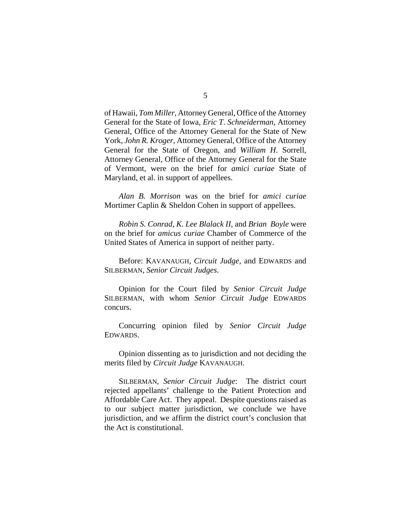of Hawaii, *Tom Miller*, Attorney General, Office of the Attorney General for the State of Iowa, *Eric T*. *Schneiderman*, Attorney General, Office of the Attorney General for the State of New York, *John R. Kroger*, Attorney General, Office of the Attorney General for the State of Oregon, and *William H*. Sorrell, Attorney General, Office of the Attorney General for the State of Vermont, were on the brief for *amici curiae* State of Maryland, et al. in support of appellees.

*Alan B. Morrison* was on the brief for *amici curiae* Mortimer Caplin & Sheldon Cohen in support of appellees.

*Robin S. Conrad*, *K*. *Lee Blalack II*, and *Brian Boyle* were on the brief for *amicus curiae* Chamber of Commerce of the United States of America in support of neither party.

Before: KAVANAUGH, *Circuit Judge*, and EDWARDS and SILBERMAN, *Senior Circuit Judges*.

Opinion for the Court filed by *Senior Circuit Judge* SILBERMAN, with whom *Senior Circuit Judge* EDWARDS concurs.

Concurring opinion filed by *Senior Circuit Judge* EDWARDS.

Opinion dissenting as to jurisdiction and not deciding the merits filed by *Circuit Judge* KAVANAUGH.

SILBERMAN, *Senior Circuit Judge*: The district court rejected appellants' challenge to the Patient Protection and Affordable Care Act. They appeal. Despite questions raised as to our subject matter jurisdiction, we conclude we have jurisdiction, and we affirm the district court's conclusion that the Act is constitutional.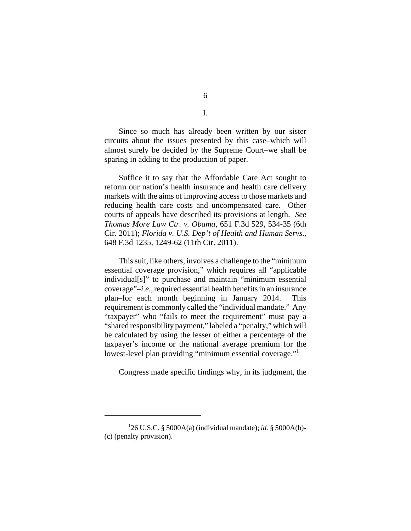Since so much has already been written by our sister circuits about the issues presented by this case–which will almost surely be decided by the Supreme Court–we shall be sparing in adding to the production of paper.

Suffice it to say that the Affordable Care Act sought to reform our nation's health insurance and health care delivery markets with the aims of improving access to those markets and reducing health care costs and uncompensated care. Other courts of appeals have described its provisions at length. *See Thomas More Law Ctr. v. Obama*, 651 F.3d 529, 534-35 (6th Cir. 2011); *Florida v. U.S. Dep't of Health and Human Servs.*, 648 F.3d 1235, 1249-62 (11th Cir. 2011).

This suit, like others, involves a challenge to the "minimum essential coverage provision," which requires all "applicable individual[s]" to purchase and maintain "minimum essential coverage"–*i.e.*, required essential health benefits in an insurance plan–for each month beginning in January 2014. This requirement is commonly called the "individual mandate." Any "taxpayer" who "fails to meet the requirement" must pay a "shared responsibility payment," labeled a "penalty," which will be calculated by using the lesser of either a percentage of the taxpayer's income or the national average premium for the lowest-level plan providing "minimum essential coverage."1

Congress made specific findings why, in its judgment, the

I.

<sup>1</sup> 26 U.S.C. § 5000A(a) (individual mandate); *id.* § 5000A(b)- (c) (penalty provision).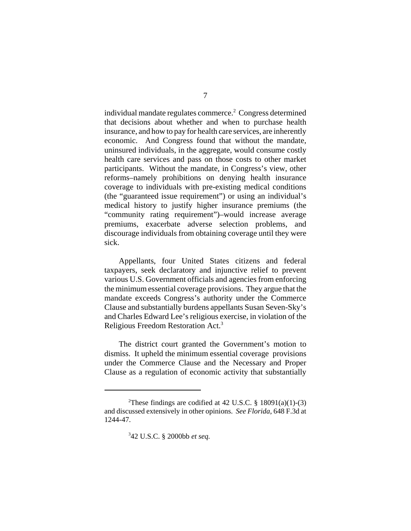individual mandate regulates commerce.<sup>2</sup> Congress determined that decisions about whether and when to purchase health insurance, and how to pay for health care services, are inherently economic. And Congress found that without the mandate, uninsured individuals, in the aggregate, would consume costly health care services and pass on those costs to other market participants. Without the mandate, in Congress's view, other reforms–namely prohibitions on denying health insurance coverage to individuals with pre-existing medical conditions (the "guaranteed issue requirement") or using an individual's medical history to justify higher insurance premiums (the "community rating requirement")–would increase average premiums, exacerbate adverse selection problems, and discourage individuals from obtaining coverage until they were sick.

Appellants, four United States citizens and federal taxpayers, seek declaratory and injunctive relief to prevent various U.S. Government officials and agencies from enforcing the minimum essential coverage provisions. They argue that the mandate exceeds Congress's authority under the Commerce Clause and substantially burdens appellants Susan Seven-Sky's and Charles Edward Lee's religious exercise, in violation of the Religious Freedom Restoration Act.3

The district court granted the Government's motion to dismiss. It upheld the minimum essential coverage provisions under the Commerce Clause and the Necessary and Proper Clause as a regulation of economic activity that substantially

3 42 U.S.C. § 2000bb *et seq.*

<sup>&</sup>lt;sup>2</sup>These findings are codified at 42 U.S.C. § 18091(a)(1)-(3) and discussed extensively in other opinions. *See Florida*, 648 F.3d at 1244-47.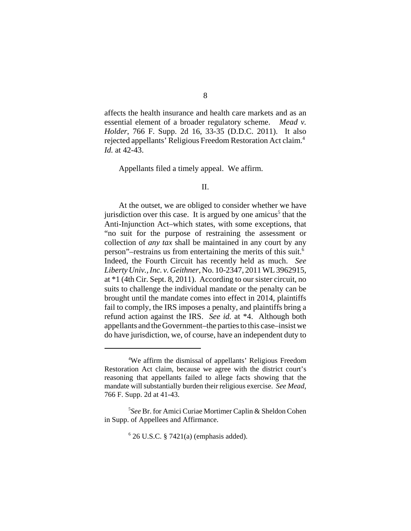affects the health insurance and health care markets and as an essential element of a broader regulatory scheme. *Mead v. Holder*, 766 F. Supp. 2d 16, 33-35 (D.D.C. 2011). It also rejected appellants' Religious Freedom Restoration Act claim.4 *Id.* at 42-43.

Appellants filed a timely appeal. We affirm.

## II.

At the outset, we are obliged to consider whether we have jurisdiction over this case. It is argued by one amicus<sup>5</sup> that the Anti-Injunction Act–which states, with some exceptions, that "no suit for the purpose of restraining the assessment or collection of *any tax* shall be maintained in any court by any person"–restrains us from entertaining the merits of this suit.6 Indeed, the Fourth Circuit has recently held as much. *See Liberty Univ., Inc. v. Geithner*, No. 10-2347, 2011 WL 3962915, at \*1 (4th Cir. Sept. 8, 2011). According to our sister circuit, no suits to challenge the individual mandate or the penalty can be brought until the mandate comes into effect in 2014, plaintiffs fail to comply, the IRS imposes a penalty, and plaintiffs bring a refund action against the IRS. *See id.* at \*4. Although both appellants and the Government–the parties to this case–insist we do have jurisdiction, we, of course, have an independent duty to

<sup>4</sup> We affirm the dismissal of appellants' Religious Freedom Restoration Act claim, because we agree with the district court's reasoning that appellants failed to allege facts showing that the mandate will substantially burden their religious exercise. *See Mead*, 766 F. Supp. 2d at 41-43.

<sup>5</sup> *See* Br. for Amici Curiae Mortimer Caplin & Sheldon Cohen in Supp. of Appellees and Affirmance.

 $6$  26 U.S.C. § 7421(a) (emphasis added).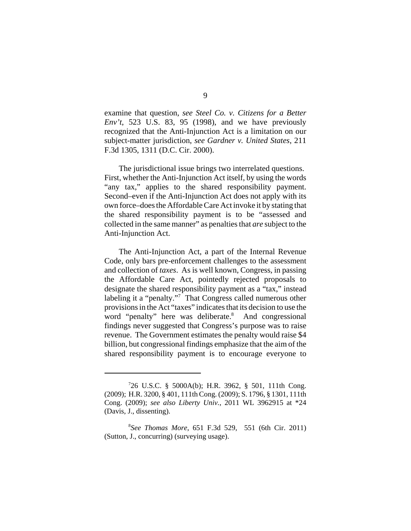examine that question, *see Steel Co. v. Citizens for a Better Env't*, 523 U.S. 83, 95 (1998), and we have previously recognized that the Anti-Injunction Act is a limitation on our subject-matter jurisdiction, *see Gardner v. United States*, 211 F.3d 1305, 1311 (D.C. Cir. 2000).

The jurisdictional issue brings two interrelated questions. First, whether the Anti-Injunction Act itself, by using the words "any tax," applies to the shared responsibility payment. Second–even if the Anti-Injunction Act does not apply with its own force–does the Affordable Care Act invoke it by stating that the shared responsibility payment is to be "assessed and collected in the same manner" as penalties that *are* subject to the Anti-Injunction Act.

The Anti-Injunction Act, a part of the Internal Revenue Code, only bars pre-enforcement challenges to the assessment and collection of *taxes*. As is well known, Congress, in passing the Affordable Care Act, pointedly rejected proposals to designate the shared responsibility payment as a "tax," instead labeling it a "penalty."<sup>7</sup> That Congress called numerous other provisions in the Act "taxes" indicates that its decision to use the word "penalty" here was deliberate.<sup>8</sup> And congressional findings never suggested that Congress's purpose was to raise revenue. The Government estimates the penalty would raise \$4 billion, but congressional findings emphasize that the aim of the shared responsibility payment is to encourage everyone to

<sup>7</sup> 26 U.S.C. § 5000A(b); H.R. 3962, § 501, 111th Cong. (2009); H.R. 3200, § 401, 111th Cong. (2009); S. 1796, § 1301, 111th Cong. (2009); *see also Liberty Univ.*, 2011 WL 3962915 at \*24 (Davis, J., dissenting).

<sup>8</sup> *See Thomas More*, 651 F.3d 529, 551 (6th Cir. 2011) (Sutton, J., concurring) (surveying usage).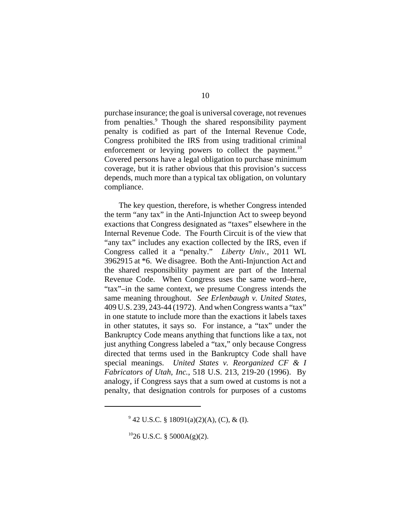purchase insurance; the goal is universal coverage, not revenues from penalties.<sup>9</sup> Though the shared responsibility payment penalty is codified as part of the Internal Revenue Code, Congress prohibited the IRS from using traditional criminal enforcement or levying powers to collect the payment.<sup>10</sup> Covered persons have a legal obligation to purchase minimum coverage, but it is rather obvious that this provision's success depends, much more than a typical tax obligation, on voluntary compliance.

The key question, therefore, is whether Congress intended the term "any tax" in the Anti-Injunction Act to sweep beyond exactions that Congress designated as "taxes" elsewhere in the Internal Revenue Code. The Fourth Circuit is of the view that "any tax" includes any exaction collected by the IRS, even if Congress called it a "penalty." *Liberty Univ.*, 2011 WL 3962915 at \*6. We disagree. Both the Anti-Injunction Act and the shared responsibility payment are part of the Internal Revenue Code. When Congress uses the same word–here, "tax"–in the same context, we presume Congress intends the same meaning throughout. *See Erlenbaugh v. United States*, 409 U.S. 239, 243-44 (1972). And when Congress wants a "tax" in one statute to include more than the exactions it labels taxes in other statutes, it says so. For instance, a "tax" under the Bankruptcy Code means anything that functions like a tax, not just anything Congress labeled a "tax," only because Congress directed that terms used in the Bankruptcy Code shall have special meanings. *United States v. Reorganized CF & I Fabricators of Utah, Inc.*, 518 U.S. 213, 219-20 (1996). By analogy, if Congress says that a sum owed at customs is not a penalty, that designation controls for purposes of a customs

 $9^9$  42 U.S.C. § 18091(a)(2)(A), (C), & (I).

 $^{10}$ 26 U.S.C. § 5000A(g)(2).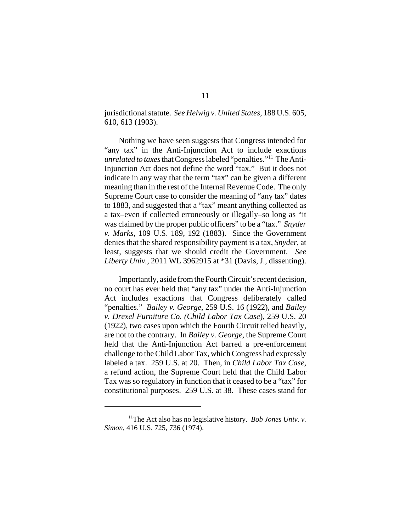jurisdictional statute. *See Helwig v. United States*, 188 U.S. 605, 610, 613 (1903).

Nothing we have seen suggests that Congress intended for "any tax" in the Anti-Injunction Act to include exactions *unrelated to taxes* that Congress labeled "penalties."<sup>11</sup> The Anti-Injunction Act does not define the word "tax." But it does not indicate in any way that the term "tax" can be given a different meaning than in the rest of the Internal Revenue Code. The only Supreme Court case to consider the meaning of "any tax" dates to 1883, and suggested that a "tax" meant anything collected as a tax–even if collected erroneously or illegally–so long as "it was claimed by the proper public officers" to be a "tax." *Snyder v. Marks*, 109 U.S. 189, 192 (1883). Since the Government denies that the shared responsibility payment is a tax, *Snyder*, at least, suggests that we should credit the Government. *See Liberty Univ.*, 2011 WL 3962915 at \*31 (Davis, J., dissenting).

Importantly, aside from the Fourth Circuit's recent decision, no court has ever held that "any tax" under the Anti-Injunction Act includes exactions that Congress deliberately called "penalties." *Bailey v. George*, 259 U.S. 16 (1922), and *Bailey v. Drexel Furniture Co. (Child Labor Tax Case*), 259 U.S. 20 (1922), two cases upon which the Fourth Circuit relied heavily, are not to the contrary. In *Bailey v. George*, the Supreme Court held that the Anti-Injunction Act barred a pre-enforcement challenge to the Child Labor Tax, which Congress had expressly labeled a tax. 259 U.S. at 20. Then, in *Child Labor Tax Case*, a refund action, the Supreme Court held that the Child Labor Tax was so regulatory in function that it ceased to be a "tax" for constitutional purposes. 259 U.S. at 38. These cases stand for

<sup>11</sup>The Act also has no legislative history. *Bob Jones Univ. v. Simon*, 416 U.S. 725, 736 (1974).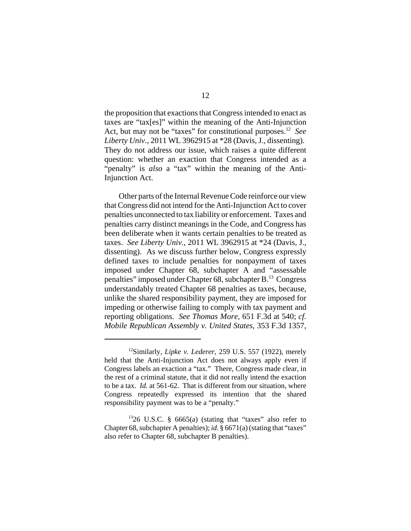the proposition that exactions that Congress intended to enact as taxes are "tax[es]" within the meaning of the Anti-Injunction Act, but may not be "taxes" for constitutional purposes.12 *See Liberty Univ.*, 2011 WL 3962915 at \*28 (Davis, J., dissenting). They do not address our issue, which raises a quite different question: whether an exaction that Congress intended as a "penalty" is *also* a "tax" within the meaning of the Anti-Injunction Act.

Other parts of the Internal Revenue Code reinforce our view that Congress did not intend for the Anti-Injunction Act to cover penalties unconnected to tax liability or enforcement. Taxes and penalties carry distinct meanings in the Code, and Congress has been deliberate when it wants certain penalties to be treated as taxes. *See Liberty Univ.*, 2011 WL 3962915 at \*24 (Davis, J., dissenting). As we discuss further below, Congress expressly defined taxes to include penalties for nonpayment of taxes imposed under Chapter 68, subchapter A and "assessable penalties" imposed under Chapter 68, subchapter B.13 Congress understandably treated Chapter 68 penalties as taxes, because, unlike the shared responsibility payment, they are imposed for impeding or otherwise failing to comply with tax payment and reporting obligations. *See Thomas More*, 651 F.3d at 540; *cf. Mobile Republican Assembly v. United States*, 353 F.3d 1357,

<sup>12</sup>Similarly, *Lipke v. Lederer*, 259 U.S. 557 (1922), merely held that the Anti-Injunction Act does not always apply even if Congress labels an exaction a "tax." There, Congress made clear, in the rest of a criminal statute, that it did not really intend the exaction to be a tax. *Id.* at 561-62. That is different from our situation, where Congress repeatedly expressed its intention that the shared responsibility payment was to be a "penalty."

 $1326$  U.S.C. § 6665(a) (stating that "taxes" also refer to Chapter 68, subchapter A penalties); *id.* § 6671(a) (stating that "taxes" also refer to Chapter 68, subchapter B penalties).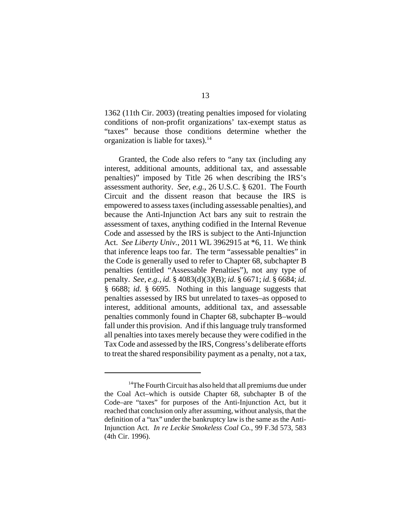1362 (11th Cir. 2003) (treating penalties imposed for violating conditions of non-profit organizations' tax-exempt status as "taxes" because those conditions determine whether the organization is liable for taxes). $14$ 

Granted, the Code also refers to "any tax (including any interest, additional amounts, additional tax, and assessable penalties)" imposed by Title 26 when describing the IRS's assessment authority. *See, e.g.*, 26 U.S.C. § 6201. The Fourth Circuit and the dissent reason that because the IRS is empowered to assess taxes (including assessable penalties), and because the Anti-Injunction Act bars any suit to restrain the assessment of taxes, anything codified in the Internal Revenue Code and assessed by the IRS is subject to the Anti-Injunction Act. *See Liberty Univ.*, 2011 WL 3962915 at \*6, 11. We think that inference leaps too far. The term "assessable penalties" in the Code is generally used to refer to Chapter 68, subchapter B penalties (entitled "Assessable Penalties"), not any type of penalty. *See, e.g.*, *id.* § 4083(d)(3)(B); *id.* § 6671; *id.* § 6684; *id.* § 6688; *id.* § 6695. Nothing in this language suggests that penalties assessed by IRS but unrelated to taxes–as opposed to interest, additional amounts, additional tax, and assessable penalties commonly found in Chapter 68, subchapter B–would fall under this provision. And if this language truly transformed all penalties into taxes merely because they were codified in the Tax Code and assessed by the IRS, Congress's deliberate efforts to treat the shared responsibility payment as a penalty, not a tax,

<sup>&</sup>lt;sup>14</sup>The Fourth Circuit has also held that all premiums due under the Coal Act–which is outside Chapter 68, subchapter B of the Code–are "taxes" for purposes of the Anti-Injunction Act, but it reached that conclusion only after assuming, without analysis, that the definition of a "tax" under the bankruptcy law is the same as the Anti-Injunction Act. *In re Leckie Smokeless Coal Co.*, 99 F.3d 573, 583 (4th Cir. 1996).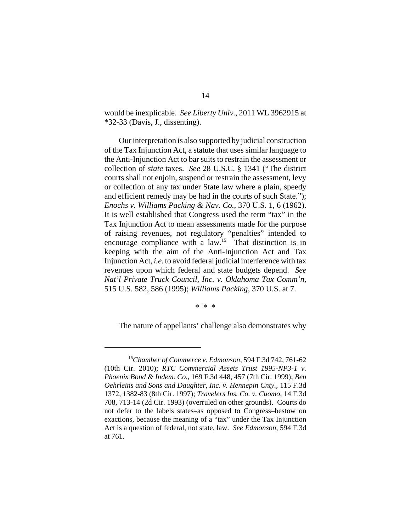would be inexplicable. *See Liberty Univ.*, 2011 WL 3962915 at \*32-33 (Davis, J., dissenting).

Our interpretation is also supported by judicial construction of the Tax Injunction Act, a statute that uses similar language to the Anti-Injunction Act to bar suits to restrain the assessment or collection of *state* taxes. *See* 28 U.S.C. § 1341 ("The district courts shall not enjoin, suspend or restrain the assessment, levy or collection of any tax under State law where a plain, speedy and efficient remedy may be had in the courts of such State."); *Enochs v. Williams Packing & Nav. Co.*, 370 U.S. 1, 6 (1962). It is well established that Congress used the term "tax" in the Tax Injunction Act to mean assessments made for the purpose of raising revenues, not regulatory "penalties" intended to encourage compliance with a law.<sup>15</sup> That distinction is in keeping with the aim of the Anti-Injunction Act and Tax Injunction Act, *i.e.* to avoid federal judicial interference with tax revenues upon which federal and state budgets depend. *See Nat'l Private Truck Council, Inc. v. Oklahoma Tax Comm'n*, 515 U.S. 582, 586 (1995); *Williams Packing*, 370 U.S. at 7.

\* \* \*

The nature of appellants' challenge also demonstrates why

<sup>15</sup>*Chamber of Commerce v. Edmonson*, 594 F.3d 742, 761-62 (10th Cir. 2010); *RTC Commercial Assets Trust 1995-NP3-1 v. Phoenix Bond & Indem. Co.*, 169 F.3d 448, 457 (7th Cir. 1999); *Ben Oehrleins and Sons and Daughter, Inc. v. Hennepin Cnty.*, 115 F.3d 1372, 1382-83 (8th Cir. 1997); *Travelers Ins. Co. v. Cuomo*, 14 F.3d 708, 713-14 (2d Cir. 1993) (overruled on other grounds). Courts do not defer to the labels states–as opposed to Congress–bestow on exactions, because the meaning of a "tax" under the Tax Injunction Act is a question of federal, not state, law. *See Edmonson*, 594 F.3d at 761.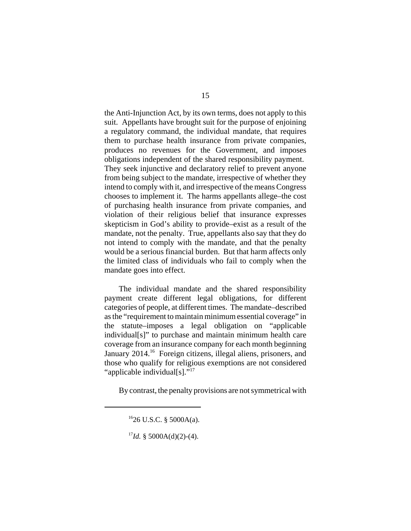the Anti-Injunction Act, by its own terms, does not apply to this suit. Appellants have brought suit for the purpose of enjoining a regulatory command, the individual mandate, that requires them to purchase health insurance from private companies, produces no revenues for the Government, and imposes obligations independent of the shared responsibility payment. They seek injunctive and declaratory relief to prevent anyone from being subject to the mandate, irrespective of whether they intend to comply with it, and irrespective of the means Congress chooses to implement it. The harms appellants allege–the cost of purchasing health insurance from private companies, and violation of their religious belief that insurance expresses skepticism in God's ability to provide–exist as a result of the mandate, not the penalty. True, appellants also say that they do not intend to comply with the mandate, and that the penalty would be a serious financial burden. But that harm affects only the limited class of individuals who fail to comply when the mandate goes into effect.

The individual mandate and the shared responsibility payment create different legal obligations, for different categories of people, at different times. The mandate–described as the "requirement to maintain minimum essential coverage" in the statute–imposes a legal obligation on "applicable individual[s]" to purchase and maintain minimum health care coverage from an insurance company for each month beginning January 2014.16Foreign citizens, illegal aliens, prisoners, and those who qualify for religious exemptions are not considered "applicable individual[s]."<sup>17</sup>

By contrast, the penalty provisions are not symmetrical with

 $1626$  U.S.C. § 5000A(a).

 $17$ *Id.* § 5000A(d)(2)-(4).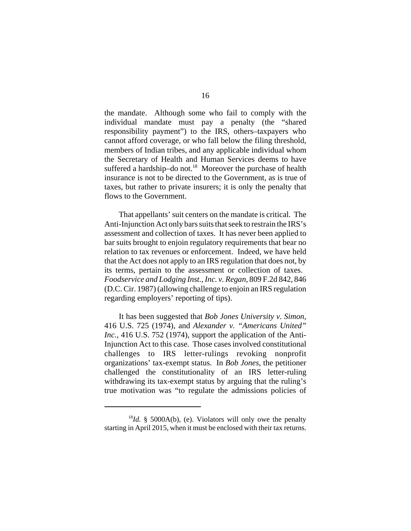the mandate. Although some who fail to comply with the individual mandate must pay a penalty (the "shared responsibility payment") to the IRS, others–taxpayers who cannot afford coverage, or who fall below the filing threshold, members of Indian tribes, and any applicable individual whom the Secretary of Health and Human Services deems to have suffered a hardship–do not. $^{18}$  Moreover the purchase of health insurance is not to be directed to the Government, as is true of taxes, but rather to private insurers; it is only the penalty that flows to the Government.

That appellants' suit centers on the mandate is critical. The Anti-Injunction Act only bars suits that seek to restrain the IRS's assessment and collection of taxes. It has never been applied to bar suits brought to enjoin regulatory requirements that bear no relation to tax revenues or enforcement. Indeed, we have held that the Act does not apply to an IRS regulation that does not, by its terms, pertain to the assessment or collection of taxes. *Foodservice and Lodging Inst., Inc. v. Regan*, 809 F.2d 842, 846 (D.C. Cir. 1987) (allowing challenge to enjoin an IRS regulation regarding employers' reporting of tips).

It has been suggested that *Bob Jones University v. Simon*, 416 U.S. 725 (1974), and *Alexander v. "Americans United" Inc.*, 416 U.S. 752 (1974), support the application of the Anti-Injunction Act to this case. Those cases involved constitutional challenges to IRS letter-rulings revoking nonprofit organizations' tax-exempt status. In *Bob Jones*, the petitioner challenged the constitutionality of an IRS letter-ruling withdrawing its tax-exempt status by arguing that the ruling's true motivation was "to regulate the admissions policies of

<sup>18</sup>*Id.* § 5000A(b), (e). Violators will only owe the penalty starting in April 2015, when it must be enclosed with their tax returns.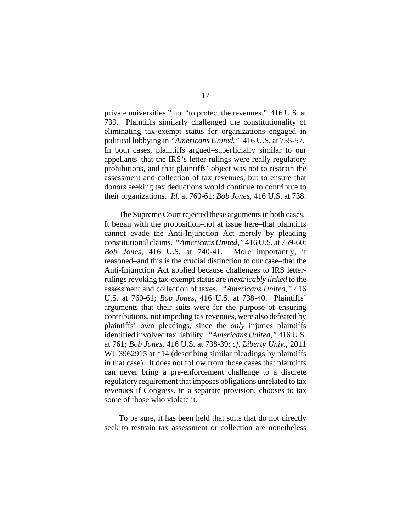private universities," not "to protect the revenues." 416 U.S. at 739. Plaintiffs similarly challenged the constitutionality of eliminating tax-exempt status for organizations engaged in political lobbying in *"Americans United."* 416 U.S. at 755-57. In both cases, plaintiffs argued–superficially similar to our appellants–that the IRS's letter-rulings were really regulatory prohibitions, and that plaintiffs' object was not to restrain the assessment and collection of tax revenues, but to ensure that donors seeking tax deductions would continue to contribute to their organizations. *Id*. at 760-61; *Bob Jones*, 416 U.S. at 738.

The Supreme Court rejected these arguments in both cases. It began with the proposition–not at issue here–that plaintiffs cannot evade the Anti-Injunction Act merely by pleading constitutional claims. *"Americans United*,*"* 416 U.S. at 759-60; *Bob Jones*, 416 U.S. at 740-41. More importantly, it reasoned–and this is the crucial distinction to our case–that the Anti-Injunction Act applied because challenges to IRS letterrulings revoking tax-exempt status are *inextricably linked* to the assessment and collection of taxes. *"Americans United*,*"* 416 U.S. at 760-61; *Bob Jones*, 416 U.S. at 738-40. Plaintiffs' arguments that their suits were for the purpose of ensuring contributions, not impeding tax revenues, were also defeated by plaintiffs' own pleadings, since the *only* injuries plaintiffs identified involved tax liability. *"Americans United*,*"* 416 U.S. at 761; *Bob Jones*, 416 U.S. at 738-39; *cf. Liberty Univ.*, 2011 WL 3962915 at \*14 (describing similar pleadings by plaintiffs in that case). It does not follow from those cases that plaintiffs can never bring a pre-enforcement challenge to a discrete regulatory requirement that imposes obligations unrelated to tax revenues if Congress, in a separate provision, chooses to tax some of those who violate it.

To be sure, it has been held that suits that do not directly seek to restrain tax assessment or collection are nonetheless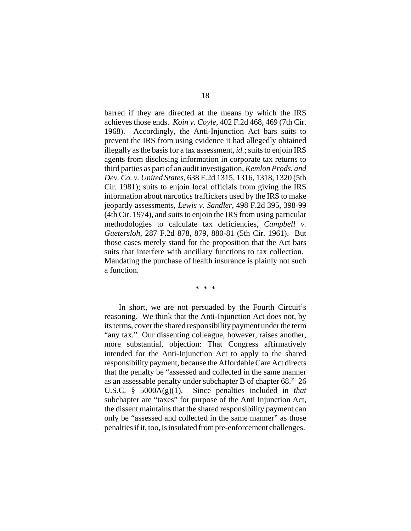barred if they are directed at the means by which the IRS achieves those ends. *Koin v. Coyle*, 402 F.2d 468, 469 (7th Cir. 1968). Accordingly, the Anti-Injunction Act bars suits to prevent the IRS from using evidence it had allegedly obtained illegally as the basis for a tax assessment, *id.*; suits to enjoin IRS agents from disclosing information in corporate tax returns to third parties as part of an audit investigation, *Kemlon Prods. and Dev. Co. v. United States*, 638 F.2d 1315, 1316, 1318, 1320 (5th Cir. 1981); suits to enjoin local officials from giving the IRS information about narcotics traffickers used by the IRS to make jeopardy assessments, *Lewis v. Sandler*, 498 F.2d 395, 398-99 (4th Cir. 1974), and suits to enjoin the IRS from using particular methodologies to calculate tax deficiencies, *Campbell v. Guetersloh*, 287 F.2d 878, 879, 880-81 (5th Cir. 1961). But those cases merely stand for the proposition that the Act bars suits that interfere with ancillary functions to tax collection. Mandating the purchase of health insurance is plainly not such a function.

\* \* \*

In short, we are not persuaded by the Fourth Circuit's reasoning. We think that the Anti-Injunction Act does not, by its terms, cover the shared responsibility payment under the term "any tax." Our dissenting colleague, however, raises another, more substantial, objection: That Congress affirmatively intended for the Anti-Injunction Act to apply to the shared responsibility payment, because the Affordable Care Act directs that the penalty be "assessed and collected in the same manner as an assessable penalty under subchapter B of chapter 68." 26 U.S.C. § 5000A(g)(1). Since penalties included in *that* subchapter are "taxes" for purpose of the Anti Injunction Act, the dissent maintains that the shared responsibility payment can only be "assessed and collected in the same manner" as those penaltiesifit, too, is insulated from pre-enforcement challenges.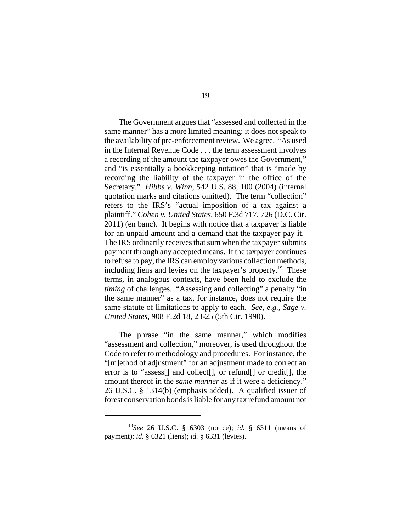The Government argues that "assessed and collected in the same manner" has a more limited meaning; it does not speak to the availability of pre-enforcement review. We agree. "As used in the Internal Revenue Code . . . the term assessment involves a recording of the amount the taxpayer owes the Government," and "is essentially a bookkeeping notation" that is "made by recording the liability of the taxpayer in the office of the Secretary." *Hibbs v. Winn*, 542 U.S. 88, 100 (2004) (internal quotation marks and citations omitted). The term "collection" refers to the IRS's "actual imposition of a tax against a plaintiff." *Cohen v. United States*, 650 F.3d 717, 726 (D.C. Cir. 2011) (en banc). It begins with notice that a taxpayer is liable for an unpaid amount and a demand that the taxpayer pay it. The IRS ordinarily receives that sum when the taxpayer submits payment through any accepted means. If the taxpayer continues to refuse to pay, the IRS can employ various collection methods, including liens and levies on the taxpayer's property.<sup>19</sup> These terms, in analogous contexts, have been held to exclude the *timing* of challenges. "Assessing and collecting" a penalty "in the same manner" as a tax, for instance, does not require the same statute of limitations to apply to each. *See, e.g.*, *Sage v. United States*, 908 F.2d 18, 23-25 (5th Cir. 1990).

The phrase "in the same manner," which modifies "assessment and collection," moreover, is used throughout the Code to refer to methodology and procedures. For instance, the "[m]ethod of adjustment" for an adjustment made to correct an error is to "assess[] and collect[], or refund[] or credit[], the amount thereof in the *same manner* as if it were a deficiency." 26 U.S.C. § 1314(b) (emphasis added). A qualified issuer of forest conservation bonds is liable for any tax refund amount not

<sup>19</sup>*See* 26 U.S.C. § 6303 (notice); *id.* § 6311 (means of payment); *id.* § 6321 (liens); *id.* § 6331 (levies).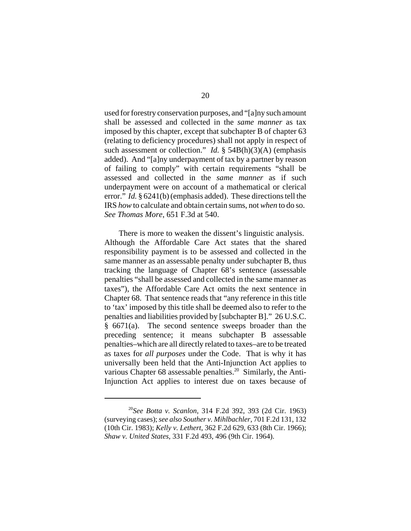used for forestry conservation purposes, and "[a]ny such amount shall be assessed and collected in the *same manner* as tax imposed by this chapter, except that subchapter B of chapter 63 (relating to deficiency procedures) shall not apply in respect of such assessment or collection." *Id.* § 54B(h)(3)(A) (emphasis added). And "[a]ny underpayment of tax by a partner by reason of failing to comply" with certain requirements "shall be assessed and collected in the *same manner* as if such underpayment were on account of a mathematical or clerical error." *Id.* § 6241(b) (emphasis added). These directions tell the IRS *how* to calculate and obtain certain sums, not *when* to do so. *See Thomas More*, 651 F.3d at 540.

There is more to weaken the dissent's linguistic analysis. Although the Affordable Care Act states that the shared responsibility payment is to be assessed and collected in the same manner as an assessable penalty under subchapter B, thus tracking the language of Chapter 68's sentence (assessable penalties "shall be assessed and collected in the same manner as taxes"), the Affordable Care Act omits the next sentence in Chapter 68. That sentence reads that "any reference in this title to 'tax' imposed by this title shall be deemed also to refer to the penalties and liabilities provided by [subchapter B]." 26 U.S.C. § 6671(a). The second sentence sweeps broader than the preceding sentence; it means subchapter B assessable penalties–which are all directly related to taxes–are to be treated as taxes for *all purposes* under the Code. That is why it has universally been held that the Anti-Injunction Act applies to various Chapter 68 assessable penalties.<sup>20</sup> Similarly, the Anti-Injunction Act applies to interest due on taxes because of

<sup>20</sup>*See Botta v. Scanlon*, 314 F.2d 392, 393 (2d Cir. 1963) (surveying cases); *see also Souther v. Mihlbachler*, 701 F.2d 131, 132 (10th Cir. 1983); *Kelly v. Lethert*, 362 F.2d 629, 633 (8th Cir. 1966); *Shaw v. United States*, 331 F.2d 493, 496 (9th Cir. 1964).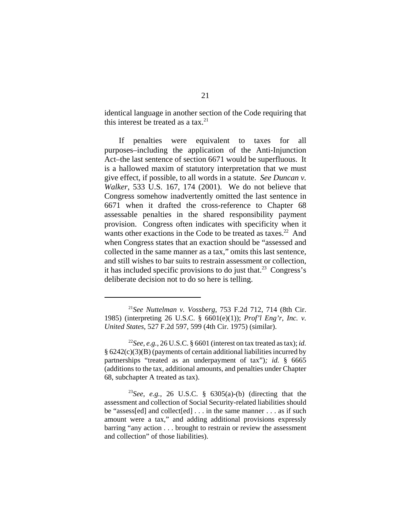identical language in another section of the Code requiring that this interest be treated as a tax. $^{21}$ 

If penalties were equivalent to taxes for all purposes–including the application of the Anti-Injunction Act–the last sentence of section 6671 would be superfluous. It is a hallowed maxim of statutory interpretation that we must give effect, if possible, to all words in a statute. *See Duncan v. Walker*, 533 U.S. 167, 174 (2001). We do not believe that Congress somehow inadvertently omitted the last sentence in 6671 when it drafted the cross-reference to Chapter 68 assessable penalties in the shared responsibility payment provision. Congress often indicates with specificity when it wants other exactions in the Code to be treated as taxes.<sup>22</sup> And when Congress states that an exaction should be "assessed and collected in the same manner as a tax," omits this last sentence, and still wishes to bar suits to restrain assessment or collection, it has included specific provisions to do just that.<sup>23</sup> Congress's deliberate decision not to do so here is telling.

<sup>21</sup>*See Nuttelman v. Vossberg*, 753 F.2d 712, 714 (8th Cir. 1985) (interpreting 26 U.S.C. § 6601(e)(1)); *Prof'l Eng'r, Inc. v. United States*, 527 F.2d 597, 599 (4th Cir. 1975) (similar).

<sup>&</sup>lt;sup>22</sup>*See, e.g.*, 26 U.S.C. § 6601 (interest on tax treated as tax); *id.* § 6242(c)(3)(B) (payments of certain additional liabilities incurred by partnerships "treated as an underpayment of tax")*; id.* § 6665 (additions to the tax, additional amounts, and penalties under Chapter 68, subchapter A treated as tax).

<sup>&</sup>lt;sup>23</sup>See, e.g., 26 U.S.C. §  $6305(a)$ -(b) (directing that the assessment and collection of Social Security-related liabilities should be "assess[ed] and collect[ed] . . . in the same manner . . . as if such amount were a tax," and adding additional provisions expressly barring "any action . . . brought to restrain or review the assessment and collection" of those liabilities).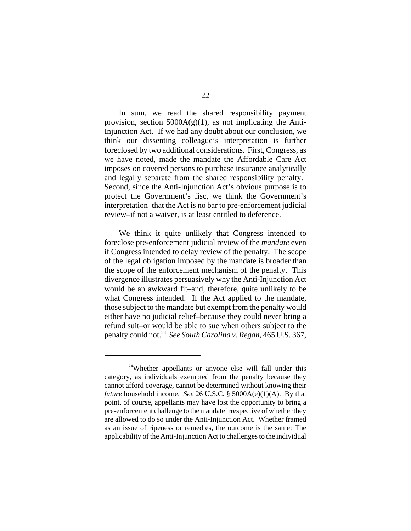In sum, we read the shared responsibility payment provision, section  $5000A(g)(1)$ , as not implicating the Anti-Injunction Act. If we had any doubt about our conclusion, we think our dissenting colleague's interpretation is further foreclosed by two additional considerations. First, Congress, as we have noted, made the mandate the Affordable Care Act imposes on covered persons to purchase insurance analytically and legally separate from the shared responsibility penalty. Second, since the Anti-Injunction Act's obvious purpose is to protect the Government's fisc, we think the Government's interpretation–that the Act is no bar to pre-enforcement judicial review–if not a waiver, is at least entitled to deference.

We think it quite unlikely that Congress intended to foreclose pre-enforcement judicial review of the *mandate* even if Congress intended to delay review of the penalty. The scope of the legal obligation imposed by the mandate is broader than the scope of the enforcement mechanism of the penalty. This divergence illustrates persuasively why the Anti-Injunction Act would be an awkward fit–and, therefore, quite unlikely to be what Congress intended. If the Act applied to the mandate, those subject to the mandate but exempt from the penalty would either have no judicial relief–because they could never bring a refund suit–or would be able to sue when others subject to the penalty could not.24 *See South Carolina v. Regan*, 465 U.S. 367,

<sup>24</sup>Whether appellants or anyone else will fall under this category, as individuals exempted from the penalty because they cannot afford coverage, cannot be determined without knowing their *future* household income. *See* 26 U.S.C. § 5000A(e)(1)(A). By that point, of course, appellants may have lost the opportunity to bring a pre-enforcement challenge to the mandate irrespective of whether they are allowed to do so under the Anti-Injunction Act. Whether framed as an issue of ripeness or remedies, the outcome is the same: The applicability of the Anti-Injunction Act to challenges to the individual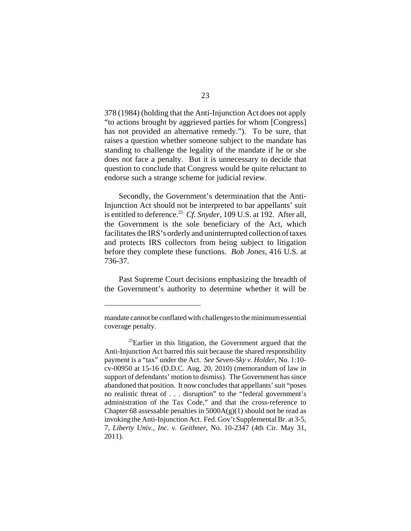378 (1984) (holding that the Anti-Injunction Act does not apply "to actions brought by aggrieved parties for whom [Congress] has not provided an alternative remedy."). To be sure, that raises a question whether someone subject to the mandate has standing to challenge the legality of the mandate if he or she does not face a penalty. But it is unnecessary to decide that question to conclude that Congress would be quite reluctant to endorse such a strange scheme for judicial review.

Secondly, the Government's determination that the Anti-Injunction Act should not be interpreted to bar appellants' suit is entitled to deference.<sup>25</sup> *Cf. Snyder*, 109 U.S. at 192. After all, the Government is the sole beneficiary of the Act, which facilitates the IRS's orderly and uninterrupted collection of taxes and protects IRS collectors from being subject to litigation before they complete these functions. *Bob Jones*, 416 U.S. at 736-37.

Past Supreme Court decisions emphasizing the breadth of the Government's authority to determine whether it will be

mandate cannot be conflated with challenges to the minimum essential coverage penalty.

 $25$ Earlier in this litigation, the Government argued that the Anti-Injunction Act barred this suit because the shared responsibility payment is a "tax" under the Act. *See Seven-Sky v. Holder*, No. 1:10 cv-00950 at 15-16 (D.D.C. Aug. 20, 2010) (memorandum of law in support of defendants' motion to dismiss). The Government has since abandoned that position. It now concludes that appellants' suit "poses no realistic threat of . . . disruption" to the "federal government's administration of the Tax Code," and that the cross-reference to Chapter 68 assessable penalties in  $5000A(g)(1)$  should not be read as invoking the Anti-Injunction Act. Fed. Gov't Supplemental Br. at 3-5, 7, *Liberty Univ., Inc. v. Geithner*, No. 10-2347 (4th Cir. May 31, 2011).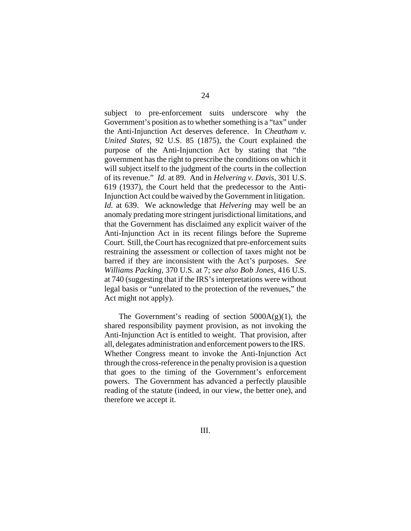subject to pre-enforcement suits underscore why the Government's position as to whether something is a "tax" under the Anti-Injunction Act deserves deference. In *Cheatham v. United States*, 92 U.S. 85 (1875), the Court explained the purpose of the Anti-Injunction Act by stating that "the government has the right to prescribe the conditions on which it will subject itself to the judgment of the courts in the collection of its revenue." *Id.* at 89. And in *Helvering v. Davis*, 301 U.S. 619 (1937), the Court held that the predecessor to the Anti-Injunction Act could be waived by the Government in litigation. *Id.* at 639. We acknowledge that *Helvering* may well be an anomaly predating more stringent jurisdictional limitations, and that the Government has disclaimed any explicit waiver of the Anti-Injunction Act in its recent filings before the Supreme Court. Still, the Court has recognized that pre-enforcement suits restraining the assessment or collection of taxes might not be barred if they are inconsistent with the Act's purposes. *See Williams Packing*, 370 U.S. at 7; *see also Bob Jones*, 416 U.S. at 740 (suggesting that if the IRS's interpretations were without legal basis or "unrelated to the protection of the revenues," the Act might not apply).

The Government's reading of section  $5000A(g)(1)$ , the shared responsibility payment provision, as not invoking the Anti-Injunction Act is entitled to weight. That provision, after all, delegates administration and enforcement powers to the IRS. Whether Congress meant to invoke the Anti-Injunction Act through the cross-reference in the penalty provision is a question that goes to the timing of the Government's enforcement powers. The Government has advanced a perfectly plausible reading of the statute (indeed, in our view, the better one), and therefore we accept it.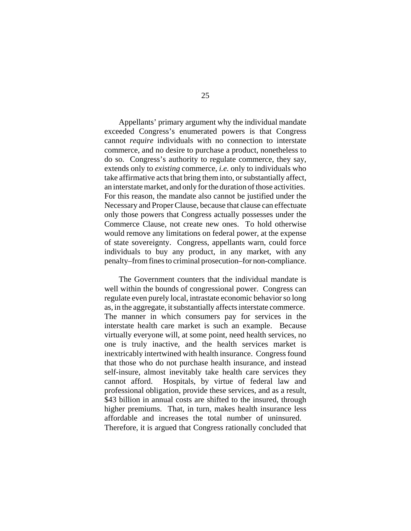Appellants' primary argument why the individual mandate exceeded Congress's enumerated powers is that Congress cannot *require* individuals with no connection to interstate commerce, and no desire to purchase a product, nonetheless to do so. Congress's authority to regulate commerce, they say, extends only to *existing* commerce, *i.e.* only to individuals who take affirmative acts that bring them into, or substantially affect, an interstate market, and only for the duration of those activities. For this reason, the mandate also cannot be justified under the Necessary and Proper Clause, because that clause can effectuate only those powers that Congress actually possesses under the Commerce Clause, not create new ones. To hold otherwise would remove any limitations on federal power, at the expense of state sovereignty. Congress, appellants warn, could force individuals to buy any product, in any market, with any penalty–from fines to criminal prosecution–for non-compliance.

The Government counters that the individual mandate is well within the bounds of congressional power. Congress can regulate even purely local, intrastate economic behavior so long as, in the aggregate, it substantially affects interstate commerce. The manner in which consumers pay for services in the interstate health care market is such an example. Because virtually everyone will, at some point, need health services, no one is truly inactive, and the health services market is inextricably intertwined with health insurance. Congress found that those who do not purchase health insurance, and instead self-insure, almost inevitably take health care services they cannot afford. Hospitals, by virtue of federal law and professional obligation, provide these services, and as a result, \$43 billion in annual costs are shifted to the insured, through higher premiums. That, in turn, makes health insurance less affordable and increases the total number of uninsured. Therefore, it is argued that Congress rationally concluded that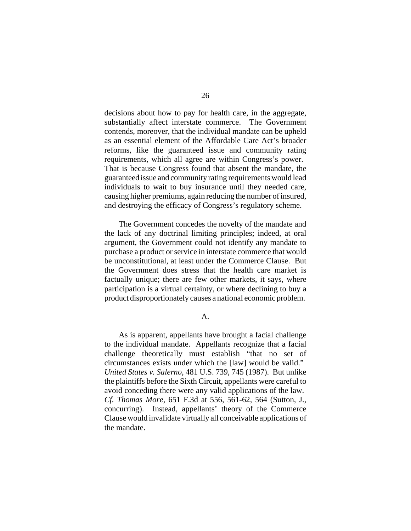decisions about how to pay for health care, in the aggregate, substantially affect interstate commerce. The Government contends, moreover, that the individual mandate can be upheld as an essential element of the Affordable Care Act's broader reforms, like the guaranteed issue and community rating requirements, which all agree are within Congress's power. That is because Congress found that absent the mandate, the guaranteed issue and community rating requirements would lead individuals to wait to buy insurance until they needed care, causing higher premiums, again reducing the number of insured, and destroying the efficacy of Congress's regulatory scheme.

The Government concedes the novelty of the mandate and the lack of any doctrinal limiting principles; indeed, at oral argument, the Government could not identify any mandate to purchase a product or service in interstate commerce that would be unconstitutional, at least under the Commerce Clause. But the Government does stress that the health care market is factually unique; there are few other markets, it says, where participation is a virtual certainty, or where declining to buy a product disproportionately causes a national economic problem.

## A.

As is apparent, appellants have brought a facial challenge to the individual mandate. Appellants recognize that a facial challenge theoretically must establish "that no set of circumstances exists under which the [law] would be valid." *United States v. Salerno*, 481 U.S. 739, 745 (1987). But unlike the plaintiffs before the Sixth Circuit, appellants were careful to avoid conceding there were any valid applications of the law. *Cf. Thomas More*, 651 F.3d at 556, 561-62, 564 (Sutton, J., concurring). Instead, appellants' theory of the Commerce Clause would invalidate virtually all conceivable applications of the mandate.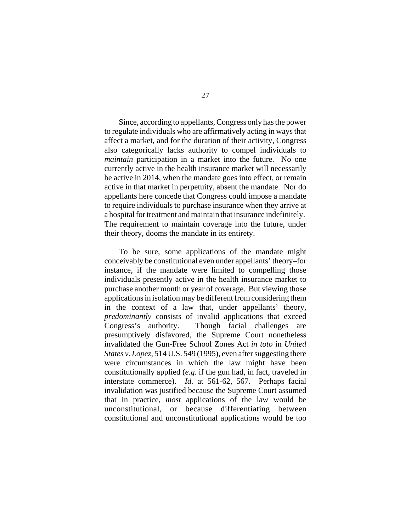Since, according to appellants, Congress only has the power to regulate individuals who are affirmatively acting in ways that affect a market, and for the duration of their activity, Congress also categorically lacks authority to compel individuals to *maintain* participation in a market into the future. No one currently active in the health insurance market will necessarily be active in 2014, when the mandate goes into effect, or remain active in that market in perpetuity, absent the mandate. Nor do appellants here concede that Congress could impose a mandate to require individuals to purchase insurance when they arrive at a hospital for treatment and maintain that insurance indefinitely. The requirement to maintain coverage into the future, under their theory, dooms the mandate in its entirety.

To be sure, some applications of the mandate might conceivably be constitutional even under appellants' theory–for instance, if the mandate were limited to compelling those individuals presently active in the health insurance market to purchase another month or year of coverage. But viewing those applications in isolation may be different from considering them in the context of a law that, under appellants' theory, *predominantly* consists of invalid applications that exceed Congress's authority. Though facial challenges are presumptively disfavored, the Supreme Court nonetheless invalidated the Gun-Free School Zones Act *in toto* in *United States v. Lopez*, 514 U.S. 549 (1995), even after suggesting there were circumstances in which the law might have been constitutionally applied (*e.g.* if the gun had, in fact, traveled in interstate commerce). *Id.* at 561-62, 567. Perhaps facial invalidation was justified because the Supreme Court assumed that in practice, *most* applications of the law would be unconstitutional, or because differentiating between constitutional and unconstitutional applications would be too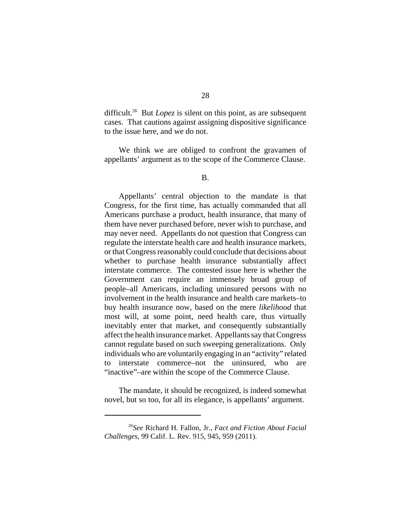difficult.<sup>26</sup> But *Lopez* is silent on this point, as are subsequent cases. That cautions against assigning dispositive significance to the issue here, and we do not.

We think we are obliged to confront the gravamen of appellants' argument as to the scope of the Commerce Clause.

B.

Appellants' central objection to the mandate is that Congress, for the first time, has actually commanded that all Americans purchase a product, health insurance, that many of them have never purchased before, never wish to purchase, and may never need. Appellants do not question that Congress can regulate the interstate health care and health insurance markets, or that Congress reasonably could conclude that decisions about whether to purchase health insurance substantially affect interstate commerce. The contested issue here is whether the Government can require an immensely broad group of people–all Americans, including uninsured persons with no involvement in the health insurance and health care markets–to buy health insurance now, based on the mere *likelihood* that most will, at some point, need health care, thus virtually inevitably enter that market, and consequently substantially affect the health insurance market. Appellants say that Congress cannot regulate based on such sweeping generalizations. Only individuals who are voluntarily engaging in an "activity" related to interstate commerce–not the uninsured, who are "inactive"–are within the scope of the Commerce Clause.

The mandate, it should be recognized, is indeed somewhat novel, but so too, for all its elegance, is appellants' argument.

<sup>26</sup>*See* Richard H. Fallon, Jr., *Fact and Fiction About Facial Challenges*, 99 Calif. L. Rev. 915, 945, 959 (2011).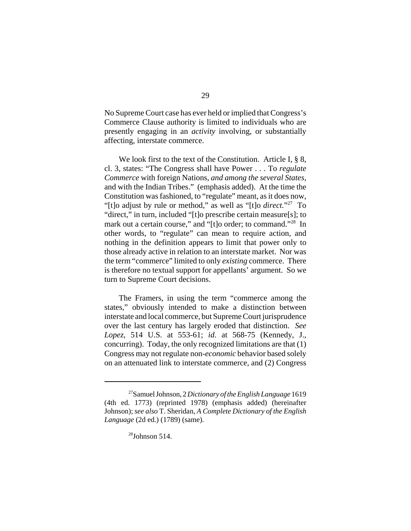No Supreme Court case has ever held or implied that Congress's Commerce Clause authority is limited to individuals who are presently engaging in an *activity* involving, or substantially affecting, interstate commerce.

We look first to the text of the Constitution. Article I, § 8, cl. 3, states: "The Congress shall have Power . . . To *regulate Commerce* with foreign Nations, *and among the several States,* and with the Indian Tribes." (emphasis added). At the time the Constitution was fashioned, to "regulate" meant, as it does now, "[t]o adjust by rule or method," as well as "[t]o *direct.*"27 To "direct," in turn, included "[t]o prescribe certain measure[s]; to mark out a certain course," and "[t]o order; to command."<sup>28</sup> In other words, to "regulate" can mean to require action, and nothing in the definition appears to limit that power only to those already active in relation to an interstate market. Nor was the term "commerce" limited to only *existing* commerce. There is therefore no textual support for appellants' argument. So we turn to Supreme Court decisions.

The Framers, in using the term "commerce among the states," obviously intended to make a distinction between interstate and local commerce, but Supreme Court jurisprudence over the last century has largely eroded that distinction. *See Lopez*, 514 U.S. at 553-61; *id.* at 568-75 (Kennedy, J., concurring). Today, the only recognized limitations are that (1) Congress may not regulate non-*economic* behavior based solely on an attenuated link to interstate commerce, and (2) Congress

<sup>27</sup>Samuel Johnson, 2 *Dictionary of the English Language* 1619 (4th ed. 1773) (reprinted 1978) (emphasis added) (hereinafter Johnson); *see also* T. Sheridan, *A Complete Dictionary of the English Language* (2d ed.) (1789) (same).

 $28$ Johnson 514.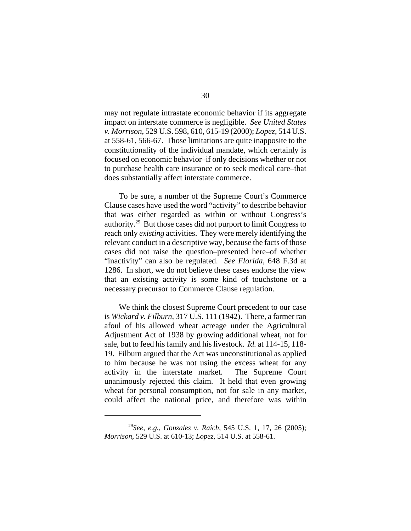may not regulate intrastate economic behavior if its aggregate impact on interstate commerce is negligible. *See United States v. Morrison*, 529 U.S. 598, 610, 615-19 (2000); *Lopez*, 514 U.S. at 558-61, 566-67. Those limitations are quite inapposite to the constitutionality of the individual mandate, which certainly is focused on economic behavior–if only decisions whether or not to purchase health care insurance or to seek medical care–that does substantially affect interstate commerce.

To be sure, a number of the Supreme Court's Commerce Clause cases have used the word "activity" to describe behavior that was either regarded as within or without Congress's authority.29 But those cases did not purport to limit Congress to reach only *existing* activities. They were merely identifying the relevant conduct in a descriptive way, because the facts of those cases did not raise the question–presented here–of whether "inactivity" can also be regulated. *See Florida*, 648 F.3d at 1286. In short, we do not believe these cases endorse the view that an existing activity is some kind of touchstone or a necessary precursor to Commerce Clause regulation.

We think the closest Supreme Court precedent to our case is *Wickard v. Filburn*, 317 U.S. 111 (1942).There, a farmer ran afoul of his allowed wheat acreage under the Agricultural Adjustment Act of 1938 by growing additional wheat, not for sale, but to feed his family and his livestock. *Id.* at 114-15, 118- 19. Filburn argued that the Act was unconstitutional as applied to him because he was not using the excess wheat for any activity in the interstate market. The Supreme Court unanimously rejected this claim. It held that even growing wheat for personal consumption, not for sale in any market, could affect the national price, and therefore was within

<sup>29</sup>*See, e.g.*, *Gonzales v. Raich*, 545 U.S. 1, 17, 26 (2005); *Morrison*, 529 U.S. at 610-13; *Lopez*, 514 U.S. at 558-61.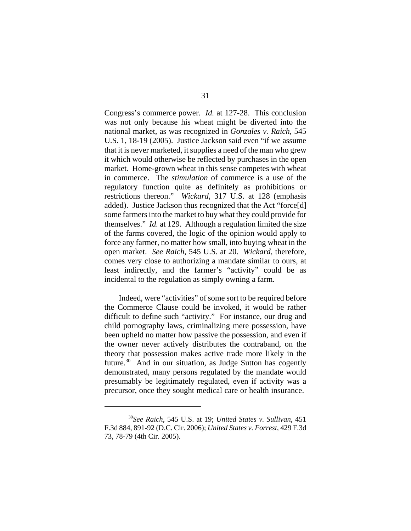Congress's commerce power. *Id.* at 127-28. This conclusion was not only because his wheat might be diverted into the national market, as was recognized in *Gonzales v. Raich*, 545 U.S. 1, 18-19 (2005). Justice Jackson said even "if we assume that it is never marketed, it supplies a need of the man who grew it which would otherwise be reflected by purchases in the open market. Home-grown wheat in this sense competes with wheat in commerce. The *stimulation* of commerce is a use of the regulatory function quite as definitely as prohibitions or restrictions thereon." *Wickard*, 317 U.S. at 128 (emphasis added). Justice Jackson thus recognized that the Act "force[d] some farmers into the market to buy what they could provide for themselves." *Id.* at 129. Although a regulation limited the size of the farms covered, the logic of the opinion would apply to force any farmer, no matter how small, into buying wheat in the open market. *See Raich*, 545 U.S. at 20. *Wickard*, therefore, comes very close to authorizing a mandate similar to ours, at least indirectly, and the farmer's "activity" could be as incidental to the regulation as simply owning a farm.

Indeed, were "activities" of some sort to be required before the Commerce Clause could be invoked, it would be rather difficult to define such "activity." For instance, our drug and child pornography laws, criminalizing mere possession, have been upheld no matter how passive the possession, and even if the owner never actively distributes the contraband, on the theory that possession makes active trade more likely in the future. $30$  And in our situation, as Judge Sutton has cogently demonstrated, many persons regulated by the mandate would presumably be legitimately regulated, even if activity was a precursor, once they sought medical care or health insurance.

<sup>30</sup>*See Raich*, 545 U.S. at 19; *United States v. Sullivan*, 451 F.3d 884, 891-92 (D.C. Cir. 2006); *United States v. Forrest*, 429 F.3d 73, 78-79 (4th Cir. 2005).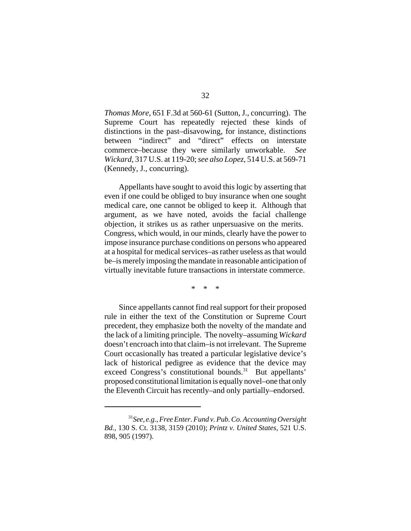*Thomas More*, 651 F.3d at 560-61 (Sutton, J., concurring). The Supreme Court has repeatedly rejected these kinds of distinctions in the past–disavowing, for instance, distinctions between "indirect" and "direct" effects on interstate commerce–because they were similarly unworkable. *See Wickard*, 317 U.S. at 119-20; *see also Lopez*, 514 U.S. at 569-71 (Kennedy, J., concurring).

Appellants have sought to avoid this logic by asserting that even if one could be obliged to buy insurance when one sought medical care, one cannot be obliged to keep it. Although that argument, as we have noted, avoids the facial challenge objection, it strikes us as rather unpersuasive on the merits. Congress, which would, in our minds, clearly have the power to impose insurance purchase conditions on persons who appeared at a hospital for medical services–as rather useless as that would be–is merely imposing the mandate in reasonable anticipation of virtually inevitable future transactions in interstate commerce.

\* \* \*

Since appellants cannot find real support for their proposed rule in either the text of the Constitution or Supreme Court precedent, they emphasize both the novelty of the mandate and the lack of a limiting principle. The novelty–assuming *Wickard* doesn't encroach into that claim–is not irrelevant. The Supreme Court occasionally has treated a particular legislative device's lack of historical pedigree as evidence that the device may exceed Congress's constitutional bounds.<sup>31</sup> But appellants' proposed constitutional limitation is equally novel–one that only the Eleventh Circuit has recently–and only partially–endorsed.

<sup>31</sup>*See, e.g.*, *Free Enter. Fund v. Pub. Co. Accounting Oversight Bd.*, 130 S. Ct. 3138, 3159 (2010); *Printz v. United States*, 521 U.S. 898, 905 (1997).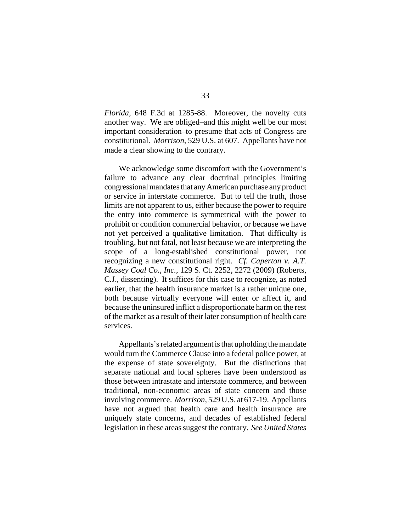*Florida*, 648 F.3d at 1285-88. Moreover, the novelty cuts another way. We are obliged–and this might well be our most important consideration–to presume that acts of Congress are constitutional. *Morrison*, 529 U.S. at 607. Appellants have not made a clear showing to the contrary.

We acknowledge some discomfort with the Government's failure to advance any clear doctrinal principles limiting congressional mandates that any American purchase any product or service in interstate commerce. But to tell the truth, those limits are not apparent to us, either because the power to require the entry into commerce is symmetrical with the power to prohibit or condition commercial behavior, or because we have not yet perceived a qualitative limitation. That difficulty is troubling, but not fatal, not least because we are interpreting the scope of a long-established constitutional power, not recognizing a new constitutional right. *Cf. Caperton v. A.T. Massey Coal Co., Inc.*, 129 S. Ct. 2252, 2272 (2009) (Roberts, C.J., dissenting). It suffices for this case to recognize, as noted earlier, that the health insurance market is a rather unique one, both because virtually everyone will enter or affect it, and because the uninsured inflict a disproportionate harm on the rest of the market as a result of their later consumption of health care services.

Appellants's related argument is that upholding the mandate would turn the Commerce Clause into a federal police power, at the expense of state sovereignty. But the distinctions that separate national and local spheres have been understood as those between intrastate and interstate commerce, and between traditional, non-economic areas of state concern and those involving commerce. *Morrison*, 529 U.S. at 617-19. Appellants have not argued that health care and health insurance are uniquely state concerns, and decades of established federal legislation in these areas suggest the contrary. *See United States*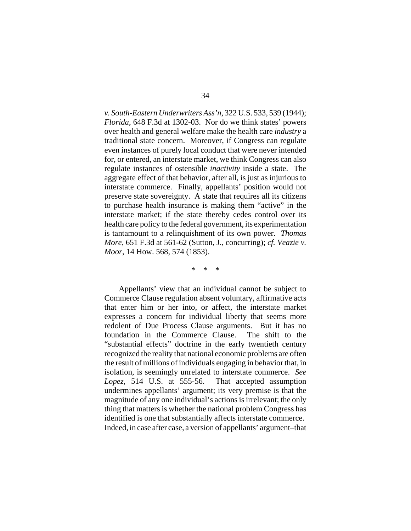*v. South-Eastern Underwriters Ass'n*, 322 U.S. 533, 539 (1944); *Florida*, 648 F.3d at 1302-03. Nor do we think states' powers over health and general welfare make the health care *industry* a traditional state concern. Moreover, if Congress can regulate even instances of purely local conduct that were never intended for, or entered, an interstate market, we think Congress can also regulate instances of ostensible *inactivity* inside a state. The aggregate effect of that behavior, after all, is just as injurious to interstate commerce. Finally, appellants' position would not preserve state sovereignty. A state that requires all its citizens to purchase health insurance is making them "active" in the interstate market; if the state thereby cedes control over its health care policy to the federal government, its experimentation is tantamount to a relinquishment of its own power. *Thomas More*, 651 F.3d at 561-62 (Sutton, J., concurring); *cf. Veazie v. Moor*, 14 How. 568, 574 (1853).

\* \* \*

Appellants' view that an individual cannot be subject to Commerce Clause regulation absent voluntary, affirmative acts that enter him or her into, or affect, the interstate market expresses a concern for individual liberty that seems more redolent of Due Process Clause arguments. But it has no foundation in the Commerce Clause. The shift to the "substantial effects" doctrine in the early twentieth century recognized the reality that national economic problems are often the result of millions of individuals engaging in behavior that, in isolation, is seemingly unrelated to interstate commerce. *See Lopez*, 514 U.S. at 555-56. That accepted assumption undermines appellants' argument; its very premise is that the magnitude of any one individual's actions is irrelevant; the only thing that matters is whether the national problem Congress has identified is one that substantially affects interstate commerce. Indeed, in case after case, a version of appellants' argument–that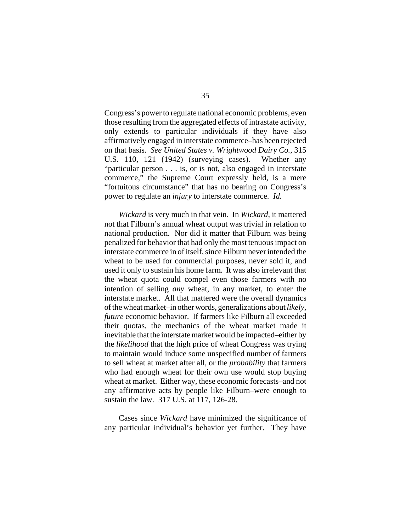Congress's power to regulate national economic problems, even those resulting from the aggregated effects of intrastate activity, only extends to particular individuals if they have also affirmatively engaged in interstate commerce–has been rejected on that basis. *See United States v. Wrightwood Dairy Co.*, 315 U.S. 110, 121 (1942) (surveying cases).Whether any "particular person . . . is, or is not, also engaged in interstate commerce," the Supreme Court expressly held, is a mere "fortuitous circumstance" that has no bearing on Congress's power to regulate an *injury* to interstate commerce. *Id.* 

*Wickard* is very much in that vein.In *Wickard*, it mattered not that Filburn's annual wheat output was trivial in relation to national production. Nor did it matter that Filburn was being penalized for behavior that had only the most tenuous impact on interstate commerce in of itself, since Filburn never intended the wheat to be used for commercial purposes, never sold it, and used it only to sustain his home farm. It was also irrelevant that the wheat quota could compel even those farmers with no intention of selling *any* wheat, in any market, to enter the interstate market. All that mattered were the overall dynamics of the wheat market–in other words, generalizations about *likely*, *future* economic behavior. If farmers like Filburn all exceeded their quotas, the mechanics of the wheat market made it inevitable that the interstate market would be impacted–either by the *likelihood* that the high price of wheat Congress was trying to maintain would induce some unspecified number of farmers to sell wheat at market after all, or the *probability* that farmers who had enough wheat for their own use would stop buying wheat at market. Either way, these economic forecasts–and not any affirmative acts by people like Filburn–were enough to sustain the law. 317 U.S. at 117, 126-28.

Cases since *Wickard* have minimized the significance of any particular individual's behavior yet further. They have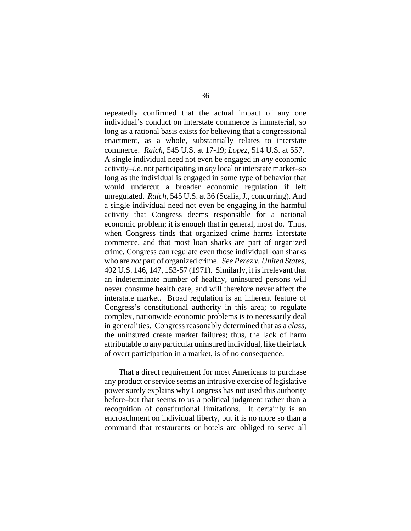repeatedly confirmed that the actual impact of any one individual's conduct on interstate commerce is immaterial, so long as a rational basis exists for believing that a congressional enactment, as a whole, substantially relates to interstate commerce. *Raich*, 545 U.S. at 17-19; *Lopez*, 514 U.S. at 557. A single individual need not even be engaged in *any* economic activity–*i.e.* not participating in *any* local or interstate market–so long as the individual is engaged in some type of behavior that would undercut a broader economic regulation if left unregulated. *Raich*, 545 U.S. at 36 (Scalia, J., concurring). And a single individual need not even be engaging in the harmful activity that Congress deems responsible for a national economic problem; it is enough that in general, most do. Thus, when Congress finds that organized crime harms interstate commerce, and that most loan sharks are part of organized crime, Congress can regulate even those individual loan sharks who are *not* part of organized crime. *See Perez v. United States*, 402 U.S. 146, 147, 153-57 (1971). Similarly, it is irrelevant that an indeterminate number of healthy, uninsured persons will never consume health care, and will therefore never affect the interstate market. Broad regulation is an inherent feature of Congress's constitutional authority in this area; to regulate complex, nationwide economic problems is to necessarily deal in generalities. Congress reasonably determined that as a *class*, the uninsured create market failures; thus, the lack of harm attributable to any particular uninsured individual, like their lack of overt participation in a market, is of no consequence.

That a direct requirement for most Americans to purchase any product or service seems an intrusive exercise of legislative power surely explains why Congress has not used this authority before–but that seems to us a political judgment rather than a recognition of constitutional limitations. It certainly is an encroachment on individual liberty, but it is no more so than a command that restaurants or hotels are obliged to serve all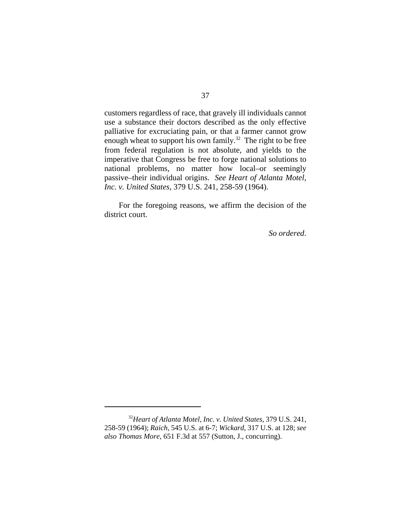customers regardless of race, that gravely ill individuals cannot use a substance their doctors described as the only effective palliative for excruciating pain, or that a farmer cannot grow enough wheat to support his own family.<sup>32</sup> The right to be free from federal regulation is not absolute, and yields to the imperative that Congress be free to forge national solutions to national problems, no matter how local–or seemingly passive–their individual origins. *See Heart of Atlanta Motel, Inc. v. United States*, 379 U.S. 241, 258-59 (1964).

For the foregoing reasons, we affirm the decision of the district court.

*So ordered*.

<sup>32</sup>*Heart of Atlanta Motel, Inc. v. United States*, 379 U.S. 241, 258-59 (1964); *Raich*, 545 U.S. at 6-7; *Wickard*, 317 U.S. at 128; *see also Thomas More*, 651 F.3d at 557 (Sutton, J., concurring).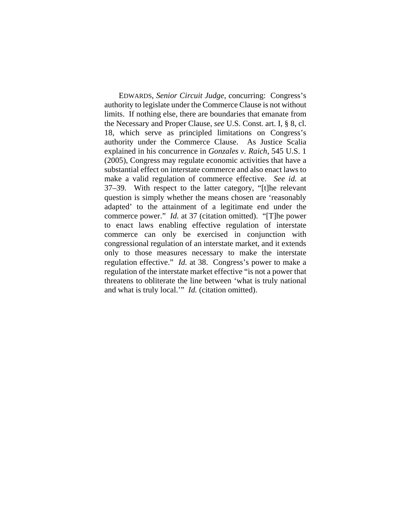EDWARDS, *Senior Circuit Judge*, concurring: Congress's authority to legislate under the Commerce Clause is not without limits. If nothing else, there are boundaries that emanate from the Necessary and Proper Clause, *see* U.S. Const. art. I, § 8, cl. 18, which serve as principled limitations on Congress's authority under the Commerce Clause. As Justice Scalia explained in his concurrence in *Gonzales v. Raich*, 545 U.S. 1 (2005), Congress may regulate economic activities that have a substantial effect on interstate commerce and also enact laws to make a valid regulation of commerce effective. *See id.* at 37–39. With respect to the latter category, "[t]he relevant question is simply whether the means chosen are 'reasonably adapted' to the attainment of a legitimate end under the commerce power." *Id.* at 37 (citation omitted). "[T]he power to enact laws enabling effective regulation of interstate commerce can only be exercised in conjunction with congressional regulation of an interstate market, and it extends only to those measures necessary to make the interstate regulation effective." *Id.* at 38. Congress's power to make a regulation of the interstate market effective "is not a power that threatens to obliterate the line between 'what is truly national and what is truly local.'" *Id.* (citation omitted).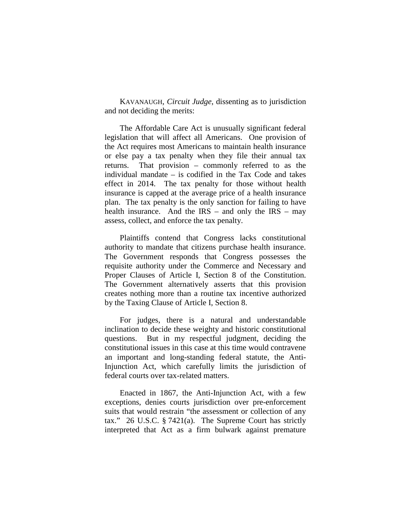KAVANAUGH, *Circuit Judge*, dissenting as to jurisdiction and not deciding the merits:

The Affordable Care Act is unusually significant federal legislation that will affect all Americans. One provision of the Act requires most Americans to maintain health insurance or else pay a tax penalty when they file their annual tax returns. That provision – commonly referred to as the individual mandate – is codified in the Tax Code and takes effect in 2014. The tax penalty for those without health insurance is capped at the average price of a health insurance plan. The tax penalty is the only sanction for failing to have health insurance. And the  $\text{IRS}$  – and only the  $\text{IRS}$  – may assess, collect, and enforce the tax penalty.

Plaintiffs contend that Congress lacks constitutional authority to mandate that citizens purchase health insurance. The Government responds that Congress possesses the requisite authority under the Commerce and Necessary and Proper Clauses of Article I, Section 8 of the Constitution. The Government alternatively asserts that this provision creates nothing more than a routine tax incentive authorized by the Taxing Clause of Article I, Section 8.

For judges, there is a natural and understandable inclination to decide these weighty and historic constitutional questions. But in my respectful judgment, deciding the constitutional issues in this case at this time would contravene an important and long-standing federal statute, the Anti-Injunction Act, which carefully limits the jurisdiction of federal courts over tax-related matters.

Enacted in 1867, the Anti-Injunction Act, with a few exceptions, denies courts jurisdiction over pre-enforcement suits that would restrain "the assessment or collection of any tax." 26 U.S.C. § 7421(a). The Supreme Court has strictly interpreted that Act as a firm bulwark against premature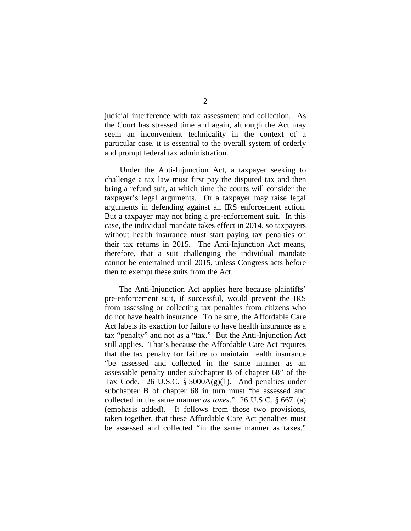judicial interference with tax assessment and collection. As the Court has stressed time and again, although the Act may seem an inconvenient technicality in the context of a particular case, it is essential to the overall system of orderly and prompt federal tax administration.

Under the Anti-Injunction Act, a taxpayer seeking to challenge a tax law must first pay the disputed tax and then bring a refund suit, at which time the courts will consider the taxpayer's legal arguments. Or a taxpayer may raise legal arguments in defending against an IRS enforcement action. But a taxpayer may not bring a pre-enforcement suit. In this case, the individual mandate takes effect in 2014, so taxpayers without health insurance must start paying tax penalties on their tax returns in 2015. The Anti-Injunction Act means, therefore, that a suit challenging the individual mandate cannot be entertained until 2015, unless Congress acts before then to exempt these suits from the Act.

The Anti-Injunction Act applies here because plaintiffs' pre-enforcement suit, if successful, would prevent the IRS from assessing or collecting tax penalties from citizens who do not have health insurance. To be sure, the Affordable Care Act labels its exaction for failure to have health insurance as a tax "penalty" and not as a "tax." But the Anti-Injunction Act still applies. That's because the Affordable Care Act requires that the tax penalty for failure to maintain health insurance "be assessed and collected in the same manner as an assessable penalty under subchapter B of chapter 68" of the Tax Code. 26 U.S.C.  $\S$  5000A(g)(1). And penalties under subchapter B of chapter 68 in turn must "be assessed and collected in the same manner *as taxes*." 26 U.S.C. § 6671(a) (emphasis added). It follows from those two provisions, taken together, that these Affordable Care Act penalties must be assessed and collected "in the same manner as taxes."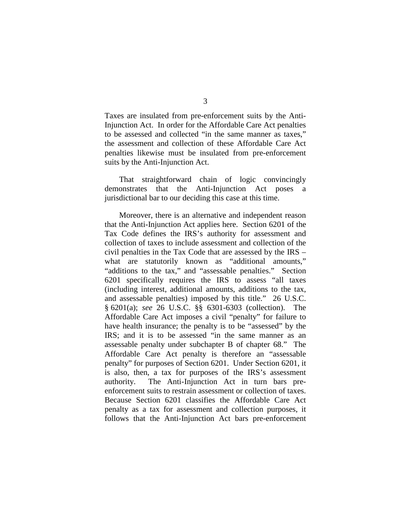Taxes are insulated from pre-enforcement suits by the Anti-Injunction Act. In order for the Affordable Care Act penalties to be assessed and collected "in the same manner as taxes," the assessment and collection of these Affordable Care Act penalties likewise must be insulated from pre-enforcement suits by the Anti-Injunction Act.

That straightforward chain of logic convincingly demonstrates that the Anti-Injunction Act poses a jurisdictional bar to our deciding this case at this time.

Moreover, there is an alternative and independent reason that the Anti-Injunction Act applies here. Section 6201 of the Tax Code defines the IRS's authority for assessment and collection of taxes to include assessment and collection of the civil penalties in the Tax Code that are assessed by the IRS – what are statutorily known as "additional amounts," "additions to the tax," and "assessable penalties." Section 6201 specifically requires the IRS to assess "all taxes (including interest, additional amounts, additions to the tax, and assessable penalties) imposed by this title." 26 U.S.C. § 6201(a); *see* 26 U.S.C. §§ 6301-6303 (collection). The Affordable Care Act imposes a civil "penalty" for failure to have health insurance; the penalty is to be "assessed" by the IRS; and it is to be assessed "in the same manner as an assessable penalty under subchapter B of chapter 68." The Affordable Care Act penalty is therefore an "assessable penalty" for purposes of Section 6201. Under Section 6201, it is also, then, a tax for purposes of the IRS's assessment authority. The Anti-Injunction Act in turn bars preenforcement suits to restrain assessment or collection of taxes. Because Section 6201 classifies the Affordable Care Act penalty as a tax for assessment and collection purposes, it follows that the Anti-Injunction Act bars pre-enforcement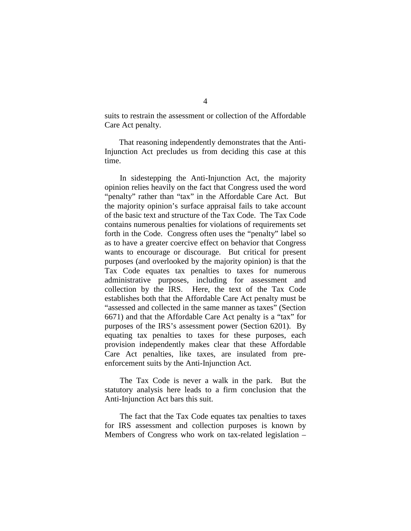suits to restrain the assessment or collection of the Affordable Care Act penalty.

That reasoning independently demonstrates that the Anti-Injunction Act precludes us from deciding this case at this time.

In sidestepping the Anti-Injunction Act, the majority opinion relies heavily on the fact that Congress used the word "penalty" rather than "tax" in the Affordable Care Act. But the majority opinion's surface appraisal fails to take account of the basic text and structure of the Tax Code. The Tax Code contains numerous penalties for violations of requirements set forth in the Code. Congress often uses the "penalty" label so as to have a greater coercive effect on behavior that Congress wants to encourage or discourage. But critical for present purposes (and overlooked by the majority opinion) is that the Tax Code equates tax penalties to taxes for numerous administrative purposes, including for assessment and collection by the IRS. Here, the text of the Tax Code establishes both that the Affordable Care Act penalty must be "assessed and collected in the same manner as taxes" (Section 6671) and that the Affordable Care Act penalty is a "tax" for purposes of the IRS's assessment power (Section 6201). By equating tax penalties to taxes for these purposes, each provision independently makes clear that these Affordable Care Act penalties, like taxes, are insulated from preenforcement suits by the Anti-Injunction Act.

The Tax Code is never a walk in the park. But the statutory analysis here leads to a firm conclusion that the Anti-Injunction Act bars this suit.

The fact that the Tax Code equates tax penalties to taxes for IRS assessment and collection purposes is known by Members of Congress who work on tax-related legislation –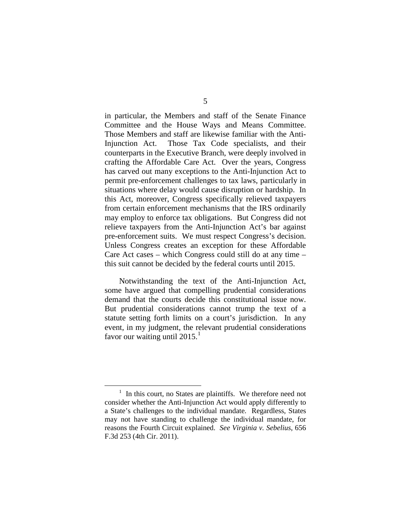in particular, the Members and staff of the Senate Finance Committee and the House Ways and Means Committee. Those Members and staff are likewise familiar with the Anti-Injunction Act. Those Tax Code specialists, and their counterparts in the Executive Branch, were deeply involved in crafting the Affordable Care Act. Over the years, Congress has carved out many exceptions to the Anti-Injunction Act to permit pre-enforcement challenges to tax laws, particularly in situations where delay would cause disruption or hardship. In this Act, moreover, Congress specifically relieved taxpayers from certain enforcement mechanisms that the IRS ordinarily may employ to enforce tax obligations. But Congress did not relieve taxpayers from the Anti-Injunction Act's bar against pre-enforcement suits. We must respect Congress's decision. Unless Congress creates an exception for these Affordable Care Act cases – which Congress could still do at any time – this suit cannot be decided by the federal courts until 2015.

Notwithstanding the text of the Anti-Injunction Act, some have argued that compelling prudential considerations demand that the courts decide this constitutional issue now. But prudential considerations cannot trump the text of a statute setting forth limits on a court's jurisdiction. In any event, in my judgment, the relevant prudential considerations favor our waiting until  $2015.<sup>1</sup>$  $2015.<sup>1</sup>$  $2015.<sup>1</sup>$ 

<span id="page-42-0"></span> <sup>1</sup>  $<sup>1</sup>$  In this court, no States are plaintiffs. We therefore need not</sup> consider whether the Anti-Injunction Act would apply differently to a State's challenges to the individual mandate. Regardless, States may not have standing to challenge the individual mandate, for reasons the Fourth Circuit explained. *See Virginia v. Sebelius*, 656 F.3d 253 (4th Cir. 2011).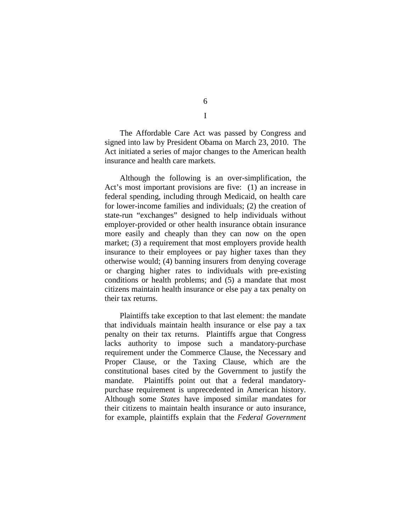The Affordable Care Act was passed by Congress and signed into law by President Obama on March 23, 2010. The Act initiated a series of major changes to the American health insurance and health care markets.

Although the following is an over-simplification, the Act's most important provisions are five: (1) an increase in federal spending, including through Medicaid, on health care for lower-income families and individuals; (2) the creation of state-run "exchanges" designed to help individuals without employer-provided or other health insurance obtain insurance more easily and cheaply than they can now on the open market; (3) a requirement that most employers provide health insurance to their employees or pay higher taxes than they otherwise would; (4) banning insurers from denying coverage or charging higher rates to individuals with pre-existing conditions or health problems; and (5) a mandate that most citizens maintain health insurance or else pay a tax penalty on their tax returns.

Plaintiffs take exception to that last element: the mandate that individuals maintain health insurance or else pay a tax penalty on their tax returns. Plaintiffs argue that Congress lacks authority to impose such a mandatory-purchase requirement under the Commerce Clause, the Necessary and Proper Clause, or the Taxing Clause, which are the constitutional bases cited by the Government to justify the mandate. Plaintiffs point out that a federal mandatorypurchase requirement is unprecedented in American history. Although some *States* have imposed similar mandates for their citizens to maintain health insurance or auto insurance, for example, plaintiffs explain that the *Federal Government* 

6 I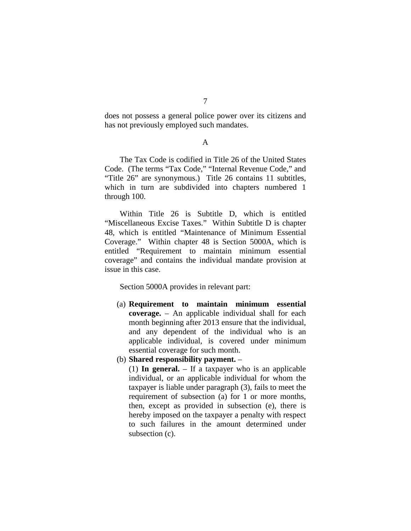does not possess a general police power over its citizens and has not previously employed such mandates.

## A

The Tax Code is codified in Title 26 of the United States Code. (The terms "Tax Code," "Internal Revenue Code," and "Title 26" are synonymous.) Title 26 contains 11 subtitles, which in turn are subdivided into chapters numbered 1 through 100.

Within Title 26 is Subtitle D, which is entitled "Miscellaneous Excise Taxes." Within Subtitle D is chapter 48, which is entitled "Maintenance of Minimum Essential Coverage." Within chapter 48 is Section 5000A, which is entitled "Requirement to maintain minimum essential coverage" and contains the individual mandate provision at issue in this case.

Section 5000A provides in relevant part:

- (a) **Requirement to maintain minimum essential coverage.** – An applicable individual shall for each month beginning after 2013 ensure that the individual, and any dependent of the individual who is an applicable individual, is covered under minimum essential coverage for such month.
- (b) **Shared responsibility payment.** –

(1) **In general.** – If a taxpayer who is an applicable individual, or an applicable individual for whom the taxpayer is liable under paragraph (3), fails to meet the requirement of subsection (a) for 1 or more months, then, except as provided in subsection (e), there is hereby imposed on the taxpayer a penalty with respect to such failures in the amount determined under subsection (c).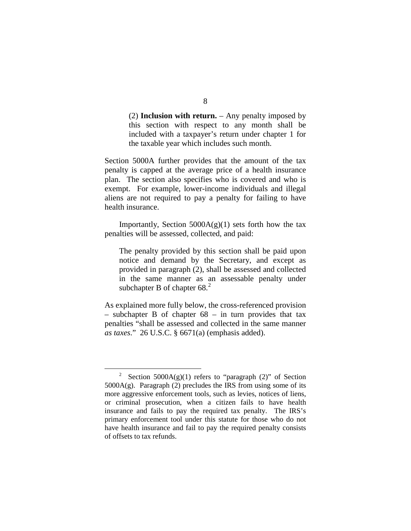(2) **Inclusion with return.** – Any penalty imposed by this section with respect to any month shall be included with a taxpayer's return under chapter 1 for the taxable year which includes such month.

Section 5000A further provides that the amount of the tax penalty is capped at the average price of a health insurance plan. The section also specifies who is covered and who is exempt. For example, lower-income individuals and illegal aliens are not required to pay a penalty for failing to have health insurance.

Importantly, Section  $5000A(g)(1)$  sets forth how the tax penalties will be assessed, collected, and paid:

The penalty provided by this section shall be paid upon notice and demand by the Secretary, and except as provided in paragraph (2), shall be assessed and collected in the same manner as an assessable penalty under subchapter B of chapter  $68<sup>2</sup>$  $68<sup>2</sup>$  $68<sup>2</sup>$ 

As explained more fully below, the cross-referenced provision – subchapter B of chapter  $68$  – in turn provides that tax penalties "shall be assessed and collected in the same manner *as taxes*." 26 U.S.C. § 6671(a) (emphasis added).

<span id="page-45-0"></span> <sup>2</sup> Section  $5000A(g)(1)$  refers to "paragraph (2)" of Section  $5000A(g)$ . Paragraph (2) precludes the IRS from using some of its more aggressive enforcement tools, such as levies, notices of liens, or criminal prosecution, when a citizen fails to have health insurance and fails to pay the required tax penalty. The IRS's primary enforcement tool under this statute for those who do not have health insurance and fail to pay the required penalty consists of offsets to tax refunds.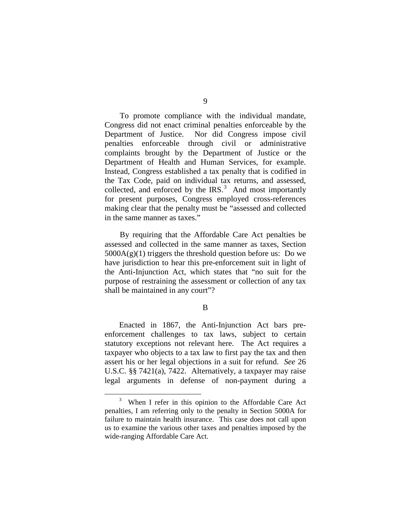To promote compliance with the individual mandate, Congress did not enact criminal penalties enforceable by the Department of Justice. Nor did Congress impose civil penalties enforceable through civil or administrative complaints brought by the Department of Justice or the Department of Health and Human Services, for example. Instead, Congress established a tax penalty that is codified in the Tax Code, paid on individual tax returns, and assessed, collected, and enforced by the IRS. $3$  And most importantly for present purposes, Congress employed cross-references making clear that the penalty must be "assessed and collected in the same manner as taxes."

By requiring that the Affordable Care Act penalties be assessed and collected in the same manner as taxes, Section  $5000A(g)(1)$  triggers the threshold question before us: Do we have jurisdiction to hear this pre-enforcement suit in light of the Anti-Injunction Act, which states that "no suit for the purpose of restraining the assessment or collection of any tax shall be maintained in any court"?

## B

Enacted in 1867, the Anti-Injunction Act bars preenforcement challenges to tax laws, subject to certain statutory exceptions not relevant here. The Act requires a taxpayer who objects to a tax law to first pay the tax and then assert his or her legal objections in a suit for refund. *See* 26 U.S.C. §§ 7421(a), 7422. Alternatively, a taxpayer may raise legal arguments in defense of non-payment during a

<span id="page-46-0"></span> $\frac{1}{3}$  $3$  When I refer in this opinion to the Affordable Care Act penalties, I am referring only to the penalty in Section 5000A for failure to maintain health insurance. This case does not call upon us to examine the various other taxes and penalties imposed by the wide-ranging Affordable Care Act.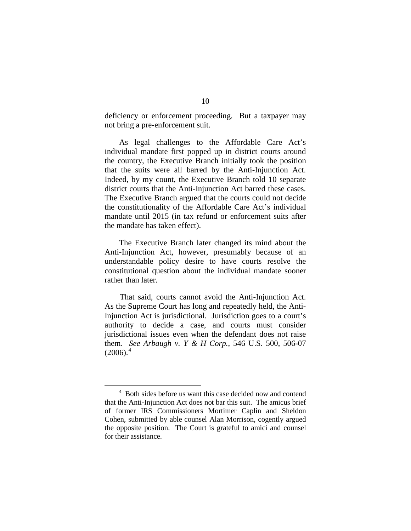deficiency or enforcement proceeding. But a taxpayer may not bring a pre-enforcement suit.

As legal challenges to the Affordable Care Act's individual mandate first popped up in district courts around the country, the Executive Branch initially took the position that the suits were all barred by the Anti-Injunction Act. Indeed, by my count, the Executive Branch told 10 separate district courts that the Anti-Injunction Act barred these cases. The Executive Branch argued that the courts could not decide the constitutionality of the Affordable Care Act's individual mandate until 2015 (in tax refund or enforcement suits after the mandate has taken effect).

The Executive Branch later changed its mind about the Anti-Injunction Act, however, presumably because of an understandable policy desire to have courts resolve the constitutional question about the individual mandate sooner rather than later.

That said, courts cannot avoid the Anti-Injunction Act. As the Supreme Court has long and repeatedly held, the Anti-Injunction Act is jurisdictional. Jurisdiction goes to a court's authority to decide a case, and courts must consider jurisdictional issues even when the defendant does not raise them. *See Arbaugh v. Y & H Corp.*, 546 U.S. 500, 506-07  $(2006)<sup>4</sup>$  $(2006)<sup>4</sup>$  $(2006)<sup>4</sup>$ 

<span id="page-47-0"></span> $\overline{4}$ <sup>4</sup> Both sides before us want this case decided now and contend that the Anti-Injunction Act does not bar this suit. The amicus brief of former IRS Commissioners Mortimer Caplin and Sheldon Cohen, submitted by able counsel Alan Morrison, cogently argued the opposite position. The Court is grateful to amici and counsel for their assistance.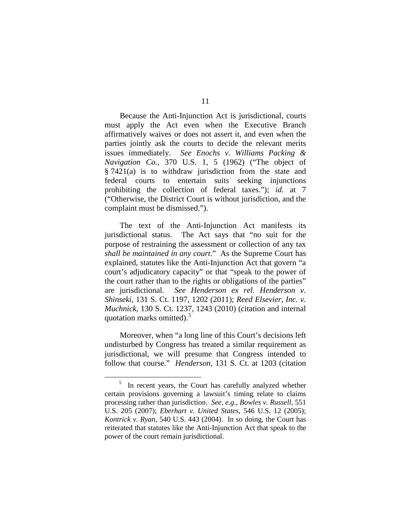Because the Anti-Injunction Act is jurisdictional, courts must apply the Act even when the Executive Branch affirmatively waives or does not assert it, and even when the parties jointly ask the courts to decide the relevant merits issues immediately. *See Enochs v. Williams Packing & Navigation Co.*, 370 U.S. 1, 5 (1962) ("The object of § 7421(a) is to withdraw jurisdiction from the state and federal courts to entertain suits seeking injunctions prohibiting the collection of federal taxes."); *id.* at 7 ("Otherwise, the District Court is without jurisdiction, and the complaint must be dismissed.").

The text of the Anti-Injunction Act manifests its jurisdictional status. The Act says that "no suit for the purpose of restraining the assessment or collection of any tax *shall be maintained in any court*." As the Supreme Court has explained, statutes like the Anti-Injunction Act that govern "a court's adjudicatory capacity" or that "speak to the power of the court rather than to the rights or obligations of the parties" are jurisdictional. *See Henderson ex rel. Henderson v. Shinseki*, 131 S. Ct. 1197, 1202 (2011); *Reed Elsevier, Inc. v. Muchnick*, 130 S. Ct. 1237, 1243 (2010) (citation and internal quotation marks omitted).<sup>[5](#page-48-0)</sup>

Moreover, when "a long line of this Court's decisions left undisturbed by Congress has treated a similar requirement as jurisdictional, we will presume that Congress intended to follow that course." *Henderson*, 131 S. Ct. at 1203 (citation

<span id="page-48-0"></span> $\frac{1}{5}$  $\frac{5}{10}$  In recent years, the Court has carefully analyzed whether certain provisions governing a lawsuit's timing relate to claims processing rather than jurisdiction. *See, e.g.*, *Bowles v. Russell*, 551 U.S. 205 (2007); *Eberhart v. United States*, 546 U.S. 12 (2005); *Kontrick v. Ryan*, 540 U.S. 443 (2004). In so doing, the Court has reiterated that statutes like the Anti-Injunction Act that speak to the power of the court remain jurisdictional.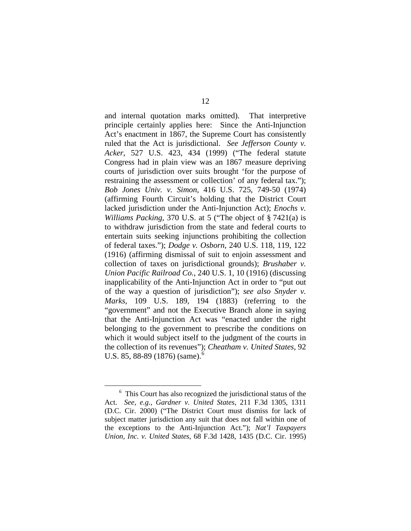and internal quotation marks omitted). That interpretive principle certainly applies here: Since the Anti-Injunction Act's enactment in 1867, the Supreme Court has consistently ruled that the Act is jurisdictional. *See Jefferson County v. Acker*, 527 U.S. 423, 434 (1999) ("The federal statute Congress had in plain view was an 1867 measure depriving courts of jurisdiction over suits brought 'for the purpose of restraining the assessment or collection' of any federal tax."); *Bob Jones Univ. v. Simon*, 416 U.S. 725, 749-50 (1974) (affirming Fourth Circuit's holding that the District Court lacked jurisdiction under the Anti-Injunction Act); *Enochs v. Williams Packing*, 370 U.S. at 5 ("The object of § 7421(a) is to withdraw jurisdiction from the state and federal courts to entertain suits seeking injunctions prohibiting the collection of federal taxes."); *Dodge v. Osborn*, 240 U.S. 118, 119, 122 (1916) (affirming dismissal of suit to enjoin assessment and collection of taxes on jurisdictional grounds); *Brushaber v. Union Pacific Railroad Co.*, 240 U.S. 1, 10 (1916) (discussing inapplicability of the Anti-Injunction Act in order to "put out of the way a question of jurisdiction"); *see also Snyder v. Marks*, 109 U.S. 189, 194 (1883) (referring to the "government" and not the Executive Branch alone in saying that the Anti-Injunction Act was "enacted under the right belonging to the government to prescribe the conditions on which it would subject itself to the judgment of the courts in the collection of its revenues"); *Cheatham v. United States*, 92 U.S. 85, 88-89 (187[6](#page-49-0)) (same).

<span id="page-49-0"></span> $\overline{6}$  $6$  This Court has also recognized the jurisdictional status of the Act. *See, e.g.*, *Gardner v. United States*, 211 F.3d 1305, 1311 (D.C. Cir. 2000) ("The District Court must dismiss for lack of subject matter jurisdiction any suit that does not fall within one of the exceptions to the Anti-Injunction Act."); *Nat'l Taxpayers Union, Inc. v. United States*, 68 F.3d 1428, 1435 (D.C. Cir. 1995)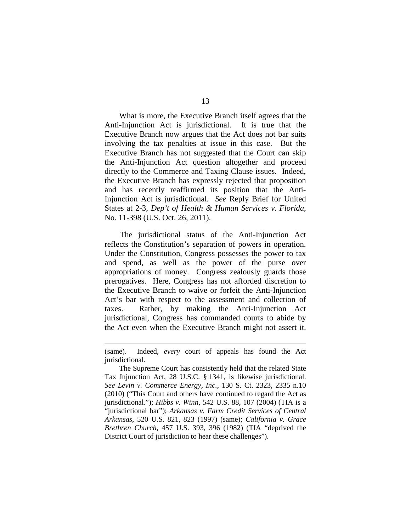What is more, the Executive Branch itself agrees that the Anti-Injunction Act is jurisdictional. It is true that the Executive Branch now argues that the Act does not bar suits involving the tax penalties at issue in this case. But the Executive Branch has not suggested that the Court can skip the Anti-Injunction Act question altogether and proceed directly to the Commerce and Taxing Clause issues. Indeed, the Executive Branch has expressly rejected that proposition and has recently reaffirmed its position that the Anti-Injunction Act is jurisdictional. *See* Reply Brief for United States at 2-3, *Dep't of Health & Human Services v. Florida*, No. 11-398 (U.S. Oct. 26, 2011).

The jurisdictional status of the Anti-Injunction Act reflects the Constitution's separation of powers in operation. Under the Constitution, Congress possesses the power to tax and spend, as well as the power of the purse over appropriations of money. Congress zealously guards those prerogatives. Here, Congress has not afforded discretion to the Executive Branch to waive or forfeit the Anti-Injunction Act's bar with respect to the assessment and collection of taxes. Rather, by making the Anti-Injunction Act jurisdictional, Congress has commanded courts to abide by the Act even when the Executive Branch might not assert it.

<sup>(</sup>same). Indeed, *every* court of appeals has found the Act jurisdictional.

The Supreme Court has consistently held that the related State Tax Injunction Act, 28 U.S.C. § 1341, is likewise jurisdictional. *See Levin v. Commerce Energy, Inc.*, 130 S. Ct. 2323, 2335 n.10 (2010) ("This Court and others have continued to regard the Act as jurisdictional."); *Hibbs v. Winn*, 542 U.S. 88, 107 (2004) (TIA is a "jurisdictional bar"); *Arkansas v. Farm Credit Services of Central Arkansas*, 520 U.S. 821, 823 (1997) (same); *California v. Grace Brethren Church*, 457 U.S. 393, 396 (1982) (TIA "deprived the District Court of jurisdiction to hear these challenges").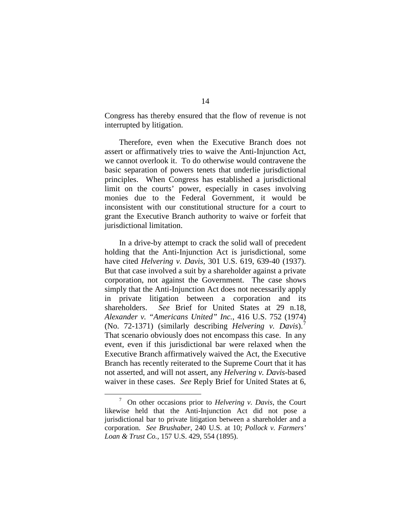Congress has thereby ensured that the flow of revenue is not interrupted by litigation.

Therefore, even when the Executive Branch does not assert or affirmatively tries to waive the Anti-Injunction Act, we cannot overlook it. To do otherwise would contravene the basic separation of powers tenets that underlie jurisdictional principles. When Congress has established a jurisdictional limit on the courts' power, especially in cases involving monies due to the Federal Government, it would be inconsistent with our constitutional structure for a court to grant the Executive Branch authority to waive or forfeit that jurisdictional limitation.

In a drive-by attempt to crack the solid wall of precedent holding that the Anti-Injunction Act is jurisdictional, some have cited *Helvering v. Davis*, 301 U.S. 619, 639-40 (1937). But that case involved a suit by a shareholder against a private corporation, not against the Government. The case shows simply that the Anti-Injunction Act does not necessarily apply in private litigation between a corporation and its shareholders. *See* Brief for United States at 29 n.18, *Alexander v. "Americans United" Inc.*, 416 U.S. 752 (1974) (No. 72-1371) (similarly describing *Helvering v. Davis*).[7](#page-51-0) That scenario obviously does not encompass this case. In any event, even if this jurisdictional bar were relaxed when the Executive Branch affirmatively waived the Act, the Executive Branch has recently reiterated to the Supreme Court that it has not asserted, and will not assert, any *Helvering v. Davis*-based waiver in these cases. *See* Reply Brief for United States at 6,

<span id="page-51-0"></span> $\overline{7}$  On other occasions prior to *Helvering v. Davis*, the Court likewise held that the Anti-Injunction Act did not pose a jurisdictional bar to private litigation between a shareholder and a corporation. *See Brushaber*, 240 U.S. at 10; *Pollock v. Farmers' Loan & Trust Co.*, 157 U.S. 429, 554 (1895).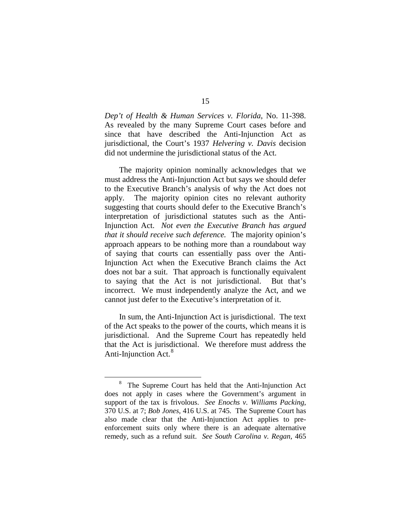*Dep't of Health & Human Services v. Florida*, No. 11-398. As revealed by the many Supreme Court cases before and since that have described the Anti-Injunction Act as jurisdictional, the Court's 1937 *Helvering v. Davis* decision did not undermine the jurisdictional status of the Act.

The majority opinion nominally acknowledges that we must address the Anti-Injunction Act but says we should defer to the Executive Branch's analysis of why the Act does not apply. The majority opinion cites no relevant authority suggesting that courts should defer to the Executive Branch's interpretation of jurisdictional statutes such as the Anti-Injunction Act. *Not even the Executive Branch has argued that it should receive such deference.* The majority opinion's approach appears to be nothing more than a roundabout way of saying that courts can essentially pass over the Anti-Injunction Act when the Executive Branch claims the Act does not bar a suit. That approach is functionally equivalent to saying that the Act is not jurisdictional. But that's incorrect. We must independently analyze the Act, and we cannot just defer to the Executive's interpretation of it.

In sum, the Anti-Injunction Act is jurisdictional. The text of the Act speaks to the power of the courts, which means it is jurisdictional. And the Supreme Court has repeatedly held that the Act is jurisdictional. We therefore must address the Anti-Injunction Act.<sup>[8](#page-52-0)</sup>

<span id="page-52-0"></span> <sup>8</sup> <sup>8</sup> The Supreme Court has held that the Anti-Injunction Act does not apply in cases where the Government's argument in support of the tax is frivolous. *See Enochs v. Williams Packing*, 370 U.S. at 7; *Bob Jones*, 416 U.S. at 745. The Supreme Court has also made clear that the Anti-Injunction Act applies to preenforcement suits only where there is an adequate alternative remedy, such as a refund suit. *See South Carolina v. Regan*, 465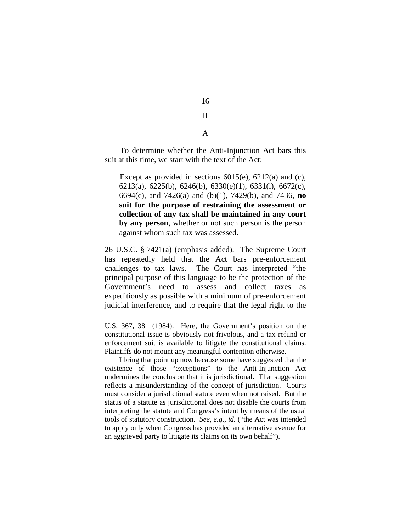II

16

A

To determine whether the Anti-Injunction Act bars this suit at this time, we start with the text of the Act:

Except as provided in sections [6015\(e\),](http://www.law.cornell.edu/uscode/html/uscode26/usc_sec_26_00006015----000-.html) [6212\(a\)](http://www.law.cornell.edu/uscode/html/uscode26/usc_sec_26_00006212----000-.html) and (c), [6213\(a\),](http://www.law.cornell.edu/uscode/html/uscode26/usc_sec_26_00006213----000-.html) [6225\(b\),](http://www.law.cornell.edu/uscode/html/uscode26/usc_sec_26_00006225----000-.html) [6246\(b\),](http://www.law.cornell.edu/uscode/html/uscode26/usc_sec_26_00006246----000-.html) [6330\(e\)\(1\),](http://www.law.cornell.edu/uscode/html/uscode26/usc_sec_26_00006330----000-.html) [6331\(i\),](http://www.law.cornell.edu/uscode/html/uscode26/usc_sec_26_00006331----000-.html) [6672\(c\),](http://www.law.cornell.edu/uscode/html/uscode26/usc_sec_26_00006672----000-.html) [6694\(c\),](http://www.law.cornell.edu/uscode/html/uscode26/usc_sec_26_00006694----000-.html) and [7426\(a\)](http://www.law.cornell.edu/uscode/html/uscode26/usc_sec_26_00007426----000-.html) and (b)(1), [7429\(b\),](http://www.law.cornell.edu/uscode/html/uscode26/usc_sec_26_00007429----000-.html) and [7436,](http://www.law.cornell.edu/uscode/html/uscode26/usc_sec_26_00007436----000-.html) **no suit for the purpose of restraining the assessment or collection of any tax shall be maintained in any court by any person**, whether or not such person is the person against whom such tax was assessed.

26 U.S.C. § 7421(a) (emphasis added). The Supreme Court has repeatedly held that the Act bars pre-enforcement challenges to tax laws. The Court has interpreted "the principal purpose of this language to be the protection of the Government's need to assess and collect taxes as expeditiously as possible with a minimum of pre-enforcement judicial interference, and to require that the legal right to the

U.S. 367, 381 (1984). Here, the Government's position on the constitutional issue is obviously not frivolous, and a tax refund or enforcement suit is available to litigate the constitutional claims. Plaintiffs do not mount any meaningful contention otherwise.

 $\overline{a}$ 

I bring that point up now because some have suggested that the existence of those "exceptions" to the Anti-Injunction Act undermines the conclusion that it is jurisdictional. That suggestion reflects a misunderstanding of the concept of jurisdiction. Courts must consider a jurisdictional statute even when not raised. But the status of a statute as jurisdictional does not disable the courts from interpreting the statute and Congress's intent by means of the usual tools of statutory construction. *See, e.g.*, *id.* ("the Act was intended to apply only when Congress has provided an alternative avenue for an aggrieved party to litigate its claims on its own behalf").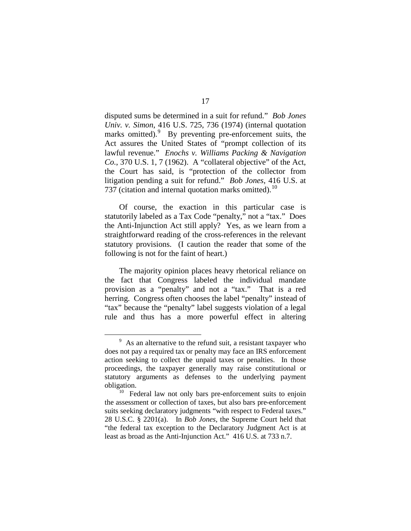disputed sums be determined in a suit for refund." *Bob Jones Univ. v. Simon*, 416 U.S. 725, 736 (1974) (internal quotation marks omitted). By preventing pre-enforcement suits, the Act assures the United States of "prompt collection of its lawful revenue." *Enochs v. Williams Packing & Navigation Co.*, 370 U.S. 1, 7 (1962). A "collateral objective" of the Act, the Court has said, is "protection of the collector from litigation pending a suit for refund." *Bob Jones*, 416 U.S. at 737 (citation and internal quotation marks omitted).<sup>[10](#page-54-1)</sup>

Of course, the exaction in this particular case is statutorily labeled as a Tax Code "penalty," not a "tax." Does the Anti-Injunction Act still apply? Yes, as we learn from a straightforward reading of the cross-references in the relevant statutory provisions. (I caution the reader that some of the following is not for the faint of heart.)

The majority opinion places heavy rhetorical reliance on the fact that Congress labeled the individual mandate provision as a "penalty" and not a "tax." That is a red herring. Congress often chooses the label "penalty" instead of "tax" because the "penalty" label suggests violation of a legal rule and thus has a more powerful effect in altering

<span id="page-54-0"></span> $\frac{1}{9}$  $\frac{9}{9}$  As an alternative to the refund suit, a resistant taxpayer who does not pay a required tax or penalty may face an IRS enforcement action seeking to collect the unpaid taxes or penalties. In those proceedings, the taxpayer generally may raise constitutional or statutory arguments as defenses to the underlying payment obligation.

<span id="page-54-1"></span><sup>&</sup>lt;sup>10</sup> Federal law not only bars pre-enforcement suits to enjoin the assessment or collection of taxes, but also bars pre-enforcement suits seeking declaratory judgments "with respect to Federal taxes." 28 U.S.C. § 2201(a). In *Bob Jones*, the Supreme Court held that "the federal tax exception to the Declaratory Judgment Act is at least as broad as the Anti-Injunction Act." 416 U.S. at 733 n.7.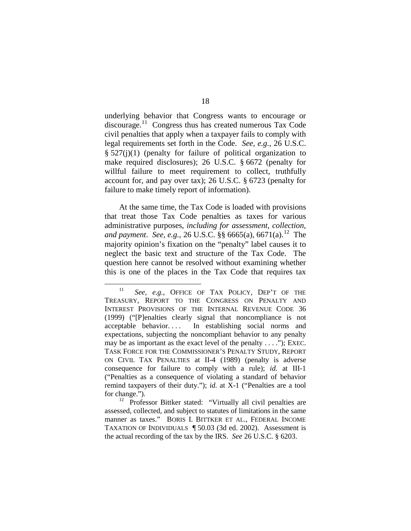underlying behavior that Congress wants to encourage or discourage.[11](#page-55-0) Congress thus has created numerous Tax Code civil penalties that apply when a taxpayer fails to comply with legal requirements set forth in the Code. *See, e.g.*, 26 U.S.C.  $\S$  527(j)(1) (penalty for failure of political organization to make required disclosures); 26 U.S.C. § 6672 (penalty for willful failure to meet requirement to collect, truthfully account for, and pay over tax); 26 U.S.C. § 6723 (penalty for failure to make timely report of information).

At the same time, the Tax Code is loaded with provisions that treat those Tax Code penalties as taxes for various administrative purposes, *including for assessment, collection, and payment*. *See, e.g.*, 26 U.S.C. §§ 6665(a), 6671(a). [12](#page-55-1) The majority opinion's fixation on the "penalty" label causes it to neglect the basic text and structure of the Tax Code. The question here cannot be resolved without examining whether this is one of the places in the Tax Code that requires tax

<span id="page-55-0"></span> <sup>11</sup> *See, e.g.*, OFFICE OF TAX POLICY, DEP'T OF THE TREASURY, REPORT TO THE CONGRESS ON PENALTY AND INTEREST PROVISIONS OF THE INTERNAL REVENUE CODE 36 (1999) ("[P]enalties clearly signal that noncompliance is not acceptable behavior. . . . In establishing social norms and expectations, subjecting the noncompliant behavior to any penalty may be as important as the exact level of the penalty . . . ."); EXEC. TASK FORCE FOR THE COMMISSIONER'S PENALTY STUDY, REPORT ON CIVIL TAX PENALTIES at II-4 (1989) (penalty is adverse consequence for failure to comply with a rule); *id.* at III-1 ("Penalties as a consequence of violating a standard of behavior remind taxpayers of their duty."); *id.* at X-1 ("Penalties are a tool for change.").

<span id="page-55-1"></span>Professor Bittker stated: "Virtually all civil penalties are assessed, collected, and subject to statutes of limitations in the same manner as taxes." BORIS I. BITTKER ET AL., FEDERAL INCOME TAXATION OF INDIVIDUALS ¶ 50.03 (3d ed. 2002). Assessment is the actual recording of the tax by the IRS. *See* 26 U.S.C. § 6203.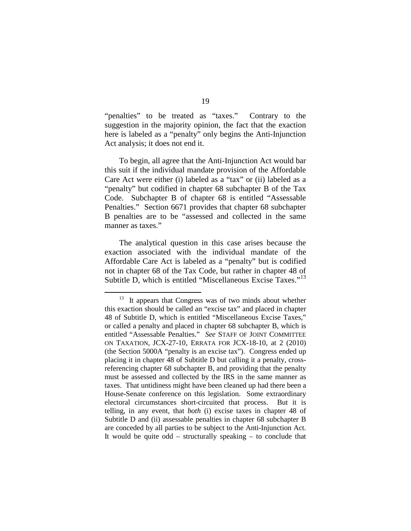"penalties" to be treated as "taxes." Contrary to the suggestion in the majority opinion, the fact that the exaction here is labeled as a "penalty" only begins the Anti-Injunction Act analysis; it does not end it.

To begin, all agree that the Anti-Injunction Act would bar this suit if the individual mandate provision of the Affordable Care Act were either (i) labeled as a "tax" or (ii) labeled as a "penalty" but codified in chapter 68 subchapter B of the Tax Code. Subchapter B of chapter 68 is entitled "Assessable Penalties." Section 6671 provides that chapter 68 subchapter B penalties are to be "assessed and collected in the same manner as taxes."

The analytical question in this case arises because the exaction associated with the individual mandate of the Affordable Care Act is labeled as a "penalty" but is codified not in chapter 68 of the Tax Code, but rather in chapter 48 of Subtitle D, which is entitled "Miscellaneous Excise Taxes."<sup>[13](#page-56-0)</sup>

<span id="page-56-0"></span><sup>&</sup>lt;sup>13</sup> It appears that Congress was of two minds about whether this exaction should be called an "excise tax" and placed in chapter 48 of Subtitle D, which is entitled "Miscellaneous Excise Taxes," or called a penalty and placed in chapter 68 subchapter B, which is entitled "Assessable Penalties." *See* STAFF OF JOINT COMMITTEE ON TAXATION, JCX-27-10, ERRATA FOR JCX-18-10, at 2 (2010) (the Section 5000A "penalty is an excise tax"). Congress ended up placing it in chapter 48 of Subtitle D but calling it a penalty, crossreferencing chapter 68 subchapter B, and providing that the penalty must be assessed and collected by the IRS in the same manner as taxes. That untidiness might have been cleaned up had there been a House-Senate conference on this legislation. Some extraordinary electoral circumstances short-circuited that process. But it is telling, in any event, that *both* (i) excise taxes in chapter 48 of Subtitle D and (ii) assessable penalties in chapter 68 subchapter B are conceded by all parties to be subject to the Anti-Injunction Act. It would be quite odd – structurally speaking – to conclude that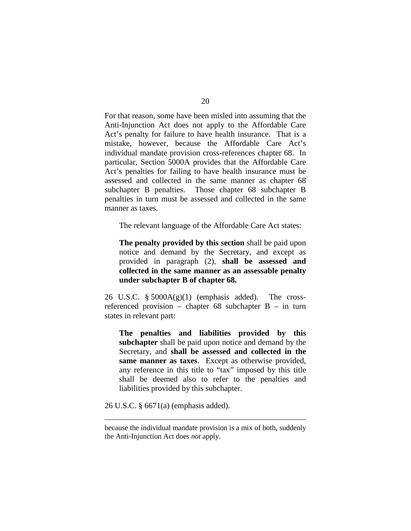For that reason, some have been misled into assuming that the Anti-Injunction Act does not apply to the Affordable Care Act's penalty for failure to have health insurance. That is a mistake, however, because the Affordable Care Act's individual mandate provision cross-references chapter 68. In particular, Section 5000A provides that the Affordable Care Act's penalties for failing to have health insurance must be assessed and collected in the same manner as chapter 68 subchapter B penalties. Those chapter 68 subchapter B penalties in turn must be assessed and collected in the same manner as taxes.

The relevant language of the Affordable Care Act states:

**The penalty provided by this section** shall be paid upon notice and demand by the Secretary, and except as provided in paragraph (2), **shall be assessed and collected in the same manner as an assessable penalty under subchapter B of chapter 68.**

26 U.S.C.  $\S$  5000A(g)(1) (emphasis added). The crossreferenced provision – chapter 68 subchapter B – in turn states in relevant part:

**The penalties and liabilities provided by this subchapter** shall be paid upon notice and demand by the Secretary, and **shall be assessed and collected in the same manner as taxes**. Except as otherwise provided, any reference in this title to "tax" imposed by this title shall be deemed also to refer to the penalties and liabilities provided by this subchapter.

26 U.S.C. § 6671(a) (emphasis added).

because the individual mandate provision is a mix of both, suddenly the Anti-Injunction Act does *not* apply.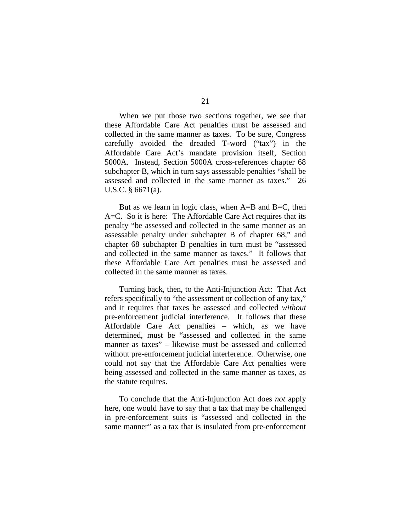When we put those two sections together, we see that these Affordable Care Act penalties must be assessed and collected in the same manner as taxes. To be sure, Congress carefully avoided the dreaded T-word ("tax") in the Affordable Care Act's mandate provision itself, Section 5000A. Instead, Section 5000A cross-references chapter 68 subchapter B, which in turn says assessable penalties "shall be assessed and collected in the same manner as taxes." 26 U.S.C. § 6671(a).

But as we learn in logic class, when A=B and B=C, then A=C. So it is here: The Affordable Care Act requires that its penalty "be assessed and collected in the same manner as an assessable penalty under subchapter B of chapter 68," and chapter 68 subchapter B penalties in turn must be "assessed and collected in the same manner as taxes." It follows that these Affordable Care Act penalties must be assessed and collected in the same manner as taxes.

Turning back, then, to the Anti-Injunction Act: That Act refers specifically to "the assessment or collection of any tax," and it requires that taxes be assessed and collected *without* pre-enforcement judicial interference. It follows that these Affordable Care Act penalties – which, as we have determined, must be "assessed and collected in the same manner as taxes" – likewise must be assessed and collected without pre-enforcement judicial interference. Otherwise, one could not say that the Affordable Care Act penalties were being assessed and collected in the same manner as taxes, as the statute requires.

To conclude that the Anti-Injunction Act does *not* apply here, one would have to say that a tax that may be challenged in pre-enforcement suits is "assessed and collected in the same manner" as a tax that is insulated from pre-enforcement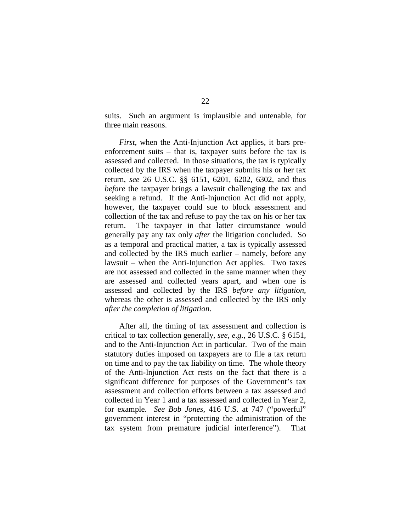suits. Such an argument is implausible and untenable, for three main reasons.

*First*, when the Anti-Injunction Act applies, it bars preenforcement suits – that is, taxpayer suits before the tax is assessed and collected. In those situations, the tax is typically collected by the IRS when the taxpayer submits his or her tax return, *see* 26 U.S.C. §§ 6151, 6201, 6202, 6302, and thus *before* the taxpayer brings a lawsuit challenging the tax and seeking a refund. If the Anti-Injunction Act did not apply, however, the taxpayer could sue to block assessment and collection of the tax and refuse to pay the tax on his or her tax return. The taxpayer in that latter circumstance would generally pay any tax only *after* the litigation concluded. So as a temporal and practical matter, a tax is typically assessed and collected by the IRS much earlier – namely, before any lawsuit – when the Anti-Injunction Act applies. Two taxes are not assessed and collected in the same manner when they are assessed and collected years apart, and when one is assessed and collected by the IRS *before any litigation*, whereas the other is assessed and collected by the IRS only *after the completion of litigation*.

After all, the timing of tax assessment and collection is critical to tax collection generally, *see, e.g.*, 26 U.S.C. § 6151, and to the Anti-Injunction Act in particular. Two of the main statutory duties imposed on taxpayers are to file a tax return on time and to pay the tax liability on time. The whole theory of the Anti-Injunction Act rests on the fact that there is a significant difference for purposes of the Government's tax assessment and collection efforts between a tax assessed and collected in Year 1 and a tax assessed and collected in Year 2, for example. *See Bob Jones*, 416 U.S. at 747 ("powerful" government interest in "protecting the administration of the tax system from premature judicial interference"). That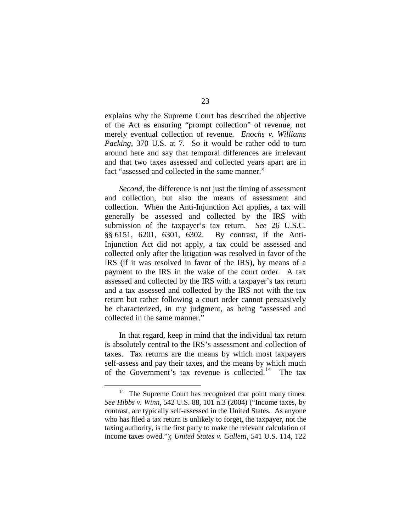explains why the Supreme Court has described the objective of the Act as ensuring "prompt collection" of revenue, not merely eventual collection of revenue. *Enochs v. Williams Packing*, 370 U.S. at 7. So it would be rather odd to turn around here and say that temporal differences are irrelevant and that two taxes assessed and collected years apart are in fact "assessed and collected in the same manner."

*Second*, the difference is not just the timing of assessment and collection, but also the means of assessment and collection. When the Anti-Injunction Act applies, a tax will generally be assessed and collected by the IRS with submission of the taxpayer's tax return. *See* 26 U.S.C. §§ 6151, 6201, 6301, 6302. By contrast, if the Anti-Injunction Act did not apply, a tax could be assessed and collected only after the litigation was resolved in favor of the IRS (if it was resolved in favor of the IRS), by means of a payment to the IRS in the wake of the court order. A tax assessed and collected by the IRS with a taxpayer's tax return and a tax assessed and collected by the IRS not with the tax return but rather following a court order cannot persuasively be characterized, in my judgment, as being "assessed and collected in the same manner."

In that regard, keep in mind that the individual tax return is absolutely central to the IRS's assessment and collection of taxes. Tax returns are the means by which most taxpayers self-assess and pay their taxes, and the means by which much of the Government's tax revenue is collected.<sup>[14](#page-60-0)</sup> The tax

<span id="page-60-0"></span>The Supreme Court has recognized that point many times. *See Hibbs v. Winn*, 542 U.S. 88, 101 n.3 (2004) ("Income taxes, by contrast, are typically self-assessed in the United States. As anyone who has filed a tax return is unlikely to forget, the taxpayer, not the taxing authority, is the first party to make the relevant calculation of income taxes owed."); *United States v. Galletti*, 541 U.S. 114, 122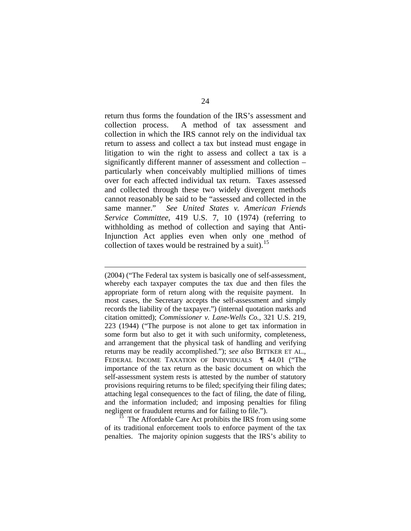return thus forms the foundation of the IRS's assessment and collection process. A method of tax assessment and collection in which the IRS cannot rely on the individual tax return to assess and collect a tax but instead must engage in litigation to win the right to assess and collect a tax is a significantly different manner of assessment and collection – particularly when conceivably multiplied millions of times over for each affected individual tax return. Taxes assessed and collected through these two widely divergent methods cannot reasonably be said to be "assessed and collected in the same manner." *See United States v. American Friends Service Committee*, 419 U.S. 7, 10 (1974) (referring to withholding as method of collection and saying that Anti-Injunction Act applies even when only one method of collection of taxes would be restrained by a suit).<sup>[15](#page-61-0)</sup>

(2004) ("The Federal tax system is basically one of self-assessment, whereby each taxpayer computes the tax due and then files the appropriate form of return along with the requisite payment. In most cases, the Secretary accepts the self-assessment and simply records the liability of the taxpayer.") (internal quotation marks and citation omitted); *Commissioner v. Lane-Wells Co.*, 321 U.S. 219, 223 (1944) ("The purpose is not alone to get tax information in some form but also to get it with such uniformity, completeness, and arrangement that the physical task of handling and verifying returns may be readily accomplished."); *see also* BITTKER ET AL., FEDERAL INCOME TAXATION OF INDIVIDUALS ¶ 44.01 ("The importance of the tax return as the basic document on which the self-assessment system rests is attested by the number of statutory provisions requiring returns to be filed; specifying their filing dates; attaching legal consequences to the fact of filing, the date of filing, and the information included; and imposing penalties for filing negligent or fraudulent returns and for failing to file.").

 $\overline{a}$ 

<span id="page-61-0"></span><sup>15</sup> The Affordable Care Act prohibits the IRS from using some of its traditional enforcement tools to enforce payment of the tax penalties. The majority opinion suggests that the IRS's ability to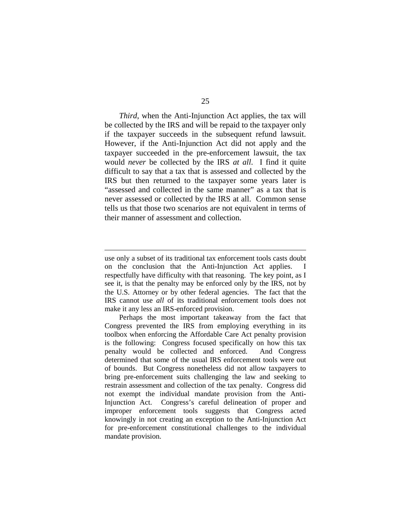*Third*, when the Anti-Injunction Act applies, the tax will be collected by the IRS and will be repaid to the taxpayer only if the taxpayer succeeds in the subsequent refund lawsuit. However, if the Anti-Injunction Act did not apply and the taxpayer succeeded in the pre-enforcement lawsuit, the tax would *never* be collected by the IRS *at all*. I find it quite difficult to say that a tax that is assessed and collected by the IRS but then returned to the taxpayer some years later is "assessed and collected in the same manner" as a tax that is never assessed or collected by the IRS at all. Common sense tells us that those two scenarios are not equivalent in terms of their manner of assessment and collection.

use only a subset of its traditional tax enforcement tools casts doubt on the conclusion that the Anti-Injunction Act applies. I respectfully have difficulty with that reasoning. The key point, as I see it, is that the penalty may be enforced only by the IRS, not by the U.S. Attorney or by other federal agencies. The fact that the IRS cannot use *all* of its traditional enforcement tools does not make it any less an IRS-enforced provision.

Perhaps the most important takeaway from the fact that Congress prevented the IRS from employing everything in its toolbox when enforcing the Affordable Care Act penalty provision is the following: Congress focused specifically on how this tax penalty would be collected and enforced. And Congress determined that some of the usual IRS enforcement tools were out of bounds. But Congress nonetheless did not allow taxpayers to bring pre-enforcement suits challenging the law and seeking to restrain assessment and collection of the tax penalty. Congress did not exempt the individual mandate provision from the Anti-Injunction Act. Congress's careful delineation of proper and improper enforcement tools suggests that Congress acted knowingly in not creating an exception to the Anti-Injunction Act for pre-enforcement constitutional challenges to the individual mandate provision.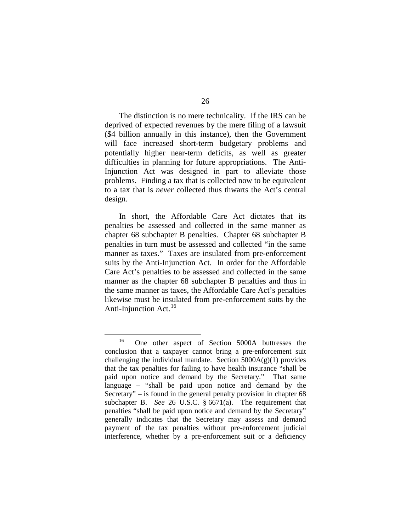The distinction is no mere technicality. If the IRS can be deprived of expected revenues by the mere filing of a lawsuit (\$4 billion annually in this instance), then the Government will face increased short-term budgetary problems and potentially higher near-term deficits, as well as greater difficulties in planning for future appropriations. The Anti-Injunction Act was designed in part to alleviate those problems. Finding a tax that is collected now to be equivalent to a tax that is *never* collected thus thwarts the Act's central design.

In short, the Affordable Care Act dictates that its penalties be assessed and collected in the same manner as chapter 68 subchapter B penalties. Chapter 68 subchapter B penalties in turn must be assessed and collected "in the same manner as taxes." Taxes are insulated from pre-enforcement suits by the Anti-Injunction Act. In order for the Affordable Care Act's penalties to be assessed and collected in the same manner as the chapter 68 subchapter B penalties and thus in the same manner as taxes, the Affordable Care Act's penalties likewise must be insulated from pre-enforcement suits by the Anti-Injunction Act. $^{16}$  $^{16}$  $^{16}$ 

<span id="page-63-0"></span> <sup>16</sup> One other aspect of Section 5000A buttresses the conclusion that a taxpayer cannot bring a pre-enforcement suit challenging the individual mandate. Section  $5000A(g)(1)$  provides that the tax penalties for failing to have health insurance "shall be paid upon notice and demand by the Secretary." That same language – "shall be paid upon notice and demand by the Secretary" – is found in the general penalty provision in chapter 68 subchapter B. *See* 26 U.S.C. § 6671(a). The requirement that penalties "shall be paid upon notice and demand by the Secretary" generally indicates that the Secretary may assess and demand payment of the tax penalties without pre-enforcement judicial interference, whether by a pre-enforcement suit or a deficiency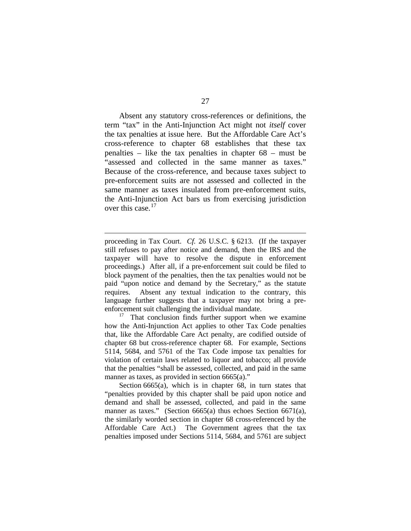Absent any statutory cross-references or definitions, the term "tax" in the Anti-Injunction Act might not *itself* cover the tax penalties at issue here. But the Affordable Care Act's cross-reference to chapter 68 establishes that these tax penalties – like the tax penalties in chapter 68 – must be "assessed and collected in the same manner as taxes." Because of the cross-reference, and because taxes subject to pre-enforcement suits are not assessed and collected in the same manner as taxes insulated from pre-enforcement suits, the Anti-Injunction Act bars us from exercising jurisdiction over this case.<sup>[17](#page-64-0)</sup>

proceeding in Tax Court. *Cf.* 26 U.S.C. § 6213. (If the taxpayer still refuses to pay after notice and demand, then the IRS and the taxpayer will have to resolve the dispute in enforcement proceedings.) After all, if a pre-enforcement suit could be filed to block payment of the penalties, then the tax penalties would not be paid "upon notice and demand by the Secretary," as the statute requires. Absent any textual indication to the contrary, this language further suggests that a taxpayer may not bring a preenforcement suit challenging the individual mandate.

 $\overline{a}$ 

<span id="page-64-0"></span> $17$  That conclusion finds further support when we examine how the Anti-Injunction Act applies to other Tax Code penalties that, like the Affordable Care Act penalty, are codified outside of chapter 68 but cross-reference chapter 68. For example, Sections 5114, 5684, and 5761 of the Tax Code impose tax penalties for violation of certain laws related to liquor and tobacco; all provide that the penalties "shall be assessed, collected, and paid in the same manner as taxes, as provided in section 6665(a)."

Section 6665(a), which is in chapter 68, in turn states that "penalties provided by this chapter shall be paid upon notice and demand and shall be assessed, collected, and paid in the same manner as taxes." (Section 6665(a) thus echoes Section 6671(a), the similarly worded section in chapter 68 cross-referenced by the Affordable Care Act.) The Government agrees that the tax penalties imposed under Sections 5114, 5684, and 5761 are subject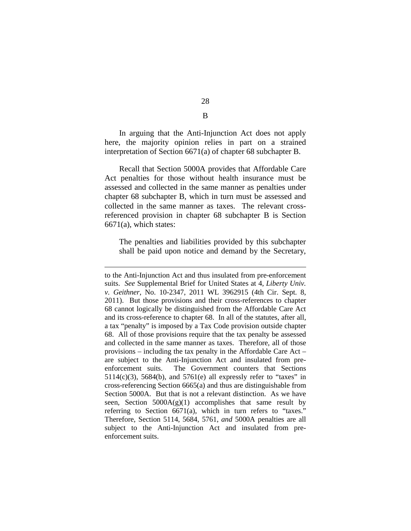In arguing that the Anti-Injunction Act does not apply here, the majority opinion relies in part on a strained interpretation of Section 6671(a) of chapter 68 subchapter B.

Recall that Section 5000A provides that Affordable Care Act penalties for those without health insurance must be assessed and collected in the same manner as penalties under chapter 68 subchapter B, which in turn must be assessed and collected in the same manner as taxes. The relevant crossreferenced provision in chapter 68 subchapter B is Section 6671(a), which states:

The penalties and liabilities provided by this subchapter shall be paid upon notice and demand by the Secretary,

 $\overline{a}$ 

28 B

to the Anti-Injunction Act and thus insulated from pre-enforcement suits. *See* Supplemental Brief for United States at 4, *Liberty Univ. v. Geithner*, No. 10-2347, 2011 WL 3962915 (4th Cir. Sept. 8, 2011). But those provisions and their cross-references to chapter 68 cannot logically be distinguished from the Affordable Care Act and its cross-reference to chapter 68. In all of the statutes, after all, a tax "penalty" is imposed by a Tax Code provision outside chapter 68. All of those provisions require that the tax penalty be assessed and collected in the same manner as taxes. Therefore, all of those provisions – including the tax penalty in the Affordable Care Act – are subject to the Anti-Injunction Act and insulated from preenforcement suits. The Government counters that Sections  $5114(c)(3)$ ,  $5684(b)$ , and  $5761(e)$  all expressly refer to "taxes" in cross-referencing Section 6665(a) and thus are distinguishable from Section 5000A. But that is not a relevant distinction. As we have seen, Section  $5000A(g)(1)$  accomplishes that same result by referring to Section 6671(a), which in turn refers to "taxes." Therefore, Section 5114, 5684, 5761, *and* 5000A penalties are all subject to the Anti-Injunction Act and insulated from preenforcement suits.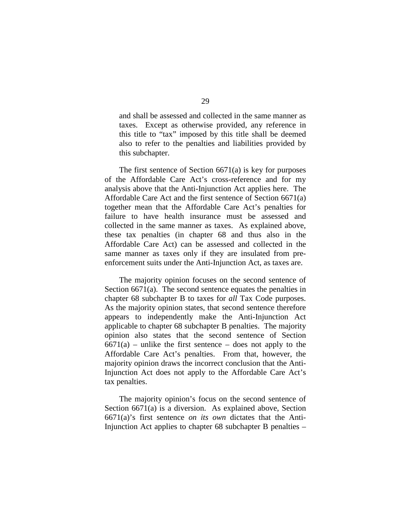and shall be assessed and collected in the same manner as taxes. Except as otherwise provided, any reference in this title to "tax" imposed by this title shall be deemed also to refer to the penalties and liabilities provided by this subchapter.

The first sentence of Section 6671(a) is key for purposes of the Affordable Care Act's cross-reference and for my analysis above that the Anti-Injunction Act applies here. The Affordable Care Act and the first sentence of Section 6671(a) together mean that the Affordable Care Act's penalties for failure to have health insurance must be assessed and collected in the same manner as taxes. As explained above, these tax penalties (in chapter 68 and thus also in the Affordable Care Act) can be assessed and collected in the same manner as taxes only if they are insulated from preenforcement suits under the Anti-Injunction Act, as taxes are.

The majority opinion focuses on the second sentence of Section 6671(a). The second sentence equates the penalties in chapter 68 subchapter B to taxes for *all* Tax Code purposes. As the majority opinion states, that second sentence therefore appears to independently make the Anti-Injunction Act applicable to chapter 68 subchapter B penalties. The majority opinion also states that the second sentence of Section  $6671(a)$  – unlike the first sentence – does not apply to the Affordable Care Act's penalties. From that, however, the majority opinion draws the incorrect conclusion that the Anti-Injunction Act does not apply to the Affordable Care Act's tax penalties.

The majority opinion's focus on the second sentence of Section 6671(a) is a diversion. As explained above, Section 6671(a)'s first sentence *on its own* dictates that the Anti-Injunction Act applies to chapter 68 subchapter B penalties –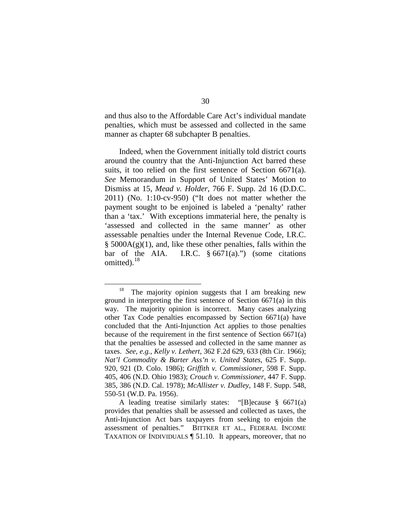and thus also to the Affordable Care Act's individual mandate penalties, which must be assessed and collected in the same manner as chapter 68 subchapter B penalties.

Indeed, when the Government initially told district courts around the country that the Anti-Injunction Act barred these suits, it too relied on the first sentence of Section 6671(a). *See* Memorandum in Support of United States' Motion to Dismiss at 15, *Mead v. Holder*, 766 F. Supp. 2d 16 (D.D.C. 2011) (No. 1:10-cv-950) ("It does not matter whether the payment sought to be enjoined is labeled a 'penalty' rather than a 'tax.' With exceptions immaterial here, the penalty is 'assessed and collected in the same manner' as other assessable penalties under the Internal Revenue Code, I.R.C.  $\S$  5000A(g)(1), and, like these other penalties, falls within the bar of the AIA. I.R.C.  $\S 6671(a)$ .") (some citations omitted).<sup>[18](#page-67-0)</sup>

<span id="page-67-0"></span>The majority opinion suggests that I am breaking new ground in interpreting the first sentence of Section 6671(a) in this way. The majority opinion is incorrect. Many cases analyzing other Tax Code penalties encompassed by Section 6671(a) have concluded that the Anti-Injunction Act applies to those penalties because of the requirement in the first sentence of Section 6671(a) that the penalties be assessed and collected in the same manner as taxes. *See, e.g.*, *Kelly v. Lethert*, 362 F.2d 629, 633 (8th Cir. 1966); *Nat'l Commodity & Barter Ass'n v. United States*, 625 F. Supp. 920, 921 (D. Colo. 1986); *Griffith v. Commissioner*, 598 F. Supp. 405, 406 (N.D. Ohio 1983); *Crouch v. Commissioner*, 447 F. Supp. 385, 386 (N.D. Cal. 1978); *McAllister v. Dudley*, 148 F. Supp. 548, 550-51 (W.D. Pa. 1956).

A leading treatise similarly states: "[B]ecause § 6671(a) provides that penalties shall be assessed and collected as taxes, the Anti-Injunction Act bars taxpayers from seeking to enjoin the assessment of penalties." BITTKER ET AL., FEDERAL INCOME TAXATION OF INDIVIDUALS ¶ 51.10. It appears, moreover, that no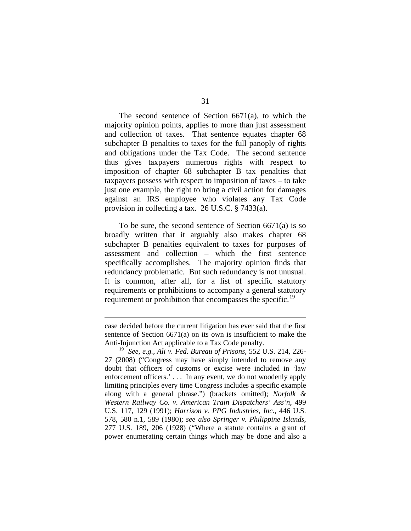The second sentence of Section 6671(a), to which the majority opinion points, applies to more than just assessment and collection of taxes. That sentence equates chapter 68 subchapter B penalties to taxes for the full panoply of rights and obligations under the Tax Code. The second sentence thus gives taxpayers numerous rights with respect to imposition of chapter 68 subchapter B tax penalties that taxpayers possess with respect to imposition of taxes – to take just one example, the right to bring a civil action for damages against an IRS employee who violates any Tax Code provision in collecting a tax. 26 U.S.C. § 7433(a).

To be sure, the second sentence of Section 6671(a) is so broadly written that it arguably also makes chapter 68 subchapter B penalties equivalent to taxes for purposes of assessment and collection – which the first sentence specifically accomplishes. The majority opinion finds that redundancy problematic. But such redundancy is not unusual. It is common, after all, for a list of specific statutory requirements or prohibitions to accompany a general statutory requirement or prohibition that encompasses the specific.<sup>[19](#page-68-0)</sup>

case decided before the current litigation has ever said that the first sentence of Section 6671(a) on its own is insufficient to make the Anti-Injunction Act applicable to a Tax Code penalty.

<span id="page-68-0"></span><sup>19</sup> *See, e.g.*, *Ali v. Fed. Bureau of Prisons*, 552 U.S. 214, 226- 27 (2008) ("Congress may have simply intended to remove any doubt that officers of customs or excise were included in 'law enforcement officers.'... In any event, we do not woodenly apply limiting principles every time Congress includes a specific example along with a general phrase.") (brackets omitted); *Norfolk & Western Railway Co. v. American Train Dispatchers' Ass'n*, 499 U.S. 117, 129 (1991); *Harrison v. PPG Industries, Inc.*, 446 U.S. 578, 580 n.1, 589 (1980); *see also Springer v. Philippine Islands*, 277 U.S. 189, 206 (1928) ("Where a statute contains a grant of power enumerating certain things which may be done and also a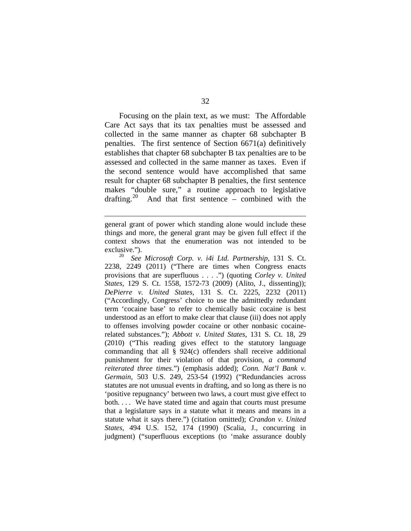Focusing on the plain text, as we must: The Affordable Care Act says that its tax penalties must be assessed and collected in the same manner as chapter 68 subchapter B penalties. The first sentence of Section 6671(a) definitively establishes that chapter 68 subchapter B tax penalties are to be assessed and collected in the same manner as taxes. Even if the second sentence would have accomplished that same result for chapter 68 subchapter B penalties, the first sentence makes "double sure," a routine approach to legislative drafting. $20$ And that first sentence – combined with the

general grant of power which standing alone would include these things and more, the general grant may be given full effect if the context shows that the enumeration was not intended to be exclusive.").

<span id="page-69-0"></span><sup>20</sup> *See Microsoft Corp. v. i4i Ltd. Partnership*, 131 S. Ct. 2238, 2249 (2011) ("There are times when Congress enacts provisions that are superfluous . . . .") (quoting *Corley v. United States*, 129 S. Ct. 1558, 1572-73 (2009) (Alito, J., dissenting)); *DePierre v. United States*, 131 S. Ct. 2225, 2232 (2011) ("Accordingly, Congress' choice to use the admittedly redundant term 'cocaine base' to refer to chemically basic cocaine is best understood as an effort to make clear that clause (iii) does not apply to offenses involving powder cocaine or other nonbasic cocainerelated substances."); *Abbott v. United States*, 131 S. Ct. 18, 29 (2010) ("This reading gives effect to the statutory language commanding that all § 924(c) offenders shall receive additional punishment for their violation of that provision, *a command reiterated three times*.") (emphasis added); *Conn. Nat'l Bank v. Germain*, 503 U.S. 249, 253-54 (1992) ("Redundancies across statutes are not unusual events in drafting, and so long as there is no 'positive repugnancy' between two laws, a court must give effect to both. . . . We have stated time and again that courts must presume that a legislature says in a statute what it means and means in a statute what it says there.") (citation omitted); *Crandon v. United States*, 494 U.S. 152, 174 (1990) (Scalia, J., concurring in judgment) ("superfluous exceptions (to 'make assurance doubly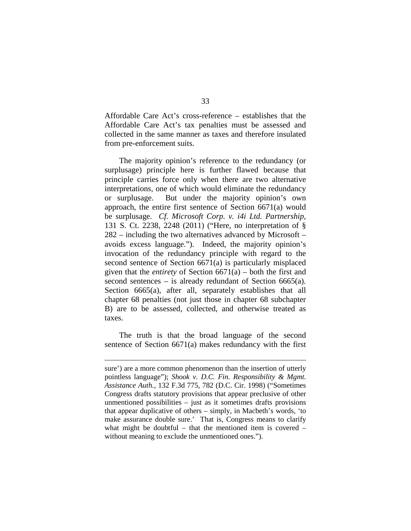Affordable Care Act's cross-reference – establishes that the Affordable Care Act's tax penalties must be assessed and collected in the same manner as taxes and therefore insulated from pre-enforcement suits.

The majority opinion's reference to the redundancy (or surplusage) principle here is further flawed because that principle carries force only when there are two alternative interpretations, one of which would eliminate the redundancy or surplusage. But under the majority opinion's own approach, the entire first sentence of Section 6671(a) would be surplusage. *Cf. Microsoft Corp. v. i4i Ltd. Partnership*, 131 S. Ct. 2238, 2248 (2011) ("Here, no interpretation of § 282 – including the two alternatives advanced by Microsoft – avoids excess language."). Indeed, the majority opinion's invocation of the redundancy principle with regard to the second sentence of Section 6671(a) is particularly misplaced given that the *entirety* of Section 6671(a) – both the first and second sentences – is already redundant of Section 6665(a). Section 6665(a), after all, separately establishes that all chapter 68 penalties (not just those in chapter 68 subchapter B) are to be assessed, collected, and otherwise treated as taxes.

The truth is that the broad language of the second sentence of Section 6671(a) makes redundancy with the first

sure') are a more common phenomenon than the insertion of utterly pointless language"); *Shook v. D.C. Fin. Responsibility & Mgmt. Assistance Auth.*, 132 F.3d 775, 782 (D.C. Cir. 1998) ("Sometimes Congress drafts statutory provisions that appear preclusive of other unmentioned possibilities – just as it sometimes drafts provisions that appear duplicative of others – simply, in Macbeth's words, 'to make assurance double sure.' That is, Congress means to clarify what might be doubtful – that the mentioned item is covered – without meaning to exclude the unmentioned ones.").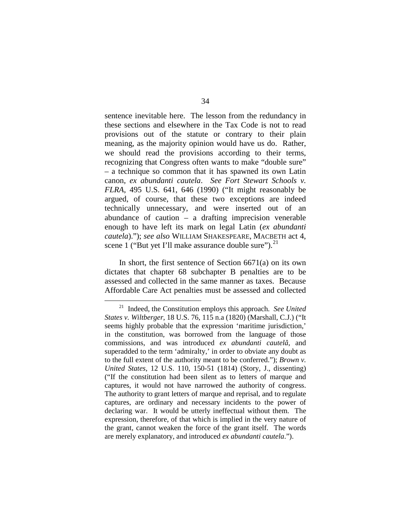sentence inevitable here. The lesson from the redundancy in these sections and elsewhere in the Tax Code is not to read provisions out of the statute or contrary to their plain meaning, as the majority opinion would have us do. Rather, we should read the provisions according to their terms, recognizing that Congress often wants to make "double sure" – a technique so common that it has spawned its own Latin canon, *ex abundanti cautela*. *See Fort Stewart Schools v. FLRA*, 495 U.S. 641, 646 (1990) ("It might reasonably be argued, of course, that these two exceptions are indeed technically unnecessary, and were inserted out of an abundance of caution – a drafting imprecision venerable enough to have left its mark on legal Latin (*ex abundanti cautela*)."); *see also* WILLIAM SHAKESPEARE, MACBETH act 4, scene 1 ("But yet I'll make assurance double sure"). $^{21}$  $^{21}$  $^{21}$ 

In short, the first sentence of Section 6671(a) on its own dictates that chapter 68 subchapter B penalties are to be assessed and collected in the same manner as taxes. Because Affordable Care Act penalties must be assessed and collected

<span id="page-71-0"></span> <sup>21</sup> Indeed, the Constitution employs this approach. *See United States v. Wiltberger*, 18 U.S. 76, 115 n.a (1820) (Marshall, C.J.) ("It seems highly probable that the expression 'maritime jurisdiction,' in the constitution, was borrowed from the language of those commissions, and was introduced *ex abundanti cautelâ*, and superadded to the term 'admiralty,' in order to obviate any doubt as to the full extent of the authority meant to be conferred."); *Brown v. United States*, 12 U.S. 110, 150-51 (1814) (Story, J., dissenting) ("If the constitution had been silent as to letters of marque and captures, it would not have narrowed the authority of congress. The authority to grant letters of marque and reprisal, and to regulate captures, are ordinary and necessary incidents to the power of declaring war. It would be utterly ineffectual without them. The expression, therefore, of that which is implied in the very nature of the grant, cannot weaken the force of the grant itself. The words are merely explanatory, and introduced *ex abundanti cautela*.").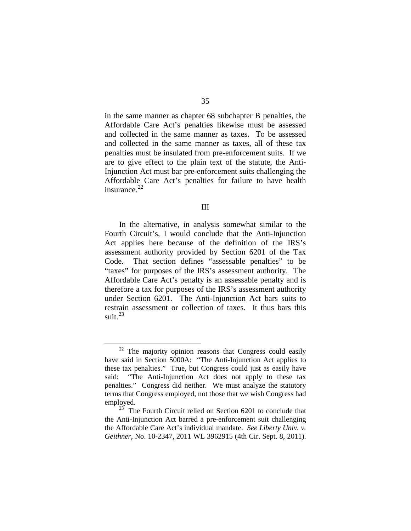in the same manner as chapter 68 subchapter B penalties, the Affordable Care Act's penalties likewise must be assessed and collected in the same manner as taxes. To be assessed and collected in the same manner as taxes, all of these tax penalties must be insulated from pre-enforcement suits. If we are to give effect to the plain text of the statute, the Anti-Injunction Act must bar pre-enforcement suits challenging the Affordable Care Act's penalties for failure to have health insurance. $^{22}$  $^{22}$  $^{22}$ 

In the alternative, in analysis somewhat similar to the Fourth Circuit's, I would conclude that the Anti-Injunction Act applies here because of the definition of the IRS's assessment authority provided by Section 6201 of the Tax Code. That section defines "assessable penalties" to be "taxes" for purposes of the IRS's assessment authority. The Affordable Care Act's penalty is an assessable penalty and is therefore a tax for purposes of the IRS's assessment authority under Section 6201. The Anti-Injunction Act bars suits to restrain assessment or collection of taxes. It thus bars this suit.<sup>[23](#page-72-1)</sup>

<span id="page-72-0"></span><sup>&</sup>lt;sup>22</sup> The majority opinion reasons that Congress could easily have said in Section 5000A: "The Anti-Injunction Act applies to these tax penalties." True, but Congress could just as easily have said: "The Anti-Injunction Act does not apply to these tax penalties." Congress did neither. We must analyze the statutory terms that Congress employed, not those that we wish Congress had employed.

<span id="page-72-1"></span>The Fourth Circuit relied on Section 6201 to conclude that the Anti-Injunction Act barred a pre-enforcement suit challenging the Affordable Care Act's individual mandate. *See Liberty Univ. v. Geithner*, No. 10-2347, 2011 WL 3962915 (4th Cir. Sept. 8, 2011).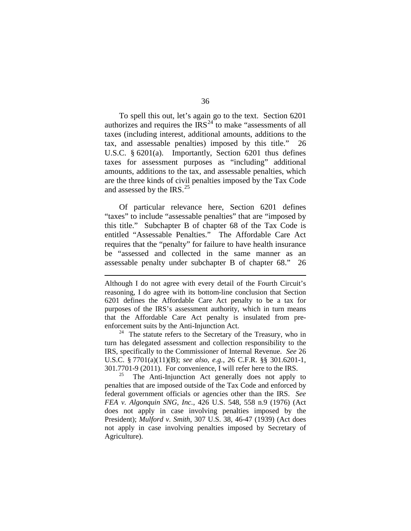To spell this out, let's again go to the text. Section 6201 authorizes and requires the  $\text{IRS}^{24}$  $\text{IRS}^{24}$  $\text{IRS}^{24}$  to make "assessments of all taxes (including interest, additional amounts, additions to the tax, and assessable penalties) imposed by this title." 26 U.S.C. § 6201(a). Importantly, Section 6201 thus defines taxes for assessment purposes as "including" additional amounts, additions to the tax, and assessable penalties, which are the three kinds of civil penalties imposed by the Tax Code and assessed by the IRS. $^{25}$  $^{25}$  $^{25}$ 

Of particular relevance here, Section 6201 defines "taxes" to include "assessable penalties" that are "imposed by this title." Subchapter B of chapter 68 of the Tax Code is entitled "Assessable Penalties." The Affordable Care Act requires that the "penalty" for failure to have health insurance be "assessed and collected in the same manner as an assessable penalty under subchapter B of chapter 68." 26

 $\overline{a}$ 

<span id="page-73-0"></span> $24$  The statute refers to the Secretary of the Treasury, who in turn has delegated assessment and collection responsibility to the IRS, specifically to the Commissioner of Internal Revenue. *See* 26 U.S.C. § 7701(a)(11)(B); *see also, e.g.*, 26 C.F.R. §§ 301.6201-1, 301.7701-9 (2011). For convenience, I will refer here to the IRS.

<span id="page-73-1"></span>The Anti-Injunction Act generally does not apply to penalties that are imposed outside of the Tax Code and enforced by federal government officials or agencies other than the IRS. *See FEA v. Algonquin SNG, Inc.*, 426 U.S. 548, 558 n.9 (1976) (Act does not apply in case involving penalties imposed by the President); *Mulford v. Smith*, 307 U.S. 38, 46-47 (1939) (Act does not apply in case involving penalties imposed by Secretary of Agriculture).

Although I do not agree with every detail of the Fourth Circuit's reasoning, I do agree with its bottom-line conclusion that Section 6201 defines the Affordable Care Act penalty to be a tax for purposes of the IRS's assessment authority, which in turn means that the Affordable Care Act penalty is insulated from preenforcement suits by the Anti-Injunction Act.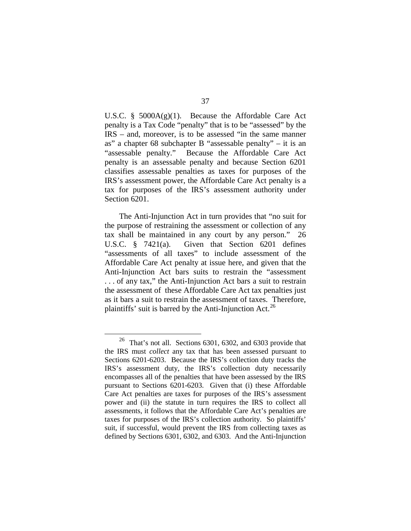U.S.C.  $\S$  5000A(g)(1). Because the Affordable Care Act penalty is a Tax Code "penalty" that is to be "assessed" by the IRS – and, moreover, is to be assessed "in the same manner as" a chapter 68 subchapter B "assessable penalty" – it is an "assessable penalty." Because the Affordable Care Act penalty is an assessable penalty and because Section 6201 classifies assessable penalties as taxes for purposes of the IRS's assessment power, the Affordable Care Act penalty is a tax for purposes of the IRS's assessment authority under Section 6201.

The Anti-Injunction Act in turn provides that "no suit for the purpose of restraining the assessment or collection of any tax shall be maintained in any court by any person." 26 U.S.C. § 7421(a). Given that Section 6201 defines "assessments of all taxes" to include assessment of the Affordable Care Act penalty at issue here, and given that the Anti-Injunction Act bars suits to restrain the "assessment . . . of any tax," the Anti-Injunction Act bars a suit to restrain the assessment of these Affordable Care Act tax penalties just as it bars a suit to restrain the assessment of taxes. Therefore, plaintiffs' suit is barred by the Anti-Injunction Act.<sup>[26](#page-74-0)</sup>

<span id="page-74-0"></span> $26$  That's not all. Sections 6301, 6302, and 6303 provide that the IRS must *collect* any tax that has been assessed pursuant to Sections 6201-6203. Because the IRS's collection duty tracks the IRS's assessment duty, the IRS's collection duty necessarily encompasses all of the penalties that have been assessed by the IRS pursuant to Sections 6201-6203. Given that (i) these Affordable Care Act penalties are taxes for purposes of the IRS's assessment power and (ii) the statute in turn requires the IRS to collect all assessments, it follows that the Affordable Care Act's penalties are taxes for purposes of the IRS's collection authority. So plaintiffs' suit, if successful, would prevent the IRS from collecting taxes as defined by Sections 6301, 6302, and 6303. And the Anti-Injunction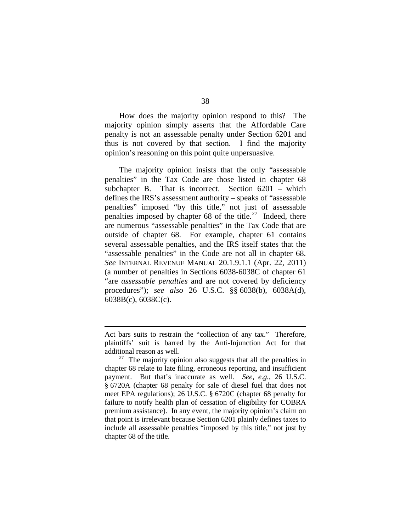How does the majority opinion respond to this? The majority opinion simply asserts that the Affordable Care penalty is not an assessable penalty under Section 6201 and thus is not covered by that section. I find the majority opinion's reasoning on this point quite unpersuasive.

The majority opinion insists that the only "assessable penalties" in the Tax Code are those listed in chapter 68 subchapter B. That is incorrect. Section 6201 – which defines the IRS's assessment authority – speaks of "assessable penalties" imposed "by this title," not just of assessable penalties imposed by chapter 68 of the title.<sup>[27](#page-75-0)</sup> Indeed, there are numerous "assessable penalties" in the Tax Code that are outside of chapter 68. For example, chapter 61 contains several assessable penalties, and the IRS itself states that the "assessable penalties" in the Code are not all in chapter 68. *See* INTERNAL REVENUE MANUAL 20.1.9.1.1 (Apr. 22, 2011) (a number of penalties in Sections 6038-6038C of chapter 61 "are *assessable penalties* and are not covered by deficiency procedures"); *see also* 26 U.S.C. §§ 6038(b), 6038A(d), 6038B(c), 6038C(c).

Act bars suits to restrain the "collection of any tax." Therefore, plaintiffs' suit is barred by the Anti-Injunction Act for that additional reason as well.

<span id="page-75-0"></span> $27$  The majority opinion also suggests that all the penalties in chapter 68 relate to late filing, erroneous reporting, and insufficient payment. But that's inaccurate as well. *See, e.g.*, 26 U.S.C. § 6720A (chapter 68 penalty for sale of diesel fuel that does not meet EPA regulations); 26 U.S.C. § 6720C (chapter 68 penalty for failure to notify health plan of cessation of eligibility for COBRA premium assistance). In any event, the majority opinion's claim on that point is irrelevant because Section 6201 plainly defines taxes to include all assessable penalties "imposed by this title," not just by chapter 68 of the title.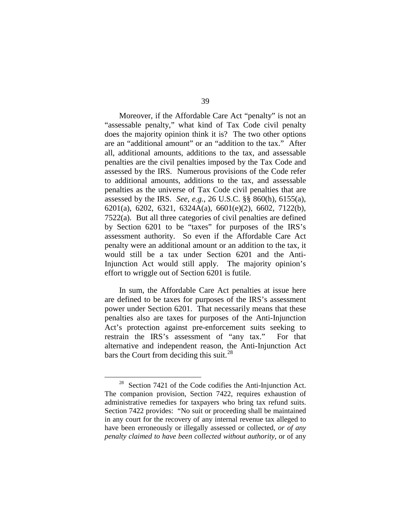Moreover, if the Affordable Care Act "penalty" is not an "assessable penalty," what kind of Tax Code civil penalty does the majority opinion think it is? The two other options are an "additional amount" or an "addition to the tax." After all, additional amounts, additions to the tax, and assessable penalties are the civil penalties imposed by the Tax Code and assessed by the IRS. Numerous provisions of the Code refer to additional amounts, additions to the tax, and assessable penalties as the universe of Tax Code civil penalties that are assessed by the IRS. *See, e.g.*, 26 U.S.C. §§ 860(h), 6155(a), 6201(a), 6202, 6321, 6324A(a), 6601(e)(2), 6602, 7122(b), 7522(a). But all three categories of civil penalties are defined by Section 6201 to be "taxes" for purposes of the IRS's assessment authority. So even if the Affordable Care Act penalty were an additional amount or an addition to the tax, it would still be a tax under Section 6201 and the Anti-Injunction Act would still apply. The majority opinion's effort to wriggle out of Section 6201 is futile.

In sum, the Affordable Care Act penalties at issue here are defined to be taxes for purposes of the IRS's assessment power under Section 6201. That necessarily means that these penalties also are taxes for purposes of the Anti-Injunction Act's protection against pre-enforcement suits seeking to restrain the IRS's assessment of "any tax." For that alternative and independent reason, the Anti-Injunction Act bars the Court from deciding this suit.<sup>[28](#page-76-0)</sup>

<span id="page-76-0"></span> $28$  Section 7421 of the Code codifies the Anti-Injunction Act. The companion provision, Section 7422, requires exhaustion of administrative remedies for taxpayers who bring tax refund suits. Section 7422 provides: "No suit or proceeding shall be maintained in any court for the recovery of any internal revenue tax alleged to have been erroneously or illegally assessed or collected, *or of any penalty claimed to have been collected without authority*, or of any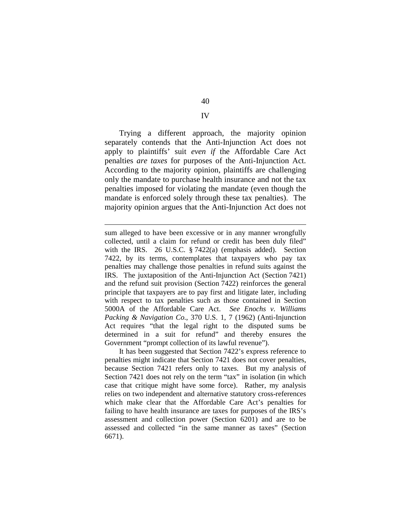Trying a different approach, the majority opinion separately contends that the Anti-Injunction Act does not apply to plaintiffs' suit *even if* the Affordable Care Act penalties *are taxes* for purposes of the Anti-Injunction Act. According to the majority opinion, plaintiffs are challenging only the mandate to purchase health insurance and not the tax penalties imposed for violating the mandate (even though the mandate is enforced solely through these tax penalties). The majority opinion argues that the Anti-Injunction Act does not

 $\overline{a}$ 

It has been suggested that Section 7422's express reference to penalties might indicate that Section 7421 does not cover penalties, because Section 7421 refers only to taxes. But my analysis of Section 7421 does not rely on the term "tax" in isolation (in which case that critique might have some force). Rather, my analysis relies on two independent and alternative statutory cross-references which make clear that the Affordable Care Act's penalties for failing to have health insurance are taxes for purposes of the IRS's assessment and collection power (Section 6201) and are to be assessed and collected "in the same manner as taxes" (Section 6671).

IV

sum alleged to have been excessive or in any manner wrongfully collected, until a claim for refund or credit has been duly filed" with the IRS. 26 U.S.C. § 7422(a) (emphasis added). Section 7422, by its terms, contemplates that taxpayers who pay tax penalties may challenge those penalties in refund suits against the IRS. The juxtaposition of the Anti-Injunction Act (Section 7421) and the refund suit provision (Section 7422) reinforces the general principle that taxpayers are to pay first and litigate later, including with respect to tax penalties such as those contained in Section 5000A of the Affordable Care Act. *See Enochs v. Williams Packing & Navigation Co.*, 370 U.S. 1, 7 (1962) (Anti-Injunction Act requires "that the legal right to the disputed sums be determined in a suit for refund" and thereby ensures the Government "prompt collection of its lawful revenue").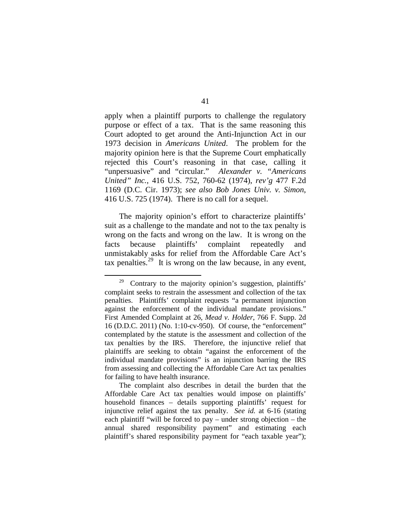apply when a plaintiff purports to challenge the regulatory purpose or effect of a tax. That is the same reasoning this Court adopted to get around the Anti-Injunction Act in our 1973 decision in *Americans United*. The problem for the majority opinion here is that the Supreme Court emphatically rejected this Court's reasoning in that case, calling it "unpersuasive" and "circular." *Alexander v. "Americans United" Inc.*, 416 U.S. 752, 760-62 (1974), *rev'g* 477 F.2d 1169 (D.C. Cir. 1973); *see also Bob Jones Univ. v. Simon*, 416 U.S. 725 (1974). There is no call for a sequel.

The majority opinion's effort to characterize plaintiffs' suit as a challenge to the mandate and not to the tax penalty is wrong on the facts and wrong on the law. It is wrong on the facts because plaintiffs' complaint repeatedly and unmistakably asks for relief from the Affordable Care Act's tax penalties.<sup>[29](#page-78-0)</sup> It is wrong on the law because, in any event,

<span id="page-78-0"></span> $29$  Contrary to the majority opinion's suggestion, plaintiffs' complaint seeks to restrain the assessment and collection of the tax penalties. Plaintiffs' complaint requests "a permanent injunction against the enforcement of the individual mandate provisions." First Amended Complaint at 26, *Mead v. Holder*, 766 F. Supp. 2d 16 (D.D.C. 2011) (No. 1:10-cv-950). Of course, the "enforcement" contemplated by the statute is the assessment and collection of the tax penalties by the IRS. Therefore, the injunctive relief that plaintiffs are seeking to obtain "against the enforcement of the individual mandate provisions" is an injunction barring the IRS from assessing and collecting the Affordable Care Act tax penalties for failing to have health insurance.

The complaint also describes in detail the burden that the Affordable Care Act tax penalties would impose on plaintiffs' household finances – details supporting plaintiffs' request for injunctive relief against the tax penalty. *See id.* at 6-16 (stating each plaintiff "will be forced to pay – under strong objection – the annual shared responsibility payment" and estimating each plaintiff's shared responsibility payment for "each taxable year");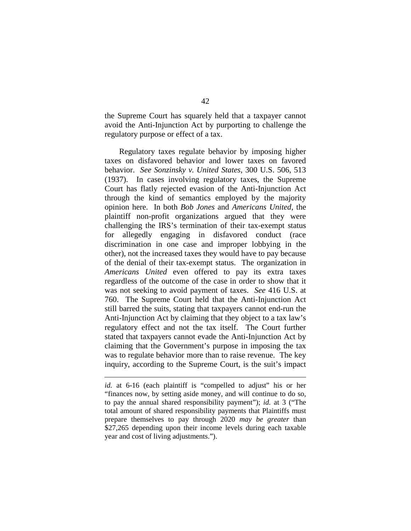the Supreme Court has squarely held that a taxpayer cannot avoid the Anti-Injunction Act by purporting to challenge the regulatory purpose or effect of a tax.

Regulatory taxes regulate behavior by imposing higher taxes on disfavored behavior and lower taxes on favored behavior. *See Sonzinsky v. United States*, 300 U.S. 506, 513 (1937). In cases involving regulatory taxes, the Supreme Court has flatly rejected evasion of the Anti-Injunction Act through the kind of semantics employed by the majority opinion here. In both *Bob Jones* and *Americans United*, the plaintiff non-profit organizations argued that they were challenging the IRS's termination of their tax-exempt status for allegedly engaging in disfavored conduct (race discrimination in one case and improper lobbying in the other), not the increased taxes they would have to pay because of the denial of their tax-exempt status. The organization in *Americans United* even offered to pay its extra taxes regardless of the outcome of the case in order to show that it was not seeking to avoid payment of taxes. *See* 416 U.S. at 760. The Supreme Court held that the Anti-Injunction Act still barred the suits, stating that taxpayers cannot end-run the Anti-Injunction Act by claiming that they object to a tax law's regulatory effect and not the tax itself. The Court further stated that taxpayers cannot evade the Anti-Injunction Act by claiming that the Government's purpose in imposing the tax was to regulate behavior more than to raise revenue. The key inquiry, according to the Supreme Court, is the suit's impact

*id.* at 6-16 (each plaintiff is "compelled to adjust" his or her "finances now, by setting aside money, and will continue to do so, to pay the annual shared responsibility payment"); *id.* at 3 ("The total amount of shared responsibility payments that Plaintiffs must prepare themselves to pay through 2020 *may be greater* than \$27,265 depending upon their income levels during each taxable year and cost of living adjustments.").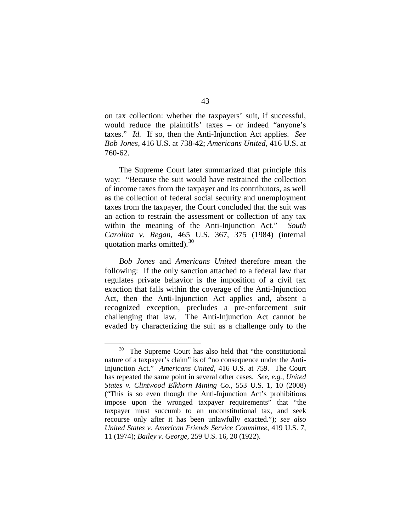on tax collection: whether the taxpayers' suit, if successful, would reduce the plaintiffs' taxes – or indeed "anyone's taxes." *Id.* If so, then the Anti-Injunction Act applies. *See Bob Jones*, 416 U.S. at 738-42; *Americans United*, 416 U.S. at 760-62.

The Supreme Court later summarized that principle this way: "Because the suit would have restrained the collection of income taxes from the taxpayer and its contributors, as well as the collection of federal social security and unemployment taxes from the taxpayer, the Court concluded that the suit was an action to restrain the assessment or collection of any tax within the meaning of the Anti-Injunction Act." *South Carolina v. Regan*, 465 U.S. 367, 375 (1984) (internal quotation marks omitted). $30$ 

*Bob Jones* and *Americans United* therefore mean the following: If the only sanction attached to a federal law that regulates private behavior is the imposition of a civil tax exaction that falls within the coverage of the Anti-Injunction Act, then the Anti-Injunction Act applies and, absent a recognized exception, precludes a pre-enforcement suit challenging that law. The Anti-Injunction Act cannot be evaded by characterizing the suit as a challenge only to the

<span id="page-80-0"></span>The Supreme Court has also held that "the constitutional" nature of a taxpayer's claim" is of "no consequence under the Anti-Injunction Act." *Americans United*, 416 U.S. at 759. The Court has repeated the same point in several other cases. *See, e.g.*, *United States v. Clintwood Elkhorn Mining Co.*, 553 U.S. 1, 10 (2008) ("This is so even though the Anti-Injunction Act's prohibitions impose upon the wronged taxpayer requirements" that "the taxpayer must succumb to an unconstitutional tax, and seek recourse only after it has been unlawfully exacted."); *see also United States v. American Friends Service Committee*, 419 U.S. 7, 11 (1974); *Bailey v. George*, 259 U.S. 16, 20 (1922).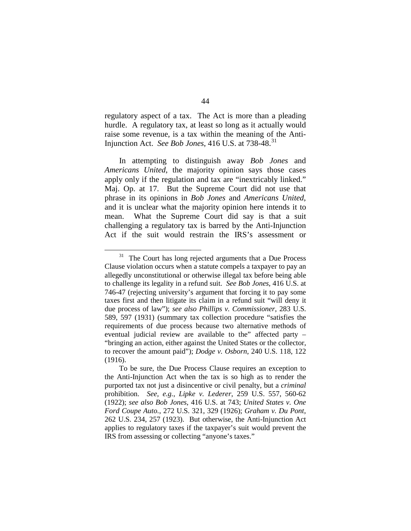regulatory aspect of a tax. The Act is more than a pleading hurdle. A regulatory tax, at least so long as it actually would raise some revenue, is a tax within the meaning of the Anti-Injunction Act. *See Bob Jones*, 416 U.S. at 738-48.[31](#page-81-0)

In attempting to distinguish away *Bob Jones* and *Americans United*, the majority opinion says those cases apply only if the regulation and tax are "inextricably linked." Maj. Op. at 17. But the Supreme Court did not use that phrase in its opinions in *Bob Jones* and *Americans United*, and it is unclear what the majority opinion here intends it to mean. What the Supreme Court did say is that a suit challenging a regulatory tax is barred by the Anti-Injunction Act if the suit would restrain the IRS's assessment or

<span id="page-81-0"></span> $31$  The Court has long rejected arguments that a Due Process Clause violation occurs when a statute compels a taxpayer to pay an allegedly unconstitutional or otherwise illegal tax before being able to challenge its legality in a refund suit. *See Bob Jones*, 416 U.S. at 746-47 (rejecting university's argument that forcing it to pay some taxes first and then litigate its claim in a refund suit "will deny it due process of law"); *see also Phillips v. Commissioner*, 283 U.S. 589, 597 (1931) (summary tax collection procedure "satisfies the requirements of due process because two alternative methods of eventual judicial review are available to the" affected party – "bringing an action, either against the United States or the collector, to recover the amount paid"); *Dodge v. Osborn*, 240 U.S. 118, 122 (1916).

To be sure, the Due Process Clause requires an exception to the Anti-Injunction Act when the tax is so high as to render the purported tax not just a disincentive or civil penalty, but a *criminal* prohibition. *See, e.g.*, *Lipke v. Lederer*, 259 U.S. 557, 560-62 (1922); *see also Bob Jones*, 416 U.S. at 743; *United States v. One Ford Coupe Auto.*, 272 U.S. 321, 329 (1926); *Graham v. Du Pont*, 262 U.S. 234, 257 (1923). But otherwise, the Anti-Injunction Act applies to regulatory taxes if the taxpayer's suit would prevent the IRS from assessing or collecting "anyone's taxes."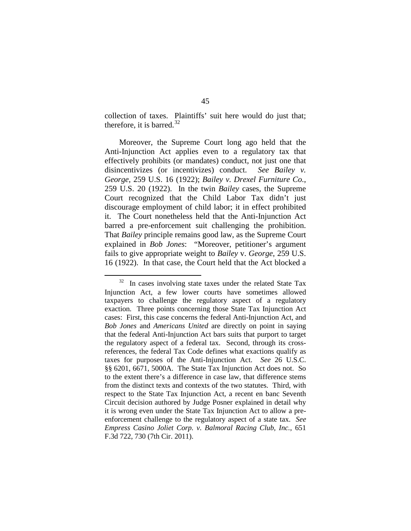collection of taxes. Plaintiffs' suit here would do just that; therefore, it is barred. $32$ 

Moreover, the Supreme Court long ago held that the Anti-Injunction Act applies even to a regulatory tax that effectively prohibits (or mandates) conduct, not just one that disincentivizes (or incentivizes) conduct. *See Bailey v. George*, 259 U.S. 16 (1922); *Bailey v. Drexel Furniture Co.*, 259 U.S. 20 (1922). In the twin *Bailey* cases, the Supreme Court recognized that the Child Labor Tax didn't just discourage employment of child labor; it in effect prohibited it. The Court nonetheless held that the Anti-Injunction Act barred a pre-enforcement suit challenging the prohibition. That *Bailey* principle remains good law, as the Supreme Court explained in *Bob Jones*: "Moreover, petitioner's argument fails to give appropriate weight to *Bailey* v. *George*, 259 U.S. 16 (1922). In that case, the Court held that the Act blocked a

<span id="page-82-0"></span> $32$  In cases involving state taxes under the related State Tax Injunction Act, a few lower courts have sometimes allowed taxpayers to challenge the regulatory aspect of a regulatory exaction. Three points concerning those State Tax Injunction Act cases: First, this case concerns the federal Anti-Injunction Act, and *Bob Jones* and *Americans United* are directly on point in saying that the federal Anti-Injunction Act bars suits that purport to target the regulatory aspect of a federal tax. Second, through its crossreferences, the federal Tax Code defines what exactions qualify as taxes for purposes of the Anti-Injunction Act. *See* 26 U.S.C. §§ 6201, 6671, 5000A. The State Tax Injunction Act does not. So to the extent there's a difference in case law, that difference stems from the distinct texts and contexts of the two statutes. Third, with respect to the State Tax Injunction Act, a recent en banc Seventh Circuit decision authored by Judge Posner explained in detail why it is wrong even under the State Tax Injunction Act to allow a preenforcement challenge to the regulatory aspect of a state tax. *See Empress Casino Joliet Corp. v. Balmoral Racing Club, Inc.*, 651 F.3d 722, 730 (7th Cir. 2011).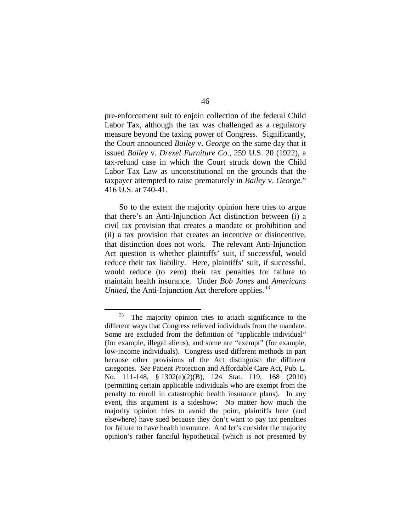pre-enforcement suit to enjoin collection of the federal Child Labor Tax, although the tax was challenged as a regulatory measure beyond the taxing power of Congress. Significantly, the Court announced *Bailey* v. *George* on the same day that it issued *Bailey* v. *Drexel Furniture Co.*, 259 U.S. 20 (1922), a tax-refund case in which the Court struck down the Child Labor Tax Law as unconstitutional on the grounds that the taxpayer attempted to raise prematurely in *Bailey* v. *George.*" 416 U.S. at 740-41.

So to the extent the majority opinion here tries to argue that there's an Anti-Injunction Act distinction between (i) a civil tax provision that creates a mandate or prohibition and (ii) a tax provision that creates an incentive or disincentive, that distinction does not work. The relevant Anti-Injunction Act question is whether plaintiffs' suit, if successful, would reduce their tax liability. Here, plaintiffs' suit, if successful, would reduce (to zero) their tax penalties for failure to maintain health insurance. Under *Bob Jones* and *Americans United*, the Anti-Injunction Act therefore applies.<sup>[33](#page-83-0)</sup>

<span id="page-83-0"></span><sup>&</sup>lt;sup>33</sup> The majority opinion tries to attach significance to the different ways that Congress relieved individuals from the mandate. Some are excluded from the definition of "applicable individual" (for example, illegal aliens), and some are "exempt" (for example, low-income individuals). Congress used different methods in part because other provisions of the Act distinguish the different categories. *See* Patient Protection and Affordable Care Act, Pub. L. No. 111-148, § 1302(e)(2)(B), 124 Stat. 119, 168 (2010) (permitting certain applicable individuals who are exempt from the penalty to enroll in catastrophic health insurance plans). In any event, this argument is a sideshow: No matter how much the majority opinion tries to avoid the point, plaintiffs here (and elsewhere) have sued because they don't want to pay tax penalties for failure to have health insurance. And let's consider the majority opinion's rather fanciful hypothetical (which is not presented by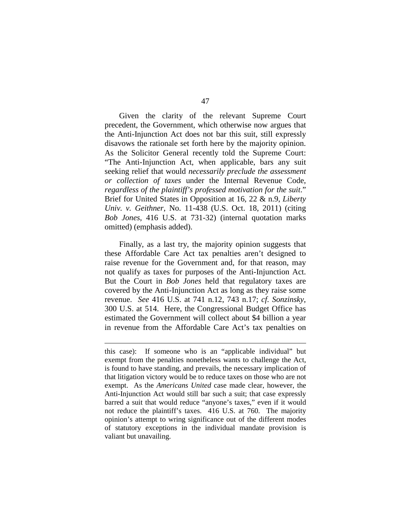Given the clarity of the relevant Supreme Court precedent, the Government, which otherwise now argues that the Anti-Injunction Act does not bar this suit, still expressly disavows the rationale set forth here by the majority opinion. As the Solicitor General recently told the Supreme Court: "The Anti-Injunction Act, when applicable, bars any suit seeking relief that would *necessarily preclude the assessment or collection of taxes* under the Internal Revenue Code, *regardless of the plaintiff's professed motivation for the suit*." Brief for United States in Opposition at 16, 22 & n.9, *Liberty Univ. v. Geithner*, No. 11-438 (U.S. Oct. 18, 2011) (citing *Bob Jones*, 416 U.S. at 731-32) (internal quotation marks omitted) (emphasis added).

Finally, as a last try, the majority opinion suggests that these Affordable Care Act tax penalties aren't designed to raise revenue for the Government and, for that reason, may not qualify as taxes for purposes of the Anti-Injunction Act. But the Court in *Bob Jones* held that regulatory taxes are covered by the Anti-Injunction Act as long as they raise some revenue. *See* 416 U.S. at 741 n.12, 743 n.17; *cf. Sonzinsky*, 300 U.S. at 514. Here, the Congressional Budget Office has estimated the Government will collect about \$4 billion a year in revenue from the Affordable Care Act's tax penalties on

this case): If someone who is an "applicable individual" but exempt from the penalties nonetheless wants to challenge the Act, is found to have standing, and prevails, the necessary implication of that litigation victory would be to reduce taxes on those who are not exempt. As the *Americans United* case made clear, however, the Anti-Injunction Act would still bar such a suit; that case expressly barred a suit that would reduce "anyone's taxes," even if it would not reduce the plaintiff's taxes. 416 U.S. at 760. The majority opinion's attempt to wring significance out of the different modes of statutory exceptions in the individual mandate provision is valiant but unavailing.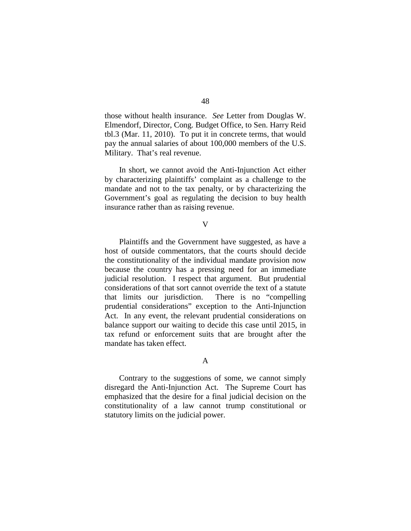those without health insurance. *See* Letter from Douglas W. Elmendorf, Director, Cong. Budget Office, to Sen. Harry Reid tbl.3 (Mar. 11, 2010). To put it in concrete terms, that would pay the annual salaries of about 100,000 members of the U.S. Military. That's real revenue.

In short, we cannot avoid the Anti-Injunction Act either by characterizing plaintiffs' complaint as a challenge to the mandate and not to the tax penalty, or by characterizing the Government's goal as regulating the decision to buy health insurance rather than as raising revenue.

## V

Plaintiffs and the Government have suggested, as have a host of outside commentators, that the courts should decide the constitutionality of the individual mandate provision now because the country has a pressing need for an immediate judicial resolution. I respect that argument. But prudential considerations of that sort cannot override the text of a statute that limits our jurisdiction. There is no "compelling prudential considerations" exception to the Anti-Injunction Act. In any event, the relevant prudential considerations on balance support our waiting to decide this case until 2015, in tax refund or enforcement suits that are brought after the mandate has taken effect.

## A

Contrary to the suggestions of some, we cannot simply disregard the Anti-Injunction Act. The Supreme Court has emphasized that the desire for a final judicial decision on the constitutionality of a law cannot trump constitutional or statutory limits on the judicial power.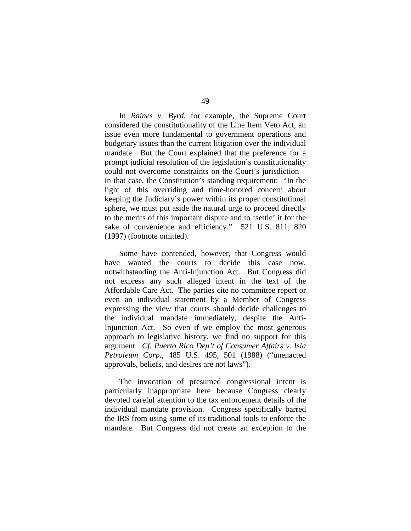In *Raines v. Byrd*, for example, the Supreme Court considered the constitutionality of the Line Item Veto Act, an issue even more fundamental to government operations and budgetary issues than the current litigation over the individual mandate. But the Court explained that the preference for a prompt judicial resolution of the legislation's constitutionality could not overcome constraints on the Court's jurisdiction – in that case, the Constitution's standing requirement: "In the light of this overriding and time-honored concern about keeping the Judiciary's power within its proper constitutional sphere, we must put aside the natural urge to proceed directly to the merits of this important dispute and to 'settle' it for the sake of convenience and efficiency." 521 U.S. 811, 820 (1997) (footnote omitted).

Some have contended, however, that Congress would have wanted the courts to decide this case now, notwithstanding the Anti-Injunction Act. But Congress did not express any such alleged intent in the text of the Affordable Care Act. The parties cite no committee report or even an individual statement by a Member of Congress expressing the view that courts should decide challenges to the individual mandate immediately, despite the Anti-Injunction Act. So even if we employ the most generous approach to legislative history, we find no support for this argument. *Cf. Puerto Rico Dep't of Consumer Affairs v. Isla Petroleum Corp.*, 485 U.S. 495, 501 (1988) ("unenacted approvals, beliefs, and desires are not laws").

The invocation of presumed congressional intent is particularly inappropriate here because Congress clearly devoted careful attention to the tax enforcement details of the individual mandate provision. Congress specifically barred the IRS from using some of its traditional tools to enforce the mandate. But Congress did not create an exception to the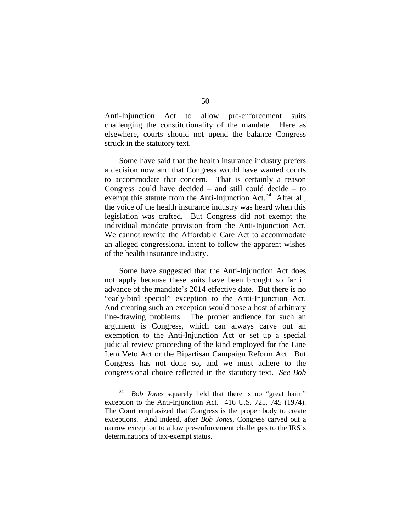Anti-Injunction Act to allow pre-enforcement suits challenging the constitutionality of the mandate. Here as elsewhere, courts should not upend the balance Congress struck in the statutory text.

Some have said that the health insurance industry prefers a decision now and that Congress would have wanted courts to accommodate that concern. That is certainly a reason Congress could have decided – and still could decide – to exempt this statute from the Anti-Injunction Act.<sup>[34](#page-87-0)</sup> After all, the voice of the health insurance industry was heard when this legislation was crafted. But Congress did not exempt the individual mandate provision from the Anti-Injunction Act. We cannot rewrite the Affordable Care Act to accommodate an alleged congressional intent to follow the apparent wishes of the health insurance industry.

Some have suggested that the Anti-Injunction Act does not apply because these suits have been brought so far in advance of the mandate's 2014 effective date. But there is no "early-bird special" exception to the Anti-Injunction Act. And creating such an exception would pose a host of arbitrary line-drawing problems. The proper audience for such an argument is Congress, which can always carve out an exemption to the Anti-Injunction Act or set up a special judicial review proceeding of the kind employed for the Line Item Veto Act or the Bipartisan Campaign Reform Act. But Congress has not done so, and we must adhere to the congressional choice reflected in the statutory text. *See Bob* 

<span id="page-87-0"></span> <sup>34</sup> *Bob Jones* squarely held that there is no "great harm" exception to the Anti-Injunction Act. 416 U.S. 725, 745 (1974). The Court emphasized that Congress is the proper body to create exceptions. And indeed, after *Bob Jones*, Congress carved out a narrow exception to allow pre-enforcement challenges to the IRS's determinations of tax-exempt status.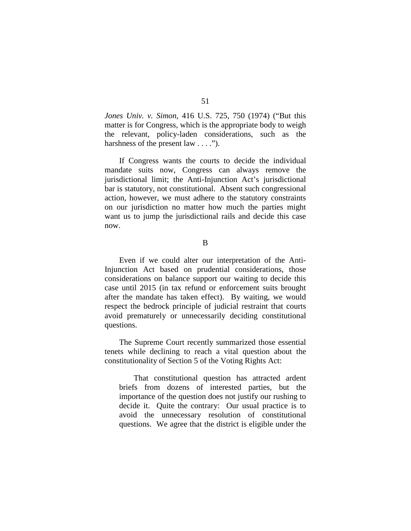*Jones Univ. v. Simon*, 416 U.S. 725, 750 (1974) ("But this matter is for Congress, which is the appropriate body to weigh the relevant, policy-laden considerations, such as the harshness of the present law . . . .").

If Congress wants the courts to decide the individual mandate suits now, Congress can always remove the jurisdictional limit; the Anti-Injunction Act's jurisdictional bar is statutory, not constitutional. Absent such congressional action, however, we must adhere to the statutory constraints on our jurisdiction no matter how much the parties might want us to jump the jurisdictional rails and decide this case now.

B

Even if we could alter our interpretation of the Anti-Injunction Act based on prudential considerations, those considerations on balance support our waiting to decide this case until 2015 (in tax refund or enforcement suits brought after the mandate has taken effect). By waiting, we would respect the bedrock principle of judicial restraint that courts avoid prematurely or unnecessarily deciding constitutional questions.

The Supreme Court recently summarized those essential tenets while declining to reach a vital question about the constitutionality of Section 5 of the Voting Rights Act:

That constitutional question has attracted ardent briefs from dozens of interested parties, but the importance of the question does not justify our rushing to decide it. Quite the contrary: Our usual practice is to avoid the unnecessary resolution of constitutional questions. We agree that the district is eligible under the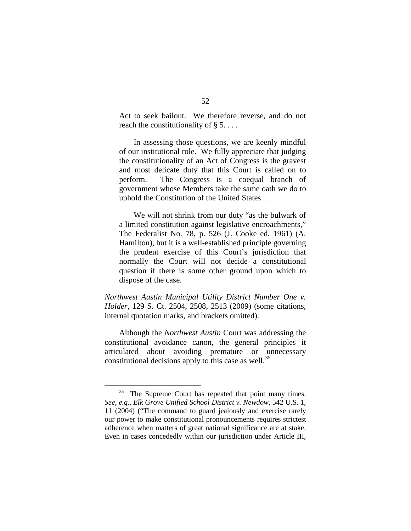Act to seek bailout. We therefore reverse, and do not reach the constitutionality of  $\S 5$ ....

In assessing those questions, we are keenly mindful of our institutional role. We fully appreciate that judging the constitutionality of an Act of Congress is the gravest and most delicate duty that this Court is called on to perform. The Congress is a coequal branch of government whose Members take the same oath we do to uphold the Constitution of the United States. . . .

We will not shrink from our duty "as the bulwark of a limited constitution against legislative encroachments," The Federalist No. 78, p. 526 (J. Cooke ed. 1961) (A. Hamilton), but it is a well-established principle governing the prudent exercise of this Court's jurisdiction that normally the Court will not decide a constitutional question if there is some other ground upon which to dispose of the case.

*Northwest Austin Municipal Utility District Number One v. Holder*, 129 S. Ct. 2504, 2508, 2513 (2009) (some citations, internal quotation marks, and brackets omitted).

Although the *Northwest Austin* Court was addressing the constitutional avoidance canon, the general principles it articulated about avoiding premature or unnecessary constitutional decisions apply to this case as well.<sup>[35](#page-89-0)</sup>

<span id="page-89-0"></span><sup>&</sup>lt;sup>35</sup> The Supreme Court has repeated that point many times. *See, e.g.*, *Elk Grove Unified School District v. Newdow*, 542 U.S. 1, 11 (2004) ("The command to guard jealously and exercise rarely our power to make constitutional pronouncements requires strictest adherence when matters of great national significance are at stake. Even in cases concededly within our jurisdiction under Article III,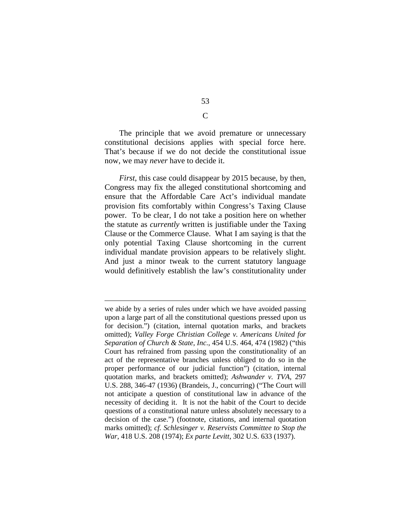The principle that we avoid premature or unnecessary constitutional decisions applies with special force here. That's because if we do not decide the constitutional issue now, we may *never* have to decide it.

*First*, this case could disappear by 2015 because, by then, Congress may fix the alleged constitutional shortcoming and ensure that the Affordable Care Act's individual mandate provision fits comfortably within Congress's Taxing Clause power. To be clear, I do not take a position here on whether the statute as *currently* written is justifiable under the Taxing Clause or the Commerce Clause. What I am saying is that the only potential Taxing Clause shortcoming in the current individual mandate provision appears to be relatively slight. And just a minor tweak to the current statutory language would definitively establish the law's constitutionality under

we abide by a series of rules under which we have avoided passing upon a large part of all the constitutional questions pressed upon us for decision.") (citation, internal quotation marks, and brackets omitted); *Valley Forge Christian College v. Americans United for Separation of Church & State, Inc.*, 454 U.S. 464, 474 (1982) ("this Court has refrained from passing upon the constitutionality of an act of the representative branches unless obliged to do so in the proper performance of our judicial function") (citation, internal quotation marks, and brackets omitted); *Ashwander v. TVA*, 297 U.S. 288, 346-47 (1936) (Brandeis, J., concurring) ("The Court will not anticipate a question of constitutional law in advance of the necessity of deciding it. It is not the habit of the Court to decide questions of a constitutional nature unless absolutely necessary to a decision of the case.") (footnote, citations, and internal quotation marks omitted); *cf. Schlesinger v. Reservists Committee to Stop the War*, 418 U.S. 208 (1974); *Ex parte Levitt*, 302 U.S. 633 (1937).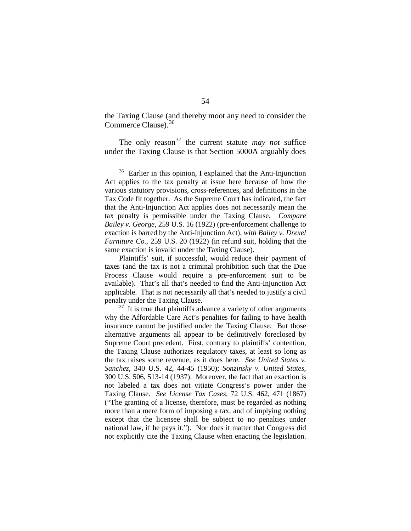the Taxing Clause (and thereby moot any need to consider the Commerce Clause).<sup>[36](#page-91-0)</sup>

The only reason<sup>[37](#page-91-1)</sup> the current statute *may not* suffice under the Taxing Clause is that Section 5000A arguably does

<span id="page-91-0"></span> <sup>36</sup> Earlier in this opinion, I explained that the Anti-Injunction Act applies to the tax penalty at issue here because of how the various statutory provisions, cross-references, and definitions in the Tax Code fit together. As the Supreme Court has indicated, the fact that the Anti-Injunction Act applies does not necessarily mean the tax penalty is permissible under the Taxing Clause. *Compare Bailey v. George*, 259 U.S. 16 (1922) (pre-enforcement challenge to exaction is barred by the Anti-Injunction Act), *with Bailey v. Drexel Furniture Co.*, 259 U.S. 20 (1922) (in refund suit, holding that the same exaction is invalid under the Taxing Clause).

Plaintiffs' suit, if successful, would reduce their payment of taxes (and the tax is not a criminal prohibition such that the Due Process Clause would require a pre-enforcement suit to be available). That's all that's needed to find the Anti-Injunction Act applicable. That is not necessarily all that's needed to justify a civil penalty under the Taxing Clause.

<span id="page-91-1"></span> $37$  It is true that plaintiffs advance a variety of other arguments why the Affordable Care Act's penalties for failing to have health insurance cannot be justified under the Taxing Clause. But those alternative arguments all appear to be definitively foreclosed by Supreme Court precedent. First, contrary to plaintiffs' contention, the Taxing Clause authorizes regulatory taxes, at least so long as the tax raises some revenue, as it does here. *See United States v. Sanchez*, 340 U.S. 42, 44-45 (1950); *Sonzinsky v. United States*, 300 U.S. 506, 513-14 (1937). Moreover, the fact that an exaction is not labeled a tax does not vitiate Congress's power under the Taxing Clause. *See License Tax Cases*, 72 U.S. 462, 471 (1867) ("The granting of a license, therefore, must be regarded as nothing more than a mere form of imposing a tax, and of implying nothing except that the licensee shall be subject to no penalties under national law, if he pays it."). Nor does it matter that Congress did not explicitly cite the Taxing Clause when enacting the legislation.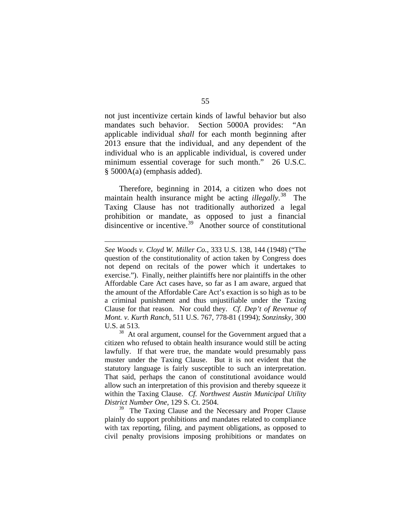not just incentivize certain kinds of lawful behavior but also mandates such behavior. Section 5000A provides: "An applicable individual *shall* for each month beginning after 2013 ensure that the individual, and any dependent of the individual who is an applicable individual, is covered under minimum essential coverage for such month." 26 U.S.C. § 5000A(a) (emphasis added).

Therefore, beginning in 2014, a citizen who does not maintain health insurance might be acting *illegally*. [38](#page-92-0) The Taxing Clause has not traditionally authorized a legal prohibition or mandate, as opposed to just a financial disincentive or incentive.<sup>[39](#page-92-1)</sup> Another source of constitutional

*See Woods v. Cloyd W. Miller Co.*, 333 U.S. 138, 144 (1948) ("The question of the constitutionality of action taken by Congress does not depend on recitals of the power which it undertakes to exercise."). Finally, neither plaintiffs here nor plaintiffs in the other Affordable Care Act cases have, so far as I am aware, argued that the amount of the Affordable Care Act's exaction is so high as to be a criminal punishment and thus unjustifiable under the Taxing Clause for that reason. Nor could they. *Cf. Dep't of Revenue of Mont. v. Kurth Ranch*, 511 U.S. 767, 778-81 (1994); *Sonzinsky*, 300 U.S. at 513.

<span id="page-92-0"></span><sup>&</sup>lt;sup>38</sup> At oral argument, counsel for the Government argued that a citizen who refused to obtain health insurance would still be acting lawfully. If that were true, the mandate would presumably pass muster under the Taxing Clause. But it is not evident that the statutory language is fairly susceptible to such an interpretation. That said, perhaps the canon of constitutional avoidance would allow such an interpretation of this provision and thereby squeeze it within the Taxing Clause. *Cf. Northwest Austin Municipal Utility District Number One*, 129 S. Ct. 2504.

<span id="page-92-1"></span><sup>&</sup>lt;sup>39</sup> The Taxing Clause and the Necessary and Proper Clause plainly do support prohibitions and mandates related to compliance with tax reporting, filing, and payment obligations, as opposed to civil penalty provisions imposing prohibitions or mandates on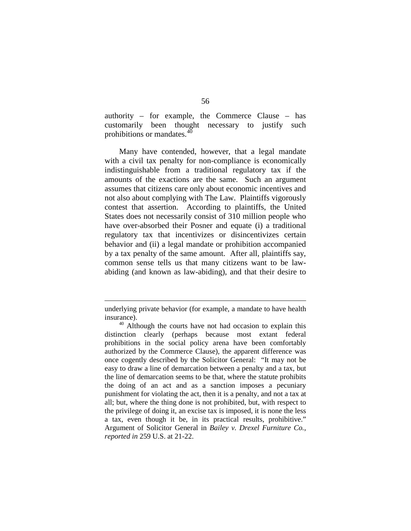authority – for example, the Commerce Clause – has customarily been thought necessary to justify such prohibitions or mandates.<sup>[40](#page-93-0)</sup>

Many have contended, however, that a legal mandate with a civil tax penalty for non-compliance is economically indistinguishable from a traditional regulatory tax if the amounts of the exactions are the same. Such an argument assumes that citizens care only about economic incentives and not also about complying with The Law. Plaintiffs vigorously contest that assertion. According to plaintiffs, the United States does not necessarily consist of 310 million people who have over-absorbed their Posner and equate (i) a traditional regulatory tax that incentivizes or disincentivizes certain behavior and (ii) a legal mandate or prohibition accompanied by a tax penalty of the same amount. After all, plaintiffs say, common sense tells us that many citizens want to be lawabiding (and known as law-abiding), and that their desire to

underlying private behavior (for example, a mandate to have health insurance).

<span id="page-93-0"></span><sup>&</sup>lt;sup>40</sup> Although the courts have not had occasion to explain this distinction clearly (perhaps because most extant federal prohibitions in the social policy arena have been comfortably authorized by the Commerce Clause), the apparent difference was once cogently described by the Solicitor General: "It may not be easy to draw a line of demarcation between a penalty and a tax, but the line of demarcation seems to be that, where the statute prohibits the doing of an act and as a sanction imposes a pecuniary punishment for violating the act, then it is a penalty, and not a tax at all; but, where the thing done is not prohibited, but, with respect to the privilege of doing it, an excise tax is imposed, it is none the less a tax, even though it be, in its practical results, prohibitive." Argument of Solicitor General in *Bailey v. Drexel Furniture Co.*, *reported in* 259 U.S. at 21-22.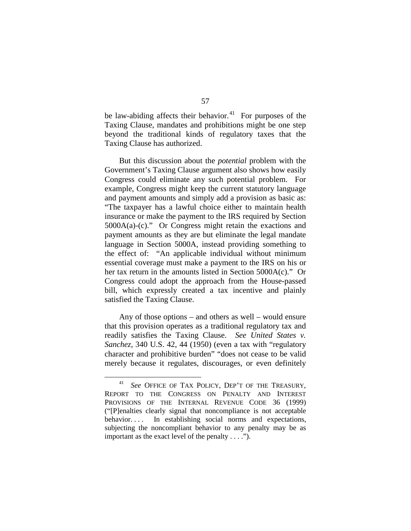be law-abiding affects their behavior. $41$  For purposes of the Taxing Clause, mandates and prohibitions might be one step beyond the traditional kinds of regulatory taxes that the Taxing Clause has authorized.

But this discussion about the *potential* problem with the Government's Taxing Clause argument also shows how easily Congress could eliminate any such potential problem. For example, Congress might keep the current statutory language and payment amounts and simply add a provision as basic as: "The taxpayer has a lawful choice either to maintain health insurance or make the payment to the IRS required by Section 5000A(a)-(c)." Or Congress might retain the exactions and payment amounts as they are but eliminate the legal mandate language in Section 5000A, instead providing something to the effect of: "An applicable individual without minimum essential coverage must make a payment to the IRS on his or her tax return in the amounts listed in Section 5000A(c)." Or Congress could adopt the approach from the House-passed bill, which expressly created a tax incentive and plainly satisfied the Taxing Clause.

Any of those options – and others as well – would ensure that this provision operates as a traditional regulatory tax and readily satisfies the Taxing Clause. *See United States v. Sanchez*, 340 U.S. 42, 44 (1950) (even a tax with "regulatory character and prohibitive burden" "does not cease to be valid merely because it regulates, discourages, or even definitely

<span id="page-94-0"></span> <sup>41</sup> *See* OFFICE OF TAX POLICY, DEP'T OF THE TREASURY, REPORT TO THE CONGRESS ON PENALTY AND INTEREST PROVISIONS OF THE INTERNAL REVENUE CODE 36 (1999) ("[P]enalties clearly signal that noncompliance is not acceptable behavior.... In establishing social norms and expectations, subjecting the noncompliant behavior to any penalty may be as important as the exact level of the penalty . . . .").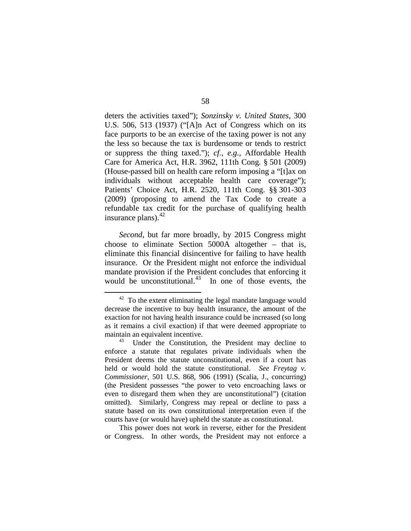deters the activities taxed"); *Sonzinsky v. United States*, 300 U.S. 506, 513 (1937) ("[A]n Act of Congress which on its face purports to be an exercise of the taxing power is not any the less so because the tax is burdensome or tends to restrict or suppress the thing taxed."); *cf., e.g.*, Affordable Health Care for America Act, H.R. 3962, 111th Cong. § 501 (2009) (House-passed bill on health care reform imposing a "[t]ax on individuals without acceptable health care coverage"); Patients' Choice Act, H.R. 2520, 111th Cong. §§ 301-303 (2009) (proposing to amend the Tax Code to create a refundable tax credit for the purchase of qualifying health insurance plans). $^{42}$  $^{42}$  $^{42}$ 

*Second*, but far more broadly, by 2015 Congress might choose to eliminate Section 5000A altogether – that is, eliminate this financial disincentive for failing to have health insurance. Or the President might not enforce the individual mandate provision if the President concludes that enforcing it would be unconstitutional. $43$  In one of those events, the

This power does not work in reverse, either for the President or Congress. In other words, the President may not enforce a

<span id="page-95-0"></span> $42$  To the extent eliminating the legal mandate language would decrease the incentive to buy health insurance, the amount of the exaction for not having health insurance could be increased (so long as it remains a civil exaction) if that were deemed appropriate to maintain an equivalent incentive.

<span id="page-95-1"></span><sup>&</sup>lt;sup>43</sup> Under the Constitution, the President may decline to enforce a statute that regulates private individuals when the President deems the statute unconstitutional, even if a court has held or would hold the statute constitutional. *See Freytag v. Commissioner*, 501 U.S. 868, 906 (1991) (Scalia, J., concurring) (the President possesses "the power to veto encroaching laws or even to disregard them when they are unconstitutional") (citation omitted). Similarly, Congress may repeal or decline to pass a statute based on its own constitutional interpretation even if the courts have (or would have) upheld the statute as constitutional.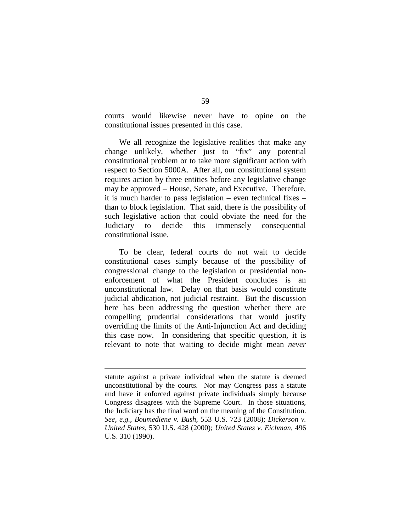courts would likewise never have to opine on the constitutional issues presented in this case.

We all recognize the legislative realities that make any change unlikely, whether just to "fix" any potential constitutional problem or to take more significant action with respect to Section 5000A. After all, our constitutional system requires action by three entities before any legislative change may be approved – House, Senate, and Executive. Therefore, it is much harder to pass legislation – even technical fixes – than to block legislation. That said, there is the possibility of such legislative action that could obviate the need for the Judiciary to decide this immensely consequential constitutional issue.

To be clear, federal courts do not wait to decide constitutional cases simply because of the possibility of congressional change to the legislation or presidential nonenforcement of what the President concludes is an unconstitutional law. Delay on that basis would constitute judicial abdication, not judicial restraint. But the discussion here has been addressing the question whether there are compelling prudential considerations that would justify overriding the limits of the Anti-Injunction Act and deciding this case now. In considering that specific question, it is relevant to note that waiting to decide might mean *never*

statute against a private individual when the statute is deemed unconstitutional by the courts. Nor may Congress pass a statute and have it enforced against private individuals simply because Congress disagrees with the Supreme Court. In those situations, the Judiciary has the final word on the meaning of the Constitution. *See, e.g.*, *Boumediene v. Bush*, 553 U.S. 723 (2008); *Dickerson v. United States*, 530 U.S. 428 (2000); *United States v. Eichman*, 496 U.S. 310 (1990).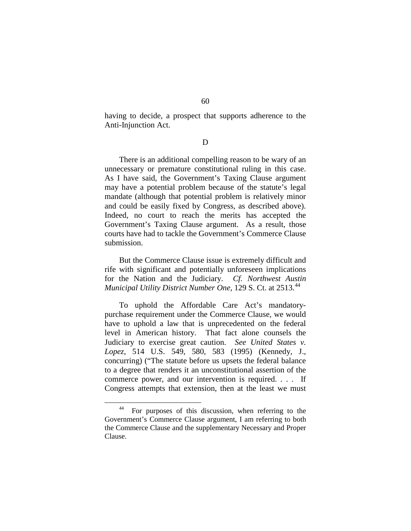having to decide, a prospect that supports adherence to the Anti-Injunction Act.

D

There is an additional compelling reason to be wary of an unnecessary or premature constitutional ruling in this case. As I have said, the Government's Taxing Clause argument may have a potential problem because of the statute's legal mandate (although that potential problem is relatively minor and could be easily fixed by Congress, as described above). Indeed, no court to reach the merits has accepted the Government's Taxing Clause argument. As a result, those courts have had to tackle the Government's Commerce Clause submission.

But the Commerce Clause issue is extremely difficult and rife with significant and potentially unforeseen implications for the Nation and the Judiciary. *Cf. Northwest Austin Municipal Utility District Number One*, 129 S. Ct. at 2513.<sup>[44](#page-97-0)</sup>

To uphold the Affordable Care Act's mandatorypurchase requirement under the Commerce Clause, we would have to uphold a law that is unprecedented on the federal level in American history. That fact alone counsels the Judiciary to exercise great caution. *See United States v. Lopez*, 514 U.S. 549, 580, 583 (1995) (Kennedy, J., concurring) ("The statute before us upsets the federal balance to a degree that renders it an unconstitutional assertion of the commerce power, and our intervention is required. . . . If Congress attempts that extension, then at the least we must

<span id="page-97-0"></span> <sup>44</sup> For purposes of this discussion, when referring to the Government's Commerce Clause argument, I am referring to both the Commerce Clause and the supplementary Necessary and Proper Clause.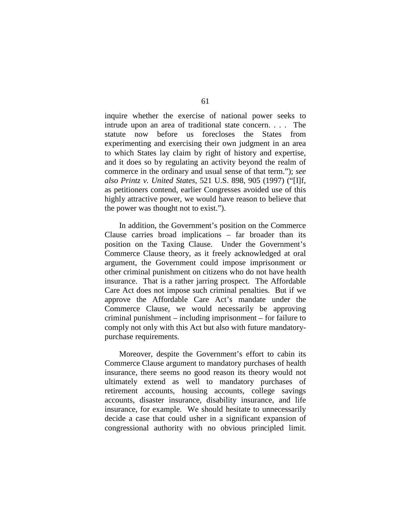inquire whether the exercise of national power seeks to intrude upon an area of traditional state concern. . . . The statute now before us forecloses the States from experimenting and exercising their own judgment in an area to which States lay claim by right of history and expertise, and it does so by regulating an activity beyond the realm of commerce in the ordinary and usual sense of that term."); *see also Printz v. United States*, 521 U.S. 898, 905 (1997) ("[I]f, as petitioners contend, earlier Congresses avoided use of this highly attractive power, we would have reason to believe that the power was thought not to exist.").

In addition, the Government's position on the Commerce Clause carries broad implications – far broader than its position on the Taxing Clause. Under the Government's Commerce Clause theory, as it freely acknowledged at oral argument, the Government could impose imprisonment or other criminal punishment on citizens who do not have health insurance. That is a rather jarring prospect. The Affordable Care Act does not impose such criminal penalties. But if we approve the Affordable Care Act's mandate under the Commerce Clause, we would necessarily be approving criminal punishment – including imprisonment – for failure to comply not only with this Act but also with future mandatorypurchase requirements.

Moreover, despite the Government's effort to cabin its Commerce Clause argument to mandatory purchases of health insurance, there seems no good reason its theory would not ultimately extend as well to mandatory purchases of retirement accounts, housing accounts, college savings accounts, disaster insurance, disability insurance, and life insurance, for example. We should hesitate to unnecessarily decide a case that could usher in a significant expansion of congressional authority with no obvious principled limit.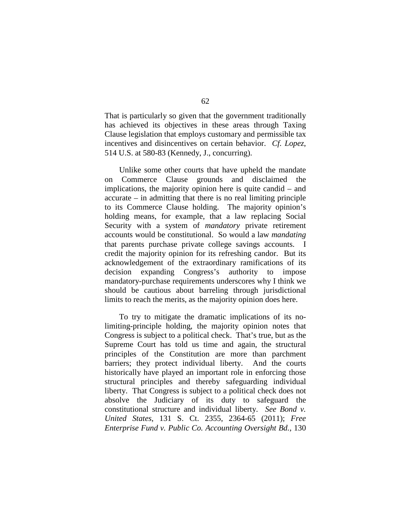That is particularly so given that the government traditionally has achieved its objectives in these areas through Taxing Clause legislation that employs customary and permissible tax incentives and disincentives on certain behavior. *Cf. Lopez*, 514 U.S. at 580-83 (Kennedy, J., concurring).

Unlike some other courts that have upheld the mandate on Commerce Clause grounds and disclaimed the implications, the majority opinion here is quite candid – and accurate – in admitting that there is no real limiting principle to its Commerce Clause holding. The majority opinion's holding means, for example, that a law replacing Social Security with a system of *mandatory* private retirement accounts would be constitutional. So would a law *mandating* that parents purchase private college savings accounts. I credit the majority opinion for its refreshing candor. But its acknowledgement of the extraordinary ramifications of its decision expanding Congress's authority to impose mandatory-purchase requirements underscores why I think we should be cautious about barreling through jurisdictional limits to reach the merits, as the majority opinion does here.

To try to mitigate the dramatic implications of its nolimiting-principle holding, the majority opinion notes that Congress is subject to a political check. That's true, but as the Supreme Court has told us time and again, the structural principles of the Constitution are more than parchment barriers; they protect individual liberty. And the courts historically have played an important role in enforcing those structural principles and thereby safeguarding individual liberty. That Congress is subject to a political check does not absolve the Judiciary of its duty to safeguard the constitutional structure and individual liberty. *See Bond v. United States*, 131 S. Ct. 2355, 2364-65 (2011); *Free Enterprise Fund v. Public Co. Accounting Oversight Bd.*, 130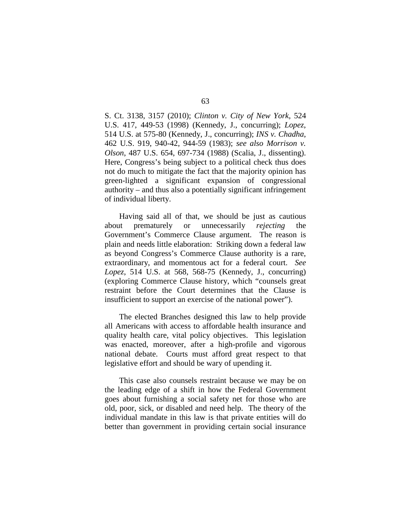S. Ct. 3138, 3157 (2010); *Clinton v. City of New York*, 524 U.S. 417, 449-53 (1998) (Kennedy, J., concurring); *Lopez*, 514 U.S. at 575-80 (Kennedy, J., concurring); *INS v. Chadha*, 462 U.S. 919, 940-42, 944-59 (1983); *see also Morrison v. Olson*, 487 U.S. 654, 697-734 (1988) (Scalia, J., dissenting). Here, Congress's being subject to a political check thus does not do much to mitigate the fact that the majority opinion has green-lighted a significant expansion of congressional authority – and thus also a potentially significant infringement of individual liberty.

Having said all of that, we should be just as cautious about prematurely or unnecessarily *rejecting* the Government's Commerce Clause argument. The reason is plain and needs little elaboration: Striking down a federal law as beyond Congress's Commerce Clause authority is a rare, extraordinary, and momentous act for a federal court. *See Lopez*, 514 U.S. at 568, 568-75 (Kennedy, J., concurring) (exploring Commerce Clause history, which "counsels great restraint before the Court determines that the Clause is insufficient to support an exercise of the national power").

The elected Branches designed this law to help provide all Americans with access to affordable health insurance and quality health care, vital policy objectives. This legislation was enacted, moreover, after a high-profile and vigorous national debate. Courts must afford great respect to that legislative effort and should be wary of upending it.

This case also counsels restraint because we may be on the leading edge of a shift in how the Federal Government goes about furnishing a social safety net for those who are old, poor, sick, or disabled and need help. The theory of the individual mandate in this law is that private entities will do better than government in providing certain social insurance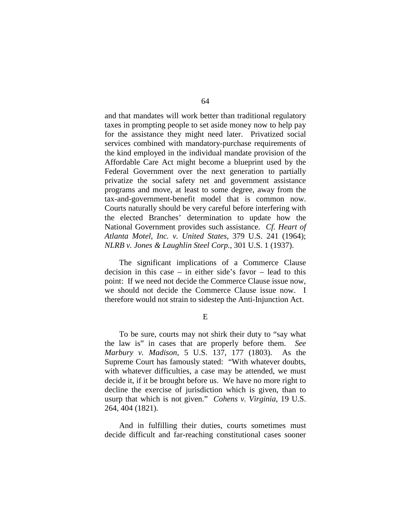and that mandates will work better than traditional regulatory taxes in prompting people to set aside money now to help pay for the assistance they might need later. Privatized social services combined with mandatory-purchase requirements of the kind employed in the individual mandate provision of the Affordable Care Act might become a blueprint used by the Federal Government over the next generation to partially privatize the social safety net and government assistance programs and move, at least to some degree, away from the tax-and-government-benefit model that is common now. Courts naturally should be very careful before interfering with the elected Branches' determination to update how the National Government provides such assistance. *Cf. Heart of Atlanta Motel, Inc. v. United States*, 379 U.S. 241 (1964); *NLRB v. Jones & Laughlin Steel Corp.*, 301 U.S. 1 (1937).

The significant implications of a Commerce Clause decision in this case – in either side's favor – lead to this point: If we need not decide the Commerce Clause issue now, we should not decide the Commerce Clause issue now. I therefore would not strain to sidestep the Anti-Injunction Act.

E

To be sure, courts may not shirk their duty to "say what the law is" in cases that are properly before them. *See Marbury v. Madison*, 5 U.S. 137, 177 (1803). As the Supreme Court has famously stated: "With whatever doubts, with whatever difficulties, a case may be attended, we must decide it, if it be brought before us. We have no more right to decline the exercise of jurisdiction which is given, than to usurp that which is not given." *Cohens v. Virginia*, 19 U.S. 264, 404 (1821).

And in fulfilling their duties, courts sometimes must decide difficult and far-reaching constitutional cases sooner